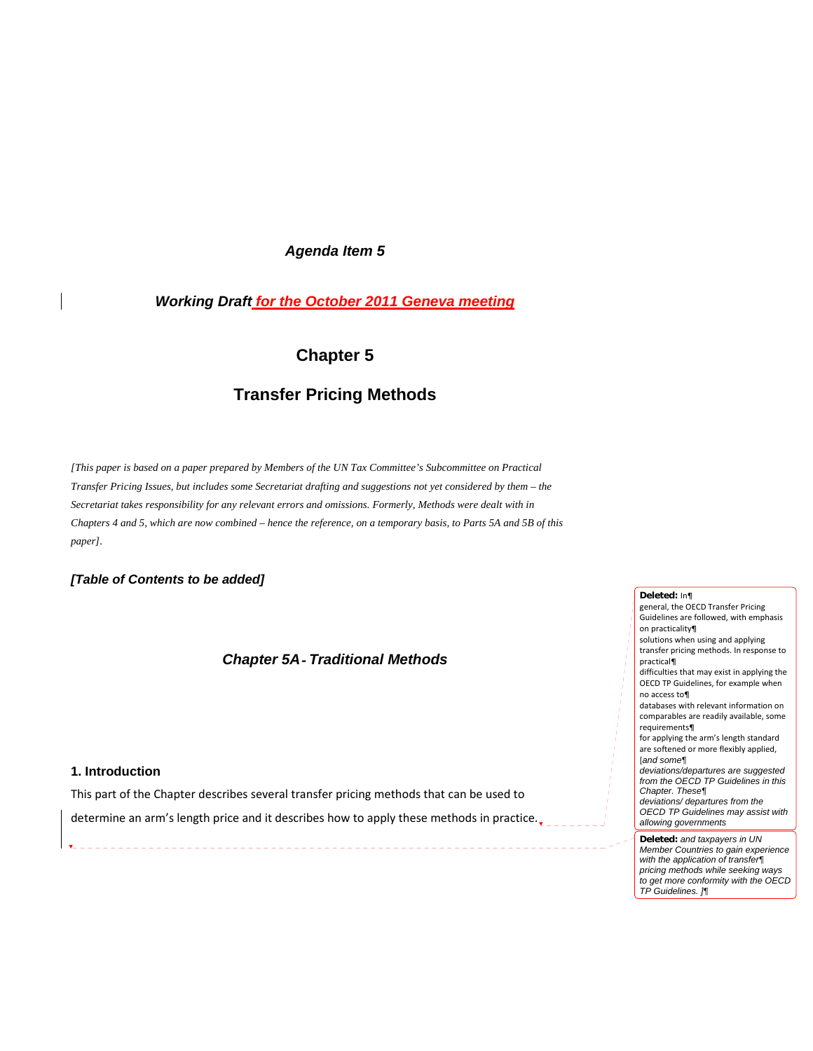# *Agenda Item 5*

# *Working Draft for the October 2011 Geneva meeting*

# **Chapter 5**

# **Transfer Pricing Methods**

*[This paper is based on a paper prepared by Members of the UN Tax Committee's Subcommittee on Practical Transfer Pricing Issues, but includes some Secretariat drafting and suggestions not yet considered by them – the Secretariat takes responsibility for any relevant errors and omissions. Formerly, Methods were dealt with in Chapters 4 and 5, which are now combined – hence the reference, on a temporary basis, to Parts 5A and 5B of this paper].* 

*[Table of Contents to be added]* 

# *Chapter 5A*‐ *Traditional Methods*

# **1. Introduction**

This part of the Chapter describes several transfer pricing methods that can be used to

determine an arm's length price and it describes how to apply these methods in practice.

#### **Deleted:** In¶ general, the OECD Transfer Pricing

Guidelines are followed, with emphasis on practicality¶ solutions when using and applying transfer pricing methods. In response to practical¶ difficulties that may exist in applying the OECD TP Guidelines, for example when no access to¶ databases with relevant information on comparables are readily available, some requirements¶ for applying the arm's length standard are softened or more flexibly applied, [*and some¶ deviations/departures are suggested from the OECD TP Guidelines in this Chapter. These¶ deviations/ departures from the OECD TP Guidelines may assist with allowing governments* **Deleted:** *and taxpayers in UN Member Countries to gain experience* 

*with the application of transfer¶ pricing methods while seeking ways to get more conformity with the OECD* 

*TP Guidelines. ]¶*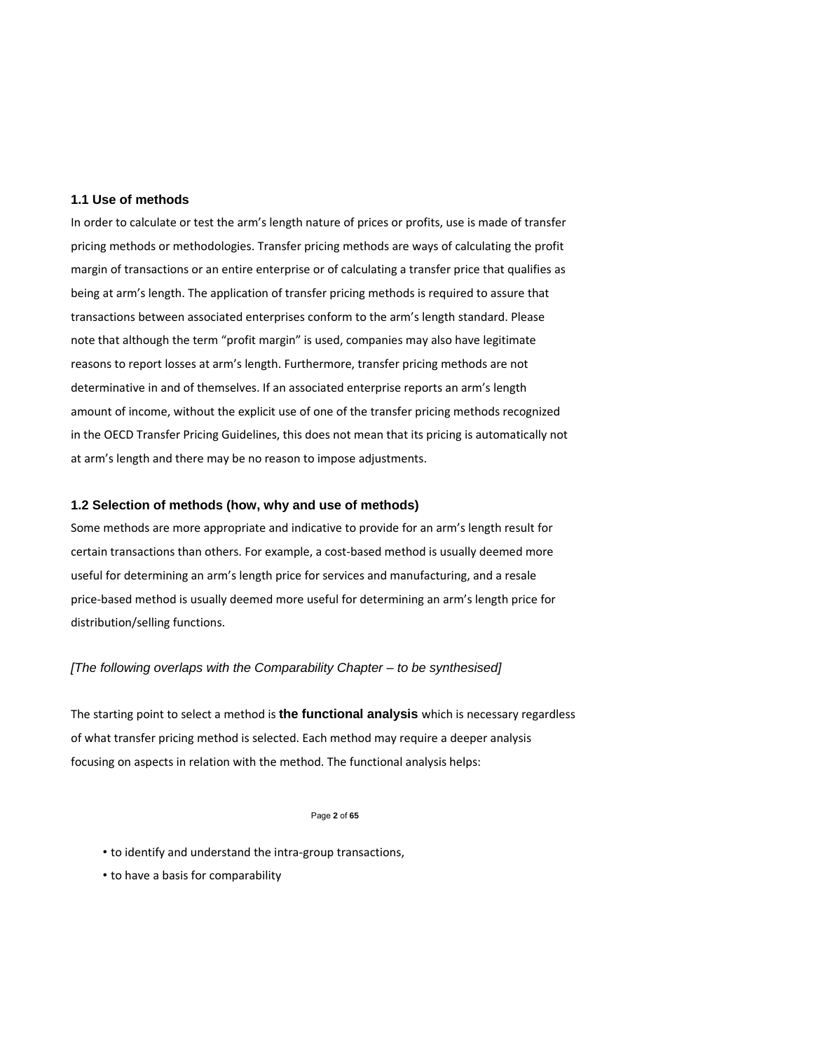### **1.1 Use of methods**

In order to calculate or test the arm's length nature of prices or profits, use is made of transfer pricing methods or methodologies. Transfer pricing methods are ways of calculating the profit margin of transactions or an entire enterprise or of calculating a transfer price that qualifies as being at arm's length. The application of transfer pricing methods is required to assure that transactions between associated enterprises conform to the arm's length standard. Please note that although the term "profit margin" is used, companies may also have legitimate reasons to report losses at arm's length. Furthermore, transfer pricing methods are not determinative in and of themselves. If an associated enterprise reports an arm's length amount of income, without the explicit use of one of the transfer pricing methods recognized in the OECD Transfer Pricing Guidelines, this does not mean that its pricing is automatically not at arm's length and there may be no reason to impose adjustments.

# **1.2 Selection of methods (how, why and use of methods)**

Some methods are more appropriate and indicative to provide for an arm's length result for certain transactions than others. For example, a cost‐based method is usually deemed more useful for determining an arm's length price for services and manufacturing, and a resale price-based method is usually deemed more useful for determining an arm's length price for distribution/selling functions.

### *[The following overlaps with the Comparability Chapter – to be synthesised]*

The starting point to select a method is **the functional analysis** which is necessary regardless of what transfer pricing method is selected. Each method may require a deeper analysis focusing on aspects in relation with the method. The functional analysis helps:

#### Page **2** of **65**

- to identify and understand the intra‐group transactions,
- to have a basis for comparability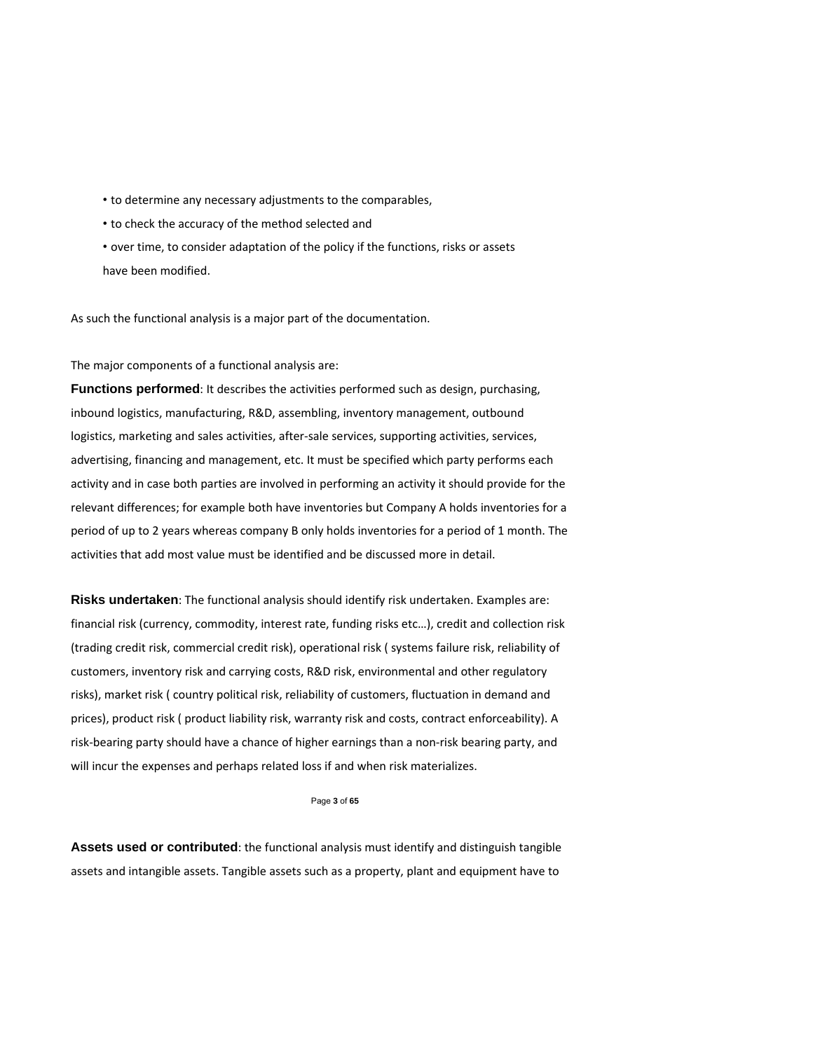- to determine any necessary adjustments to the comparables,
- to check the accuracy of the method selected and
- over time, to consider adaptation of the policy if the functions, risks or assets have been modified.

As such the functional analysis is a major part of the documentation.

The major components of a functional analysis are:

**Functions performed**: It describes the activities performed such as design, purchasing, inbound logistics, manufacturing, R&D, assembling, inventory management, outbound logistics, marketing and sales activities, after‐sale services, supporting activities, services, advertising, financing and management, etc. It must be specified which party performs each activity and in case both parties are involved in performing an activity it should provide for the relevant differences; for example both have inventories but Company A holds inventories for a period of up to 2 years whereas company B only holds inventories for a period of 1 month. The activities that add most value must be identified and be discussed more in detail.

**Risks undertaken**: The functional analysis should identify risk undertaken. Examples are: financial risk (currency, commodity, interest rate, funding risks etc…), credit and collection risk (trading credit risk, commercial credit risk), operational risk ( systems failure risk, reliability of customers, inventory risk and carrying costs, R&D risk, environmental and other regulatory risks), market risk ( country political risk, reliability of customers, fluctuation in demand and prices), product risk ( product liability risk, warranty risk and costs, contract enforceability). A risk‐bearing party should have a chance of higher earnings than a non‐risk bearing party, and will incur the expenses and perhaps related loss if and when risk materializes.

Page **3** of **65** 

**Assets used or contributed**: the functional analysis must identify and distinguish tangible assets and intangible assets. Tangible assets such as a property, plant and equipment have to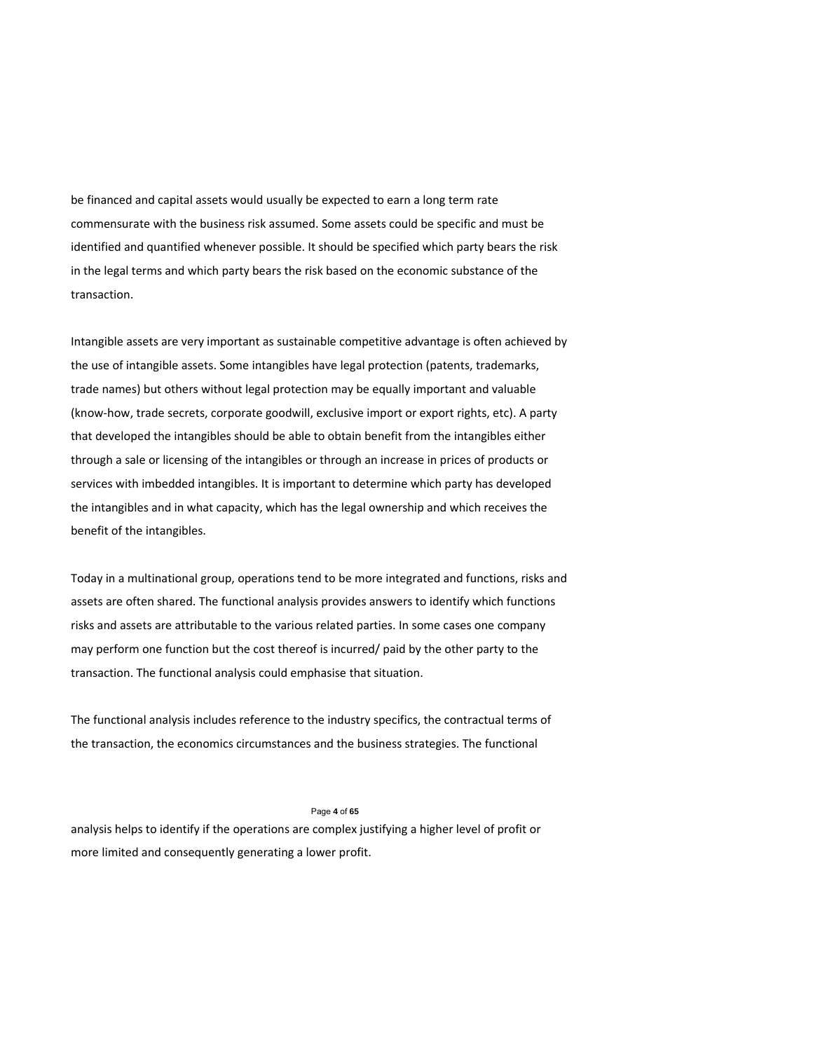be financed and capital assets would usually be expected to earn a long term rate commensurate with the business risk assumed. Some assets could be specific and must be identified and quantified whenever possible. It should be specified which party bears the risk in the legal terms and which party bears the risk based on the economic substance of the transaction.

Intangible assets are very important as sustainable competitive advantage is often achieved by the use of intangible assets. Some intangibles have legal protection (patents, trademarks, trade names) but others without legal protection may be equally important and valuable (know‐how, trade secrets, corporate goodwill, exclusive import or export rights, etc). A party that developed the intangibles should be able to obtain benefit from the intangibles either through a sale or licensing of the intangibles or through an increase in prices of products or services with imbedded intangibles. It is important to determine which party has developed the intangibles and in what capacity, which has the legal ownership and which receives the benefit of the intangibles.

Today in a multinational group, operations tend to be more integrated and functions, risks and assets are often shared. The functional analysis provides answers to identify which functions risks and assets are attributable to the various related parties. In some cases one company may perform one function but the cost thereof is incurred/ paid by the other party to the transaction. The functional analysis could emphasise that situation.

The functional analysis includes reference to the industry specifics, the contractual terms of the transaction, the economics circumstances and the business strategies. The functional

#### Page **4** of **65**

analysis helps to identify if the operations are complex justifying a higher level of profit or more limited and consequently generating a lower profit.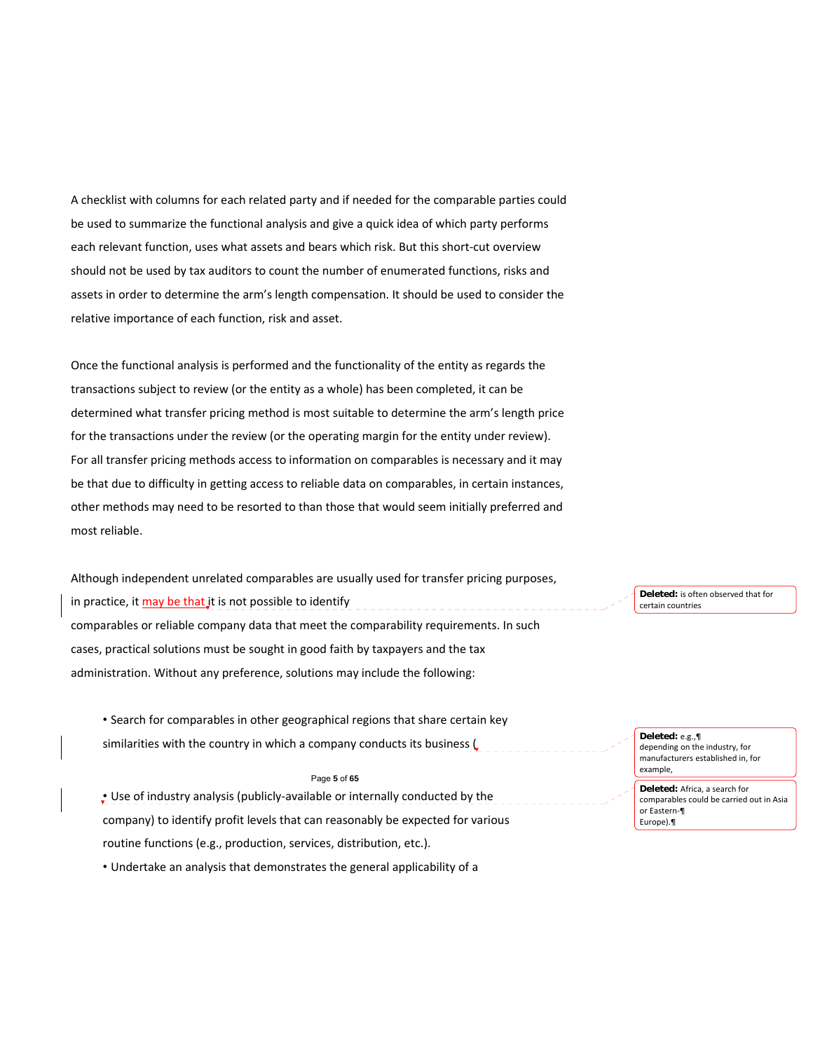A checklist with columns for each related party and if needed for the comparable parties could be used to summarize the functional analysis and give a quick idea of which party performs each relevant function, uses what assets and bears which risk. But this short-cut overview should not be used by tax auditors to count the number of enumerated functions, risks and assets in order to determine the arm's length compensation. It should be used to consider the relative importance of each function, risk and asset.

Once the functional analysis is performed and the functionality of the entity as regards the transactions subject to review (or the entity as a whole) has been completed, it can be determined what transfer pricing method is most suitable to determine the arm's length price for the transactions under the review (or the operating margin for the entity under review). For all transfer pricing methods access to information on comparables is necessary and it may be that due to difficulty in getting access to reliable data on comparables, in certain instances, other methods may need to be resorted to than those that would seem initially preferred and most reliable.

Although independent unrelated comparables are usually used for transfer pricing purposes, in practice, it may be that it is not possible to identify comparables or reliable company data that meet the comparability requirements. In such cases, practical solutions must be sought in good faith by taxpayers and the tax administration. Without any preference, solutions may include the following:

• Search for comparables in other geographical regions that share certain key similarities with the country in which a company conducts its business (

#### Page **5** of **65**

• Use of industry analysis (publicly‐available or internally conducted by the company) to identify profit levels that can reasonably be expected for various routine functions (e.g., production, services, distribution, etc.).

• Undertake an analysis that demonstrates the general applicability of a

**Deleted:** is often observed that for certain countries

**Deleted:** e.g.,¶ depending on the industry, for manufacturers established in, for example,

**Deleted:** Africa, a search for comparables could be carried out in Asia or Eastern‐¶ Europe).¶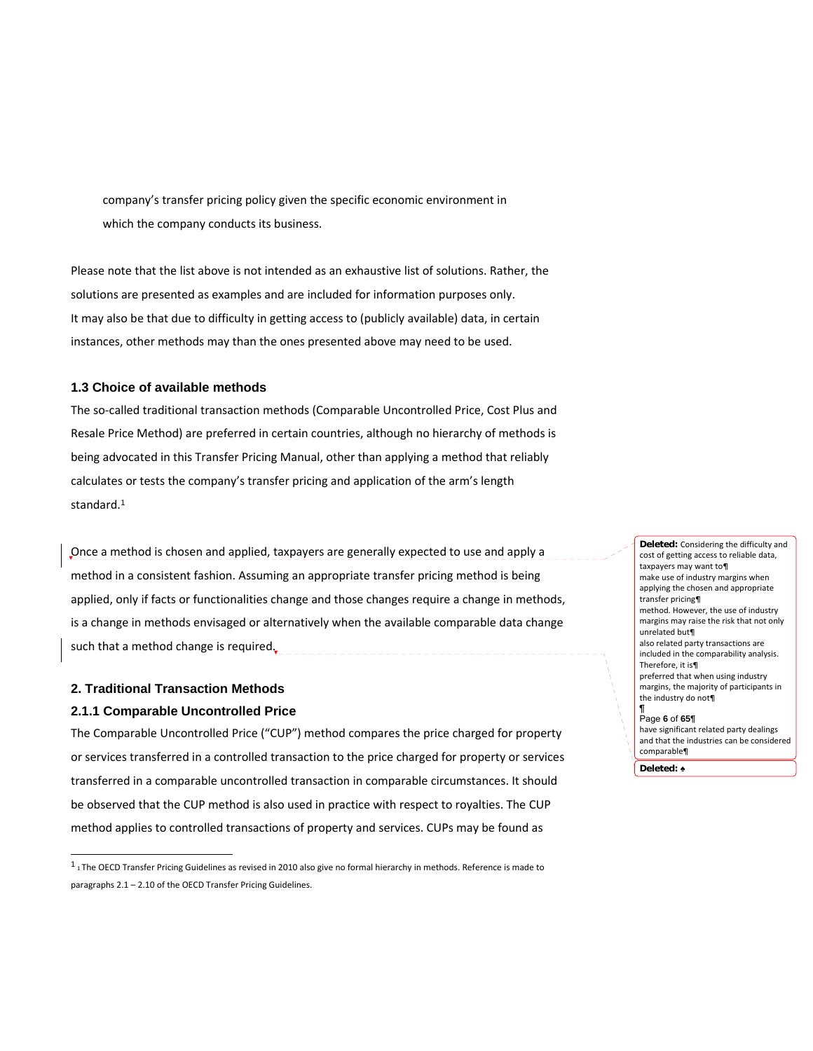company's transfer pricing policy given the specific economic environment in which the company conducts its business.

Please note that the list above is not intended as an exhaustive list of solutions. Rather, the solutions are presented as examples and are included for information purposes only. It may also be that due to difficulty in getting access to (publicly available) data, in certain instances, other methods may than the ones presented above may need to be used.

# **1.3 Choice of available methods**

The so‐called traditional transaction methods (Comparable Uncontrolled Price, Cost Plus and Resale Price Method) are preferred in certain countries, although no hierarchy of methods is being advocated in this Transfer Pricing Manual, other than applying a method that reliably calculates or tests the company's transfer pricing and application of the arm's length standard.<sup>1</sup>

Once a method is chosen and applied, taxpayers are generally expected to use and apply a method in a consistent fashion. Assuming an appropriate transfer pricing method is being applied, only if facts or functionalities change and those changes require a change in methods, is a change in methods envisaged or alternatively when the available comparable data change such that a method change is required.

# **2. Traditional Transaction Methods 2.1.1 Comparable Uncontrolled Price**

l

The Comparable Uncontrolled Price ("CUP") method compares the price charged for property or services transferred in a controlled transaction to the price charged for property or services transferred in a comparable uncontrolled transaction in comparable circumstances. It should be observed that the CUP method is also used in practice with respect to royalties. The CUP method applies to controlled transactions of property and services. CUPs may be found as

cost of getting access to reliable data, taxpayers may want to¶ make use of industry margins when applying the chosen and appropriate transfer pricing¶ method. However, the use of industry margins may raise the risk that not only unrelated but¶ also related party transactions are included in the comparability analysis. Therefore, it is¶ preferred that when using industry margins, the majority of participants in the industry do not¶ ¶ Page **6** of **65¶** have significant related party dealings and that the industries can be considered comparable¶

**Deleted:** Considering the difficulty and

**Deleted:** ♠

 $1$  1 The OECD Transfer Pricing Guidelines as revised in 2010 also give no formal hierarchy in methods. Reference is made to paragraphs 2.1 – 2.10 of the OECD Transfer Pricing Guidelines.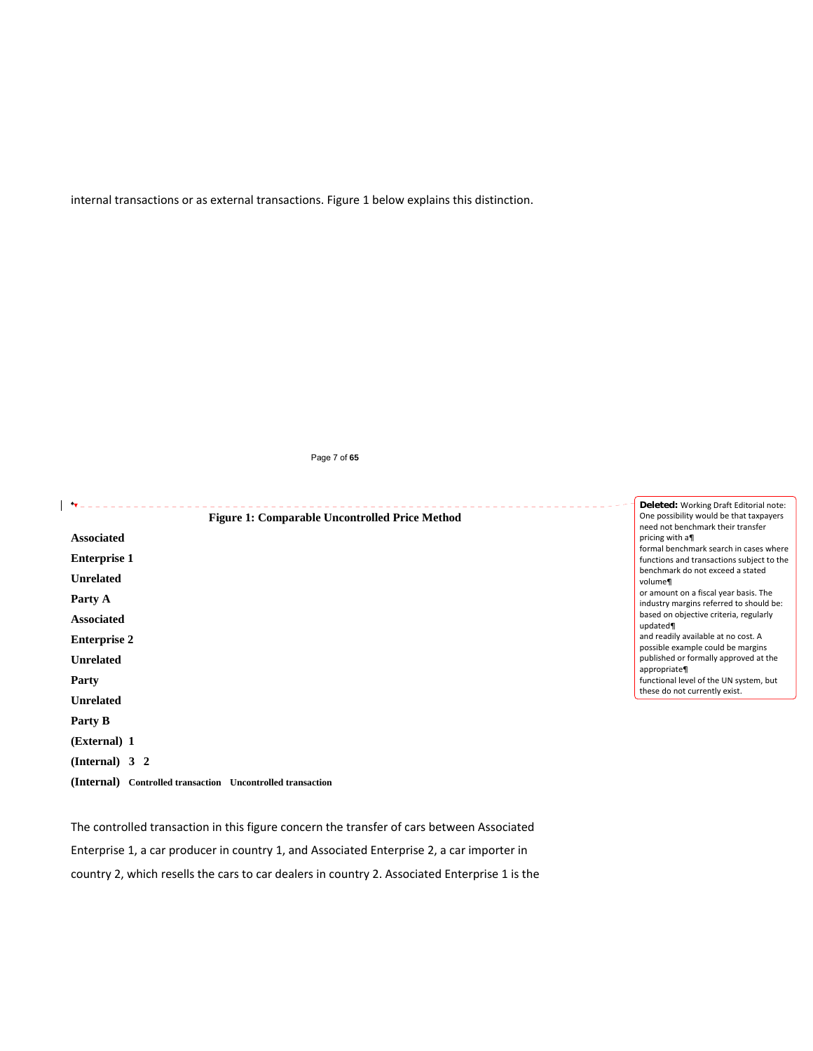internal transactions or as external transactions. Figure 1 below explains this distinction.

### Page 7 of **65**

| $\mathbf{r}$<br><b>Figure 1: Comparable Uncontrolled Price Method</b> | Deleted: Working Draft Editorial note:<br>One possibility would be that taxpayers         |
|-----------------------------------------------------------------------|-------------------------------------------------------------------------------------------|
| <b>Associated</b>                                                     | need not benchmark their transfer<br>pricing with a                                       |
| <b>Enterprise 1</b>                                                   | formal benchmark search in cases where<br>functions and transactions subject to the       |
| <b>Unrelated</b>                                                      | benchmark do not exceed a stated<br>volume¶                                               |
| Party A                                                               | or amount on a fiscal year basis. The<br>industry margins referred to should be:          |
| <b>Associated</b>                                                     | based on objective criteria, regularly<br>updated¶                                        |
| <b>Enterprise 2</b>                                                   | and readily available at no cost. A                                                       |
| <b>Unrelated</b>                                                      | possible example could be margins<br>published or formally approved at the<br>appropriate |
| Party                                                                 | functional level of the UN system, but                                                    |
| <b>Unrelated</b>                                                      | these do not currently exist.                                                             |
| Party B                                                               |                                                                                           |
| (External) 1                                                          |                                                                                           |
| (Internal) $3\ 2$                                                     |                                                                                           |
| (Internal)<br>Controlled transaction Uncontrolled transaction         |                                                                                           |

The controlled transaction in this figure concern the transfer of cars between Associated

Enterprise 1, a car producer in country 1, and Associated Enterprise 2, a car importer in

country 2, which resells the cars to car dealers in country 2. Associated Enterprise 1 is the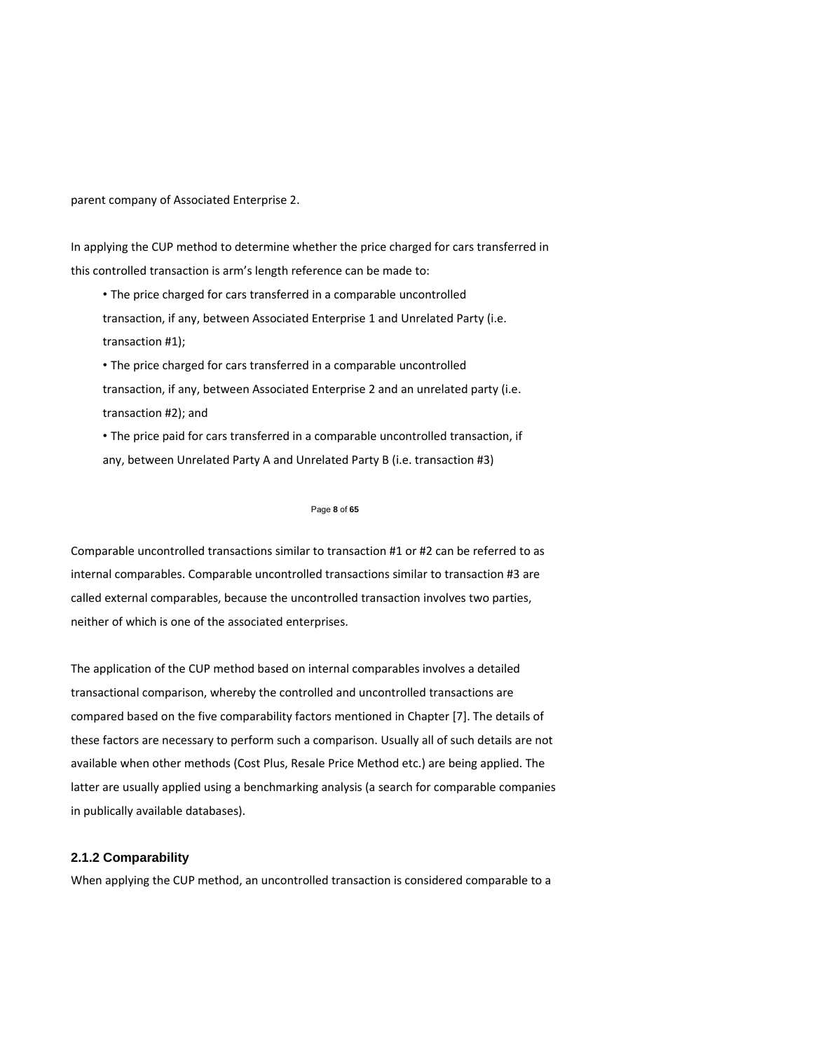parent company of Associated Enterprise 2.

In applying the CUP method to determine whether the price charged for cars transferred in this controlled transaction is arm's length reference can be made to:

• The price charged for cars transferred in a comparable uncontrolled transaction, if any, between Associated Enterprise 1 and Unrelated Party (i.e. transaction #1);

• The price charged for cars transferred in a comparable uncontrolled transaction, if any, between Associated Enterprise 2 and an unrelated party (i.e. transaction #2); and

• The price paid for cars transferred in a comparable uncontrolled transaction, if any, between Unrelated Party A and Unrelated Party B (i.e. transaction #3)

#### Page **8** of **65**

Comparable uncontrolled transactions similar to transaction #1 or #2 can be referred to as internal comparables. Comparable uncontrolled transactions similar to transaction #3 are called external comparables, because the uncontrolled transaction involves two parties, neither of which is one of the associated enterprises.

The application of the CUP method based on internal comparables involves a detailed transactional comparison, whereby the controlled and uncontrolled transactions are compared based on the five comparability factors mentioned in Chapter [7]. The details of these factors are necessary to perform such a comparison. Usually all of such details are not available when other methods (Cost Plus, Resale Price Method etc.) are being applied. The latter are usually applied using a benchmarking analysis (a search for comparable companies in publically available databases).

# **2.1.2 Comparability**

When applying the CUP method, an uncontrolled transaction is considered comparable to a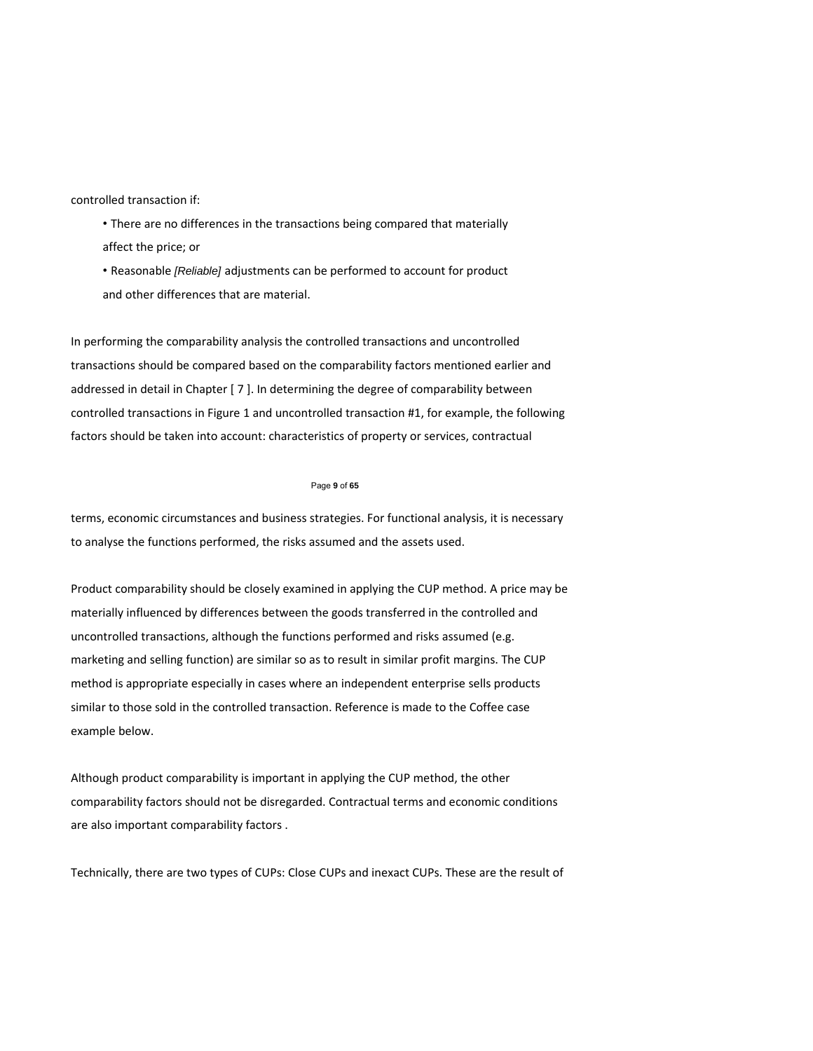controlled transaction if:

• There are no differences in the transactions being compared that materially affect the price; or

• Reasonable *[Reliable]* adjustments can be performed to account for product and other differences that are material.

In performing the comparability analysis the controlled transactions and uncontrolled transactions should be compared based on the comparability factors mentioned earlier and addressed in detail in Chapter [ 7 ]. In determining the degree of comparability between controlled transactions in Figure 1 and uncontrolled transaction #1, for example, the following factors should be taken into account: characteristics of property or services, contractual

#### Page **9** of **65**

terms, economic circumstances and business strategies. For functional analysis, it is necessary to analyse the functions performed, the risks assumed and the assets used.

Product comparability should be closely examined in applying the CUP method. A price may be materially influenced by differences between the goods transferred in the controlled and uncontrolled transactions, although the functions performed and risks assumed (e.g. marketing and selling function) are similar so as to result in similar profit margins. The CUP method is appropriate especially in cases where an independent enterprise sells products similar to those sold in the controlled transaction. Reference is made to the Coffee case example below.

Although product comparability is important in applying the CUP method, the other comparability factors should not be disregarded. Contractual terms and economic conditions are also important comparability factors .

Technically, there are two types of CUPs: Close CUPs and inexact CUPs. These are the result of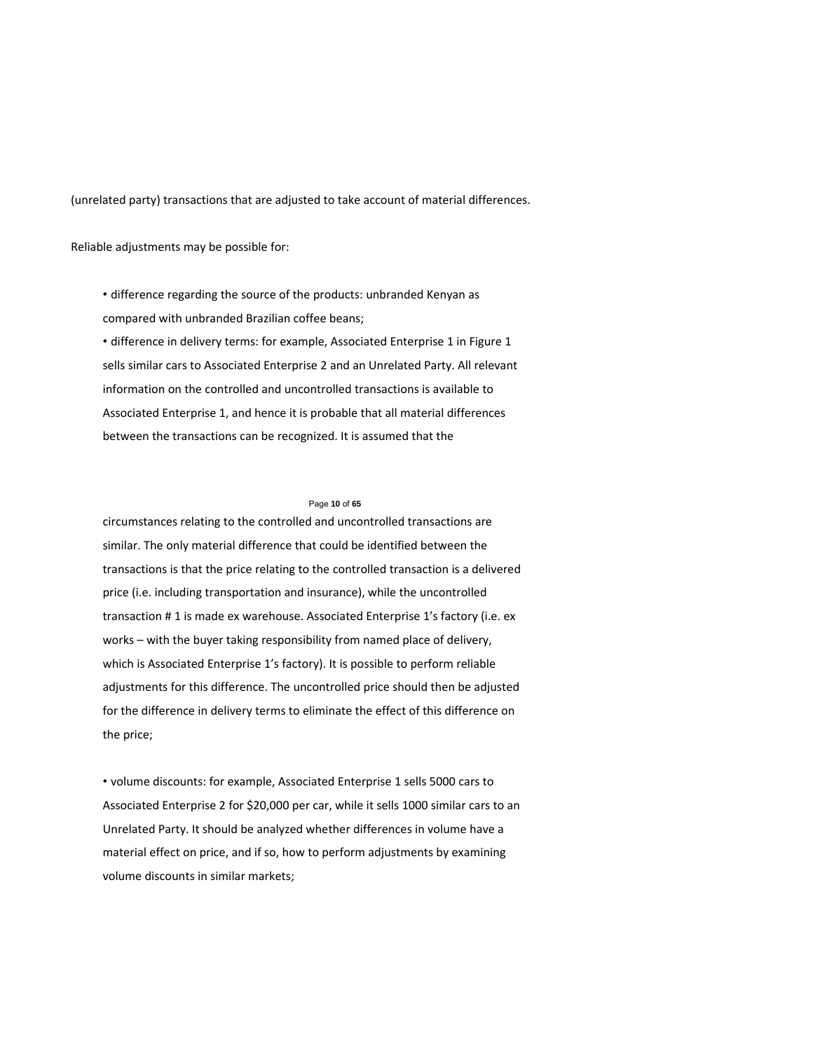(unrelated party) transactions that are adjusted to take account of material differences.

Reliable adjustments may be possible for:

• difference regarding the source of the products: unbranded Kenyan as compared with unbranded Brazilian coffee beans;

• difference in delivery terms: for example, Associated Enterprise 1 in Figure 1 sells similar cars to Associated Enterprise 2 and an Unrelated Party. All relevant information on the controlled and uncontrolled transactions is available to Associated Enterprise 1, and hence it is probable that all material differences between the transactions can be recognized. It is assumed that the

### Page **10** of **65**

circumstances relating to the controlled and uncontrolled transactions are similar. The only material difference that could be identified between the transactions is that the price relating to the controlled transaction is a delivered price (i.e. including transportation and insurance), while the uncontrolled transaction # 1 is made ex warehouse. Associated Enterprise 1's factory (i.e. ex works – with the buyer taking responsibility from named place of delivery, which is Associated Enterprise 1's factory). It is possible to perform reliable adjustments for this difference. The uncontrolled price should then be adjusted for the difference in delivery terms to eliminate the effect of this difference on the price;

• volume discounts: for example, Associated Enterprise 1 sells 5000 cars to Associated Enterprise 2 for \$20,000 per car, while it sells 1000 similar cars to an Unrelated Party. It should be analyzed whether differences in volume have a material effect on price, and if so, how to perform adjustments by examining volume discounts in similar markets;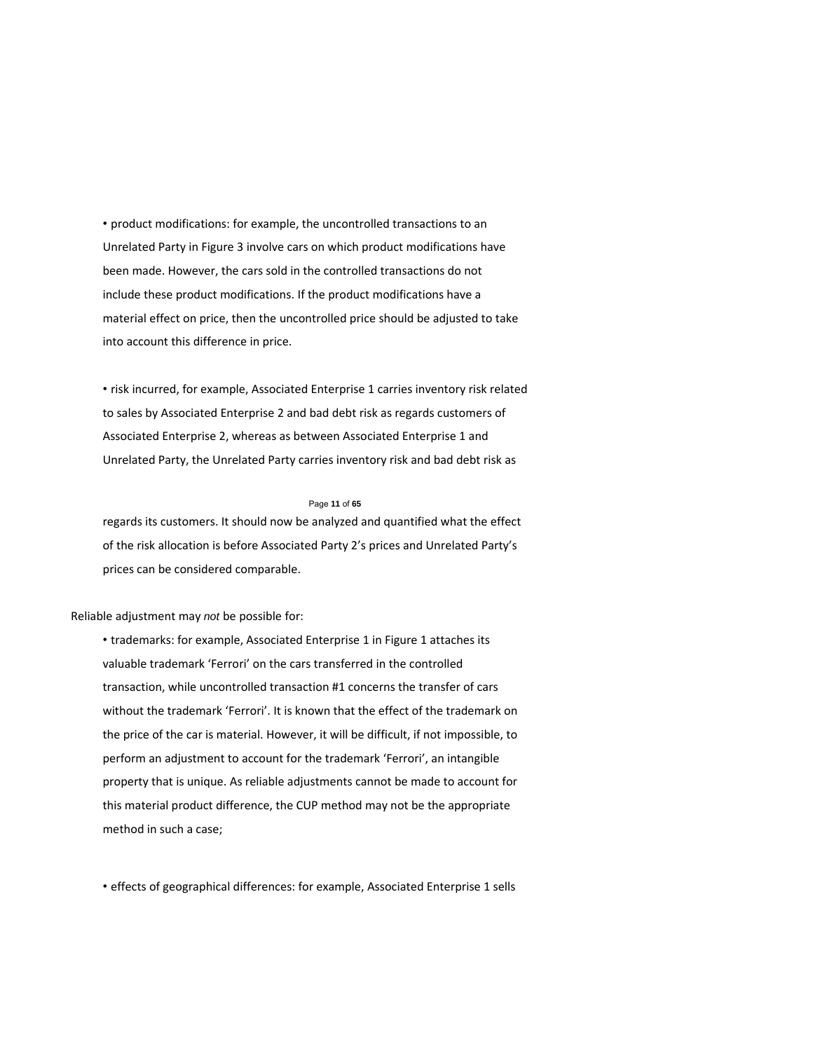• product modifications: for example, the uncontrolled transactions to an Unrelated Party in Figure 3 involve cars on which product modifications have been made. However, the cars sold in the controlled transactions do not include these product modifications. If the product modifications have a material effect on price, then the uncontrolled price should be adjusted to take into account this difference in price.

• risk incurred, for example, Associated Enterprise 1 carries inventory risk related to sales by Associated Enterprise 2 and bad debt risk as regards customers of Associated Enterprise 2, whereas as between Associated Enterprise 1 and Unrelated Party, the Unrelated Party carries inventory risk and bad debt risk as

### Page **11** of **65**

regards its customers. It should now be analyzed and quantified what the effect of the risk allocation is before Associated Party 2's prices and Unrelated Party's prices can be considered comparable.

Reliable adjustment may *not* be possible for:

• trademarks: for example, Associated Enterprise 1 in Figure 1 attaches its valuable trademark 'Ferrori' on the cars transferred in the controlled transaction, while uncontrolled transaction #1 concerns the transfer of cars without the trademark 'Ferrori'. It is known that the effect of the trademark on the price of the car is material. However, it will be difficult, if not impossible, to perform an adjustment to account for the trademark 'Ferrori', an intangible property that is unique. As reliable adjustments cannot be made to account for this material product difference, the CUP method may not be the appropriate method in such a case;

• effects of geographical differences: for example, Associated Enterprise 1 sells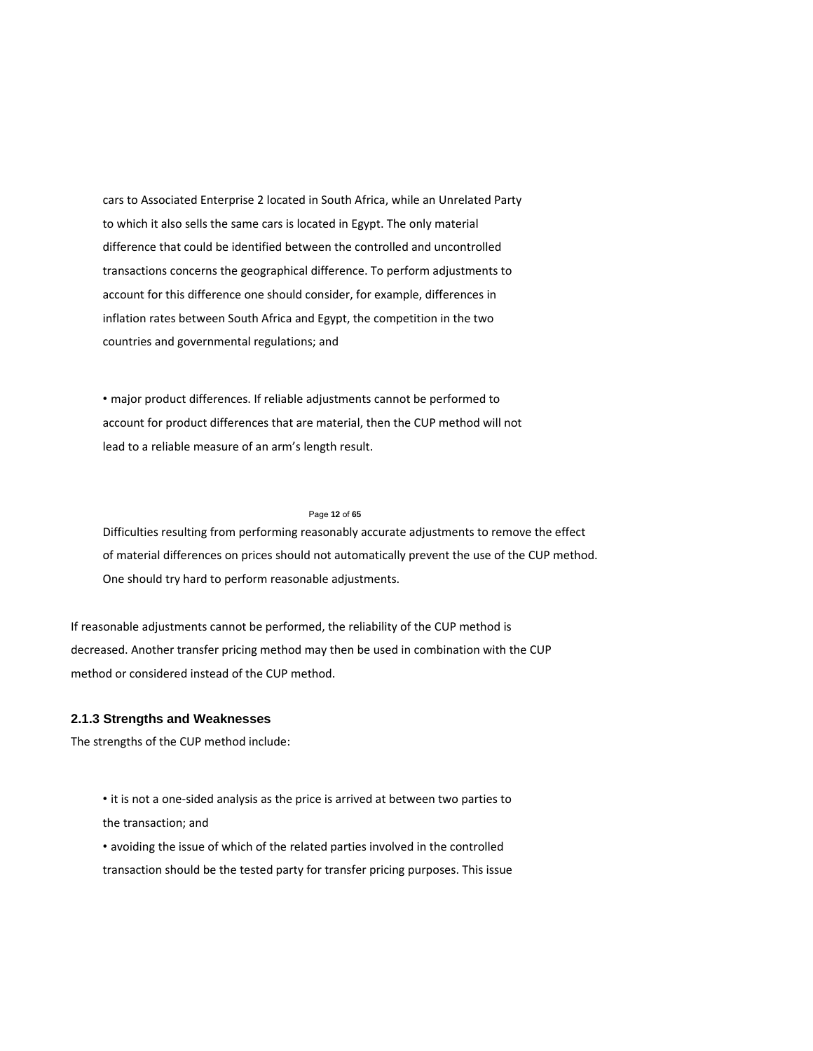cars to Associated Enterprise 2 located in South Africa, while an Unrelated Party to which it also sells the same cars is located in Egypt. The only material difference that could be identified between the controlled and uncontrolled transactions concerns the geographical difference. To perform adjustments to account for this difference one should consider, for example, differences in inflation rates between South Africa and Egypt, the competition in the two countries and governmental regulations; and

• major product differences. If reliable adjustments cannot be performed to account for product differences that are material, then the CUP method will not lead to a reliable measure of an arm's length result.

#### Page **12** of **65**

Difficulties resulting from performing reasonably accurate adjustments to remove the effect of material differences on prices should not automatically prevent the use of the CUP method. One should try hard to perform reasonable adjustments.

If reasonable adjustments cannot be performed, the reliability of the CUP method is decreased. Another transfer pricing method may then be used in combination with the CUP method or considered instead of the CUP method.

# **2.1.3 Strengths and Weaknesses**

The strengths of the CUP method include:

• it is not a one‐sided analysis as the price is arrived at between two parties to the transaction; and

• avoiding the issue of which of the related parties involved in the controlled transaction should be the tested party for transfer pricing purposes. This issue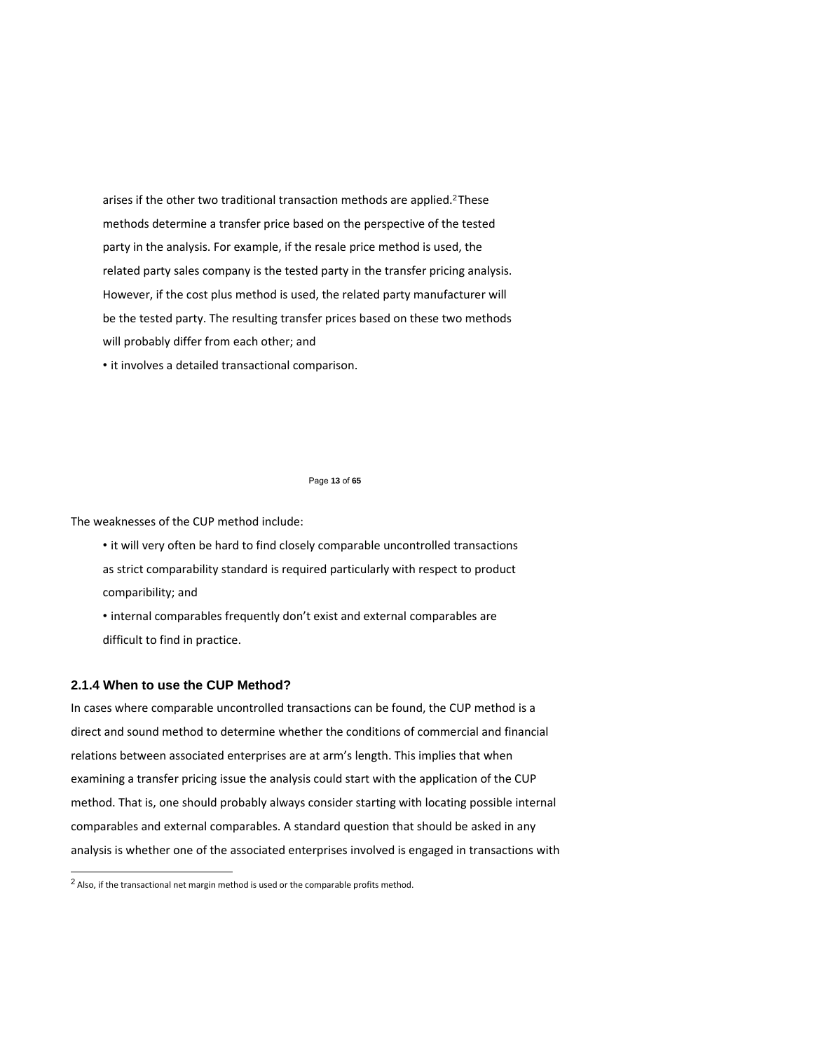arises if the other two traditional transaction methods are applied.<sup>2</sup> These methods determine a transfer price based on the perspective of the tested party in the analysis. For example, if the resale price method is used, the related party sales company is the tested party in the transfer pricing analysis. However, if the cost plus method is used, the related party manufacturer will be the tested party. The resulting transfer prices based on these two methods will probably differ from each other; and

• it involves a detailed transactional comparison.

#### Page **13** of **65**

The weaknesses of the CUP method include:

• it will very often be hard to find closely comparable uncontrolled transactions as strict comparability standard is required particularly with respect to product comparibility; and

• internal comparables frequently don't exist and external comparables are difficult to find in practice.

## **2.1.4 When to use the CUP Method?**

 $\overline{a}$ 

In cases where comparable uncontrolled transactions can be found, the CUP method is a direct and sound method to determine whether the conditions of commercial and financial relations between associated enterprises are at arm's length. This implies that when examining a transfer pricing issue the analysis could start with the application of the CUP method. That is, one should probably always consider starting with locating possible internal comparables and external comparables. A standard question that should be asked in any analysis is whether one of the associated enterprises involved is engaged in transactions with

 $<sup>2</sup>$  Also, if the transactional net margin method is used or the comparable profits method.</sup>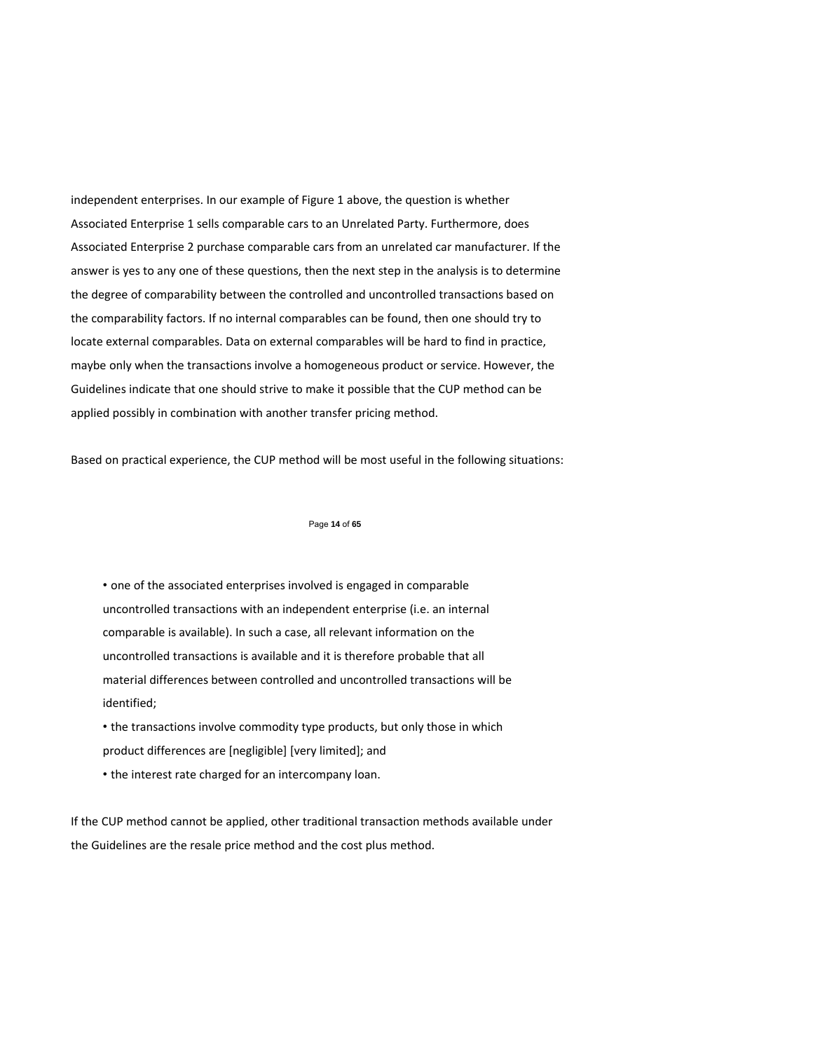independent enterprises. In our example of Figure 1 above, the question is whether Associated Enterprise 1 sells comparable cars to an Unrelated Party. Furthermore, does Associated Enterprise 2 purchase comparable cars from an unrelated car manufacturer. If the answer is yes to any one of these questions, then the next step in the analysis is to determine the degree of comparability between the controlled and uncontrolled transactions based on the comparability factors. If no internal comparables can be found, then one should try to locate external comparables. Data on external comparables will be hard to find in practice, maybe only when the transactions involve a homogeneous product or service. However, the Guidelines indicate that one should strive to make it possible that the CUP method can be applied possibly in combination with another transfer pricing method.

Based on practical experience, the CUP method will be most useful in the following situations:

### Page **14** of **65**

• one of the associated enterprises involved is engaged in comparable uncontrolled transactions with an independent enterprise (i.e. an internal comparable is available). In such a case, all relevant information on the uncontrolled transactions is available and it is therefore probable that all material differences between controlled and uncontrolled transactions will be identified;

• the transactions involve commodity type products, but only those in which product differences are [negligible] [very limited]; and

• the interest rate charged for an intercompany loan.

If the CUP method cannot be applied, other traditional transaction methods available under the Guidelines are the resale price method and the cost plus method.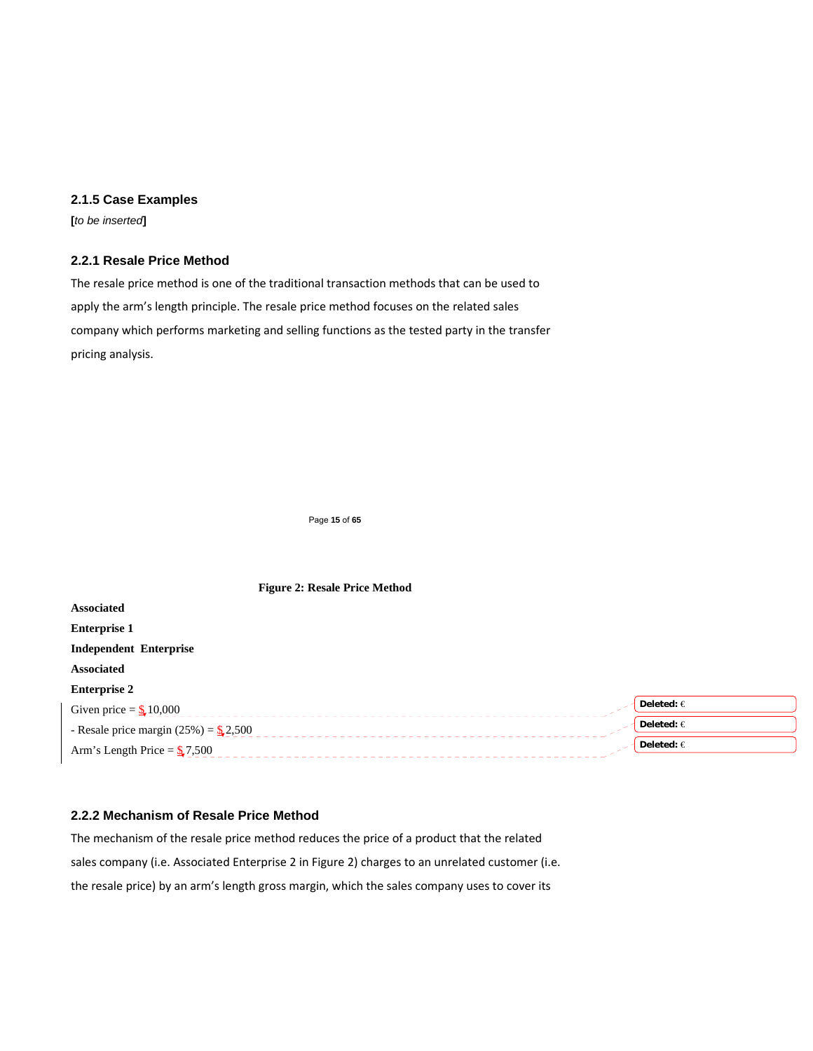# **2.1.5 Case Examples**

**[***to be inserted***]** 

# **2.2.1 Resale Price Method**

The resale price method is one of the traditional transaction methods that can be used to apply the arm's length principle. The resale price method focuses on the related sales company which performs marketing and selling functions as the tested party in the transfer pricing analysis.

Page **15** of **65** 

| <b>Figure 2: Resale Price Method</b>      |                |
|-------------------------------------------|----------------|
| <b>Associated</b>                         |                |
| <b>Enterprise 1</b>                       |                |
| <b>Independent Enterprise</b>             |                |
| <b>Associated</b>                         |                |
| <b>Enterprise 2</b>                       |                |
| Given price = $\frac{6}{3}$ 10,000        | Deleted: $\in$ |
| - Resale price margin $(25%) =$ \$\$2,500 | Deleted: $\in$ |
| Arm's Length Price = $\frac{6}{3}$ 7,500  | Deleted: $\in$ |

# **2.2.2 Mechanism of Resale Price Method**

The mechanism of the resale price method reduces the price of a product that the related sales company (i.e. Associated Enterprise 2 in Figure 2) charges to an unrelated customer (i.e. the resale price) by an arm's length gross margin, which the sales company uses to cover its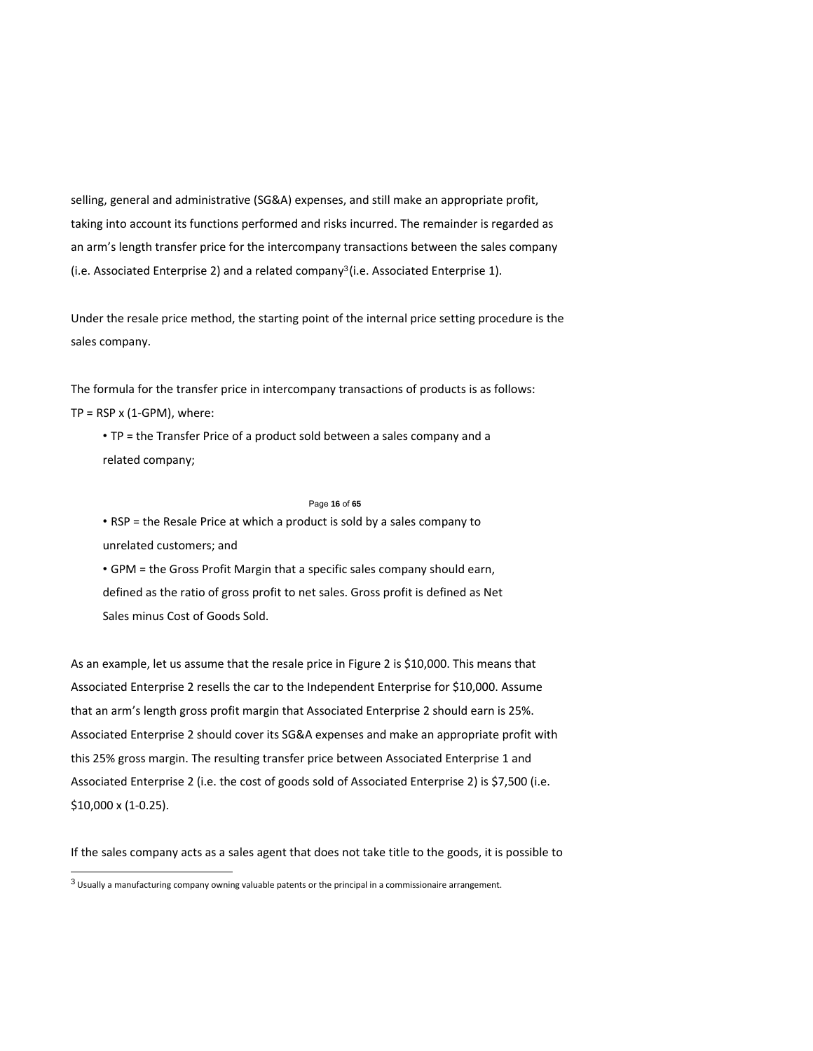selling, general and administrative (SG&A) expenses, and still make an appropriate profit, taking into account its functions performed and risks incurred. The remainder is regarded as an arm's length transfer price for the intercompany transactions between the sales company (i.e. Associated Enterprise 2) and a related company<sup>3</sup> (i.e. Associated Enterprise 1).

Under the resale price method, the starting point of the internal price setting procedure is the sales company.

The formula for the transfer price in intercompany transactions of products is as follows:  $TP = RSP \times (1-GPM)$ , where:

• TP = the Transfer Price of a product sold between a sales company and a related company;

### Page **16** of **65**

• RSP = the Resale Price at which a product is sold by a sales company to unrelated customers; and

• GPM = the Gross Profit Margin that a specific sales company should earn, defined as the ratio of gross profit to net sales. Gross profit is defined as Net Sales minus Cost of Goods Sold.

As an example, let us assume that the resale price in Figure 2 is \$10,000. This means that Associated Enterprise 2 resells the car to the Independent Enterprise for \$10,000. Assume that an arm's length gross profit margin that Associated Enterprise 2 should earn is 25%. Associated Enterprise 2 should cover its SG&A expenses and make an appropriate profit with this 25% gross margin. The resulting transfer price between Associated Enterprise 1 and Associated Enterprise 2 (i.e. the cost of goods sold of Associated Enterprise 2) is \$7,500 (i.e. \$10,000 x (1‐0.25).

If the sales company acts as a sales agent that does not take title to the goods, it is possible to

 $\overline{a}$ 

 $3$  Usually a manufacturing company owning valuable patents or the principal in a commissionaire arrangement.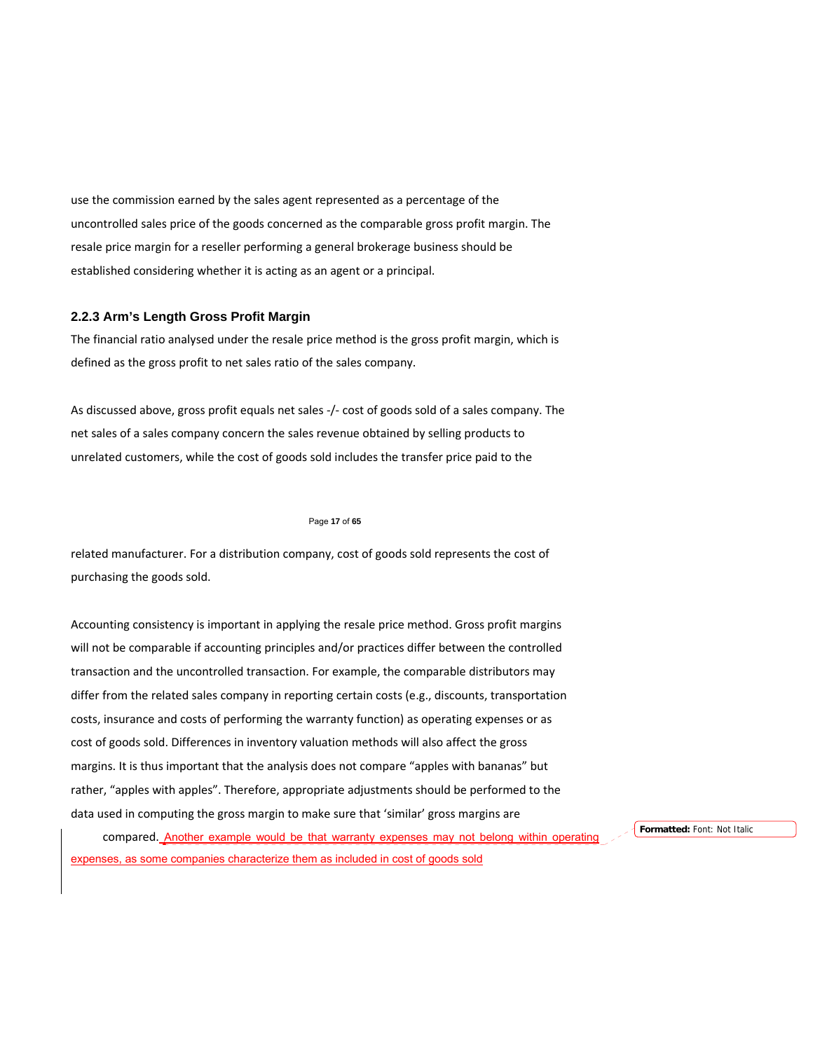use the commission earned by the sales agent represented as a percentage of the uncontrolled sales price of the goods concerned as the comparable gross profit margin. The resale price margin for a reseller performing a general brokerage business should be established considering whether it is acting as an agent or a principal.

# **2.2.3 Arm's Length Gross Profit Margin**

The financial ratio analysed under the resale price method is the gross profit margin, which is defined as the gross profit to net sales ratio of the sales company.

As discussed above, gross profit equals net sales ‐/‐ cost of goods sold of a sales company. The net sales of a sales company concern the sales revenue obtained by selling products to unrelated customers, while the cost of goods sold includes the transfer price paid to the

#### Page **17** of **65**

related manufacturer. For a distribution company, cost of goods sold represents the cost of purchasing the goods sold.

Accounting consistency is important in applying the resale price method. Gross profit margins will not be comparable if accounting principles and/or practices differ between the controlled transaction and the uncontrolled transaction. For example, the comparable distributors may differ from the related sales company in reporting certain costs (e.g., discounts, transportation costs, insurance and costs of performing the warranty function) as operating expenses or as cost of goods sold. Differences in inventory valuation methods will also affect the gross margins. It is thus important that the analysis does not compare "apples with bananas" but rather, "apples with apples". Therefore, appropriate adjustments should be performed to the data used in computing the gross margin to make sure that 'similar' gross margins are

compared. Another example would be that warranty expenses may not belong within operating expenses, as some companies characterize them as included in cost of goods sold

**Formatted:** Font: Not Italic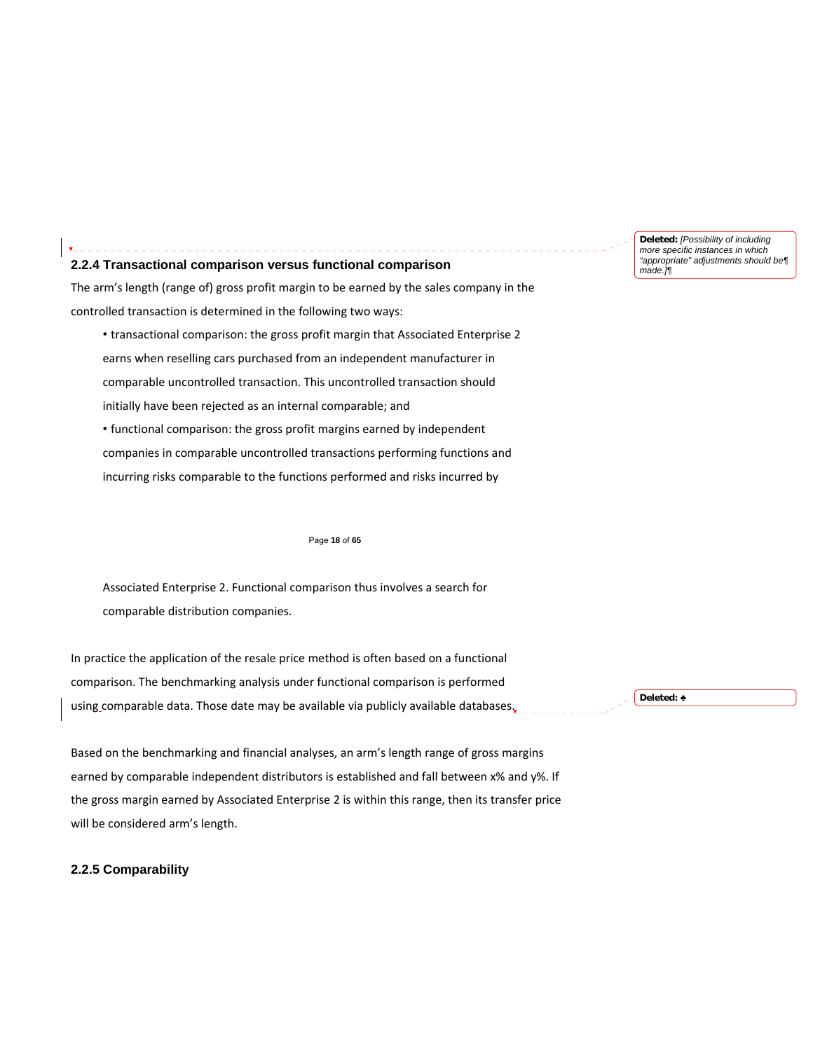**Deleted:** *[Possibility of including more specific instances in which "appropriate" adjustments should be¶ made.]¶*

### **2.2.4 Transactional comparison versus functional comparison**

The arm's length (range of) gross profit margin to be earned by the sales company in the controlled transaction is determined in the following two ways:

• transactional comparison: the gross profit margin that Associated Enterprise 2 earns when reselling cars purchased from an independent manufacturer in comparable uncontrolled transaction. This uncontrolled transaction should initially have been rejected as an internal comparable; and

• functional comparison: the gross profit margins earned by independent companies in comparable uncontrolled transactions performing functions and incurring risks comparable to the functions performed and risks incurred by

#### Page **18** of **65**

Associated Enterprise 2. Functional comparison thus involves a search for comparable distribution companies.

In practice the application of the resale price method is often based on a functional comparison. The benchmarking analysis under functional comparison is performed using comparable data. Those date may be available via publicly available databases.

**Deleted:** ♣

Based on the benchmarking and financial analyses, an arm's length range of gross margins earned by comparable independent distributors is established and fall between x% and y%. If the gross margin earned by Associated Enterprise 2 is within this range, then its transfer price will be considered arm's length.

# **2.2.5 Comparability**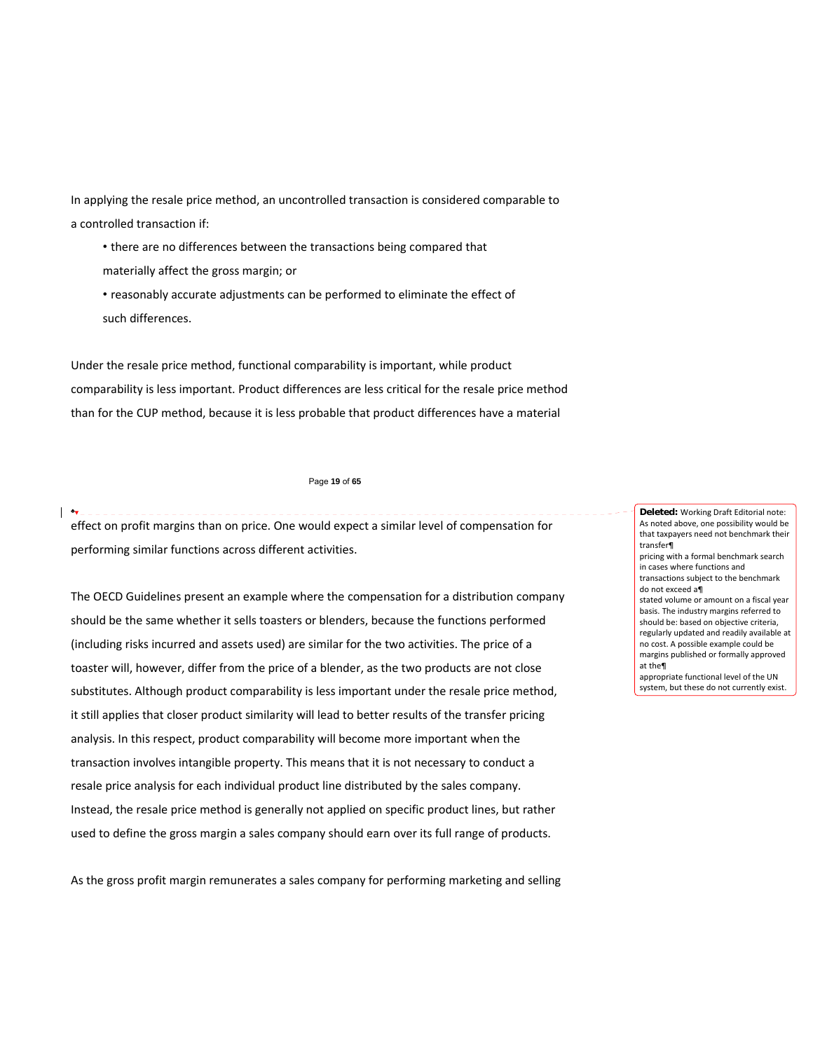In applying the resale price method, an uncontrolled transaction is considered comparable to a controlled transaction if:

• there are no differences between the transactions being compared that materially affect the gross margin; or

• reasonably accurate adjustments can be performed to eliminate the effect of such differences.

Under the resale price method, functional comparability is important, while product comparability is less important. Product differences are less critical for the resale price method than for the CUP method, because it is less probable that product differences have a material

#### Page **19** of **65**

# ♣ effect on profit margins than on price. One would expect a similar level of compensation for performing similar functions across different activities.

The OECD Guidelines present an example where the compensation for a distribution company should be the same whether it sells toasters or blenders, because the functions performed (including risks incurred and assets used) are similar for the two activities. The price of a toaster will, however, differ from the price of a blender, as the two products are not close substitutes. Although product comparability is less important under the resale price method, it still applies that closer product similarity will lead to better results of the transfer pricing analysis. In this respect, product comparability will become more important when the transaction involves intangible property. This means that it is not necessary to conduct a resale price analysis for each individual product line distributed by the sales company. Instead, the resale price method is generally not applied on specific product lines, but rather used to define the gross margin a sales company should earn over its full range of products.

transfer¶ pricing with a formal benchmark search in cases where functions and transactions subject to the benchmark do not exceed a¶ stated volume or amount on a fiscal year basis. The industry margins referred to should be: based on objective criteria, regularly updated and readily available at no cost. A possible example could be margins published or formally approved at the¶ appropriate functional level of the UN system, but these do not currently exist.

**Deleted:** Working Draft Editorial note: As noted above, one possibility would be that taxpayers need not benchmark their

As the gross profit margin remunerates a sales company for performing marketing and selling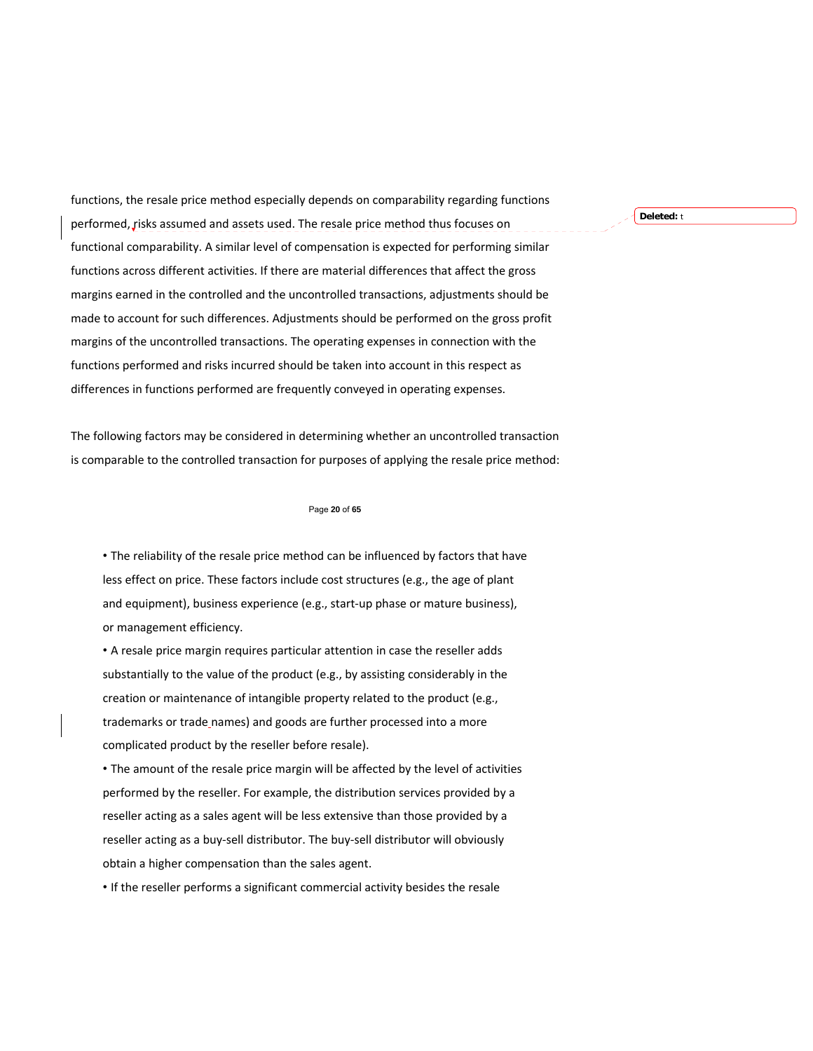functions, the resale price method especially depends on comparability regarding functions performed, risks assumed and assets used. The resale price method thus focuses on functional comparability. A similar level of compensation is expected for performing similar functions across different activities. If there are material differences that affect the gross margins earned in the controlled and the uncontrolled transactions, adjustments should be made to account for such differences. Adjustments should be performed on the gross profit margins of the uncontrolled transactions. The operating expenses in connection with the functions performed and risks incurred should be taken into account in this respect as differences in functions performed are frequently conveyed in operating expenses.

The following factors may be considered in determining whether an uncontrolled transaction is comparable to the controlled transaction for purposes of applying the resale price method:

### Page **20** of **65**

• The reliability of the resale price method can be influenced by factors that have less effect on price. These factors include cost structures (e.g., the age of plant and equipment), business experience (e.g., start-up phase or mature business), or management efficiency.

• A resale price margin requires particular attention in case the reseller adds substantially to the value of the product (e.g., by assisting considerably in the creation or maintenance of intangible property related to the product (e.g., trademarks or trade names) and goods are further processed into a more complicated product by the reseller before resale).

• The amount of the resale price margin will be affected by the level of activities performed by the reseller. For example, the distribution services provided by a reseller acting as a sales agent will be less extensive than those provided by a reseller acting as a buy‐sell distributor. The buy‐sell distributor will obviously obtain a higher compensation than the sales agent.

• If the reseller performs a significant commercial activity besides the resale

**Deleted:** t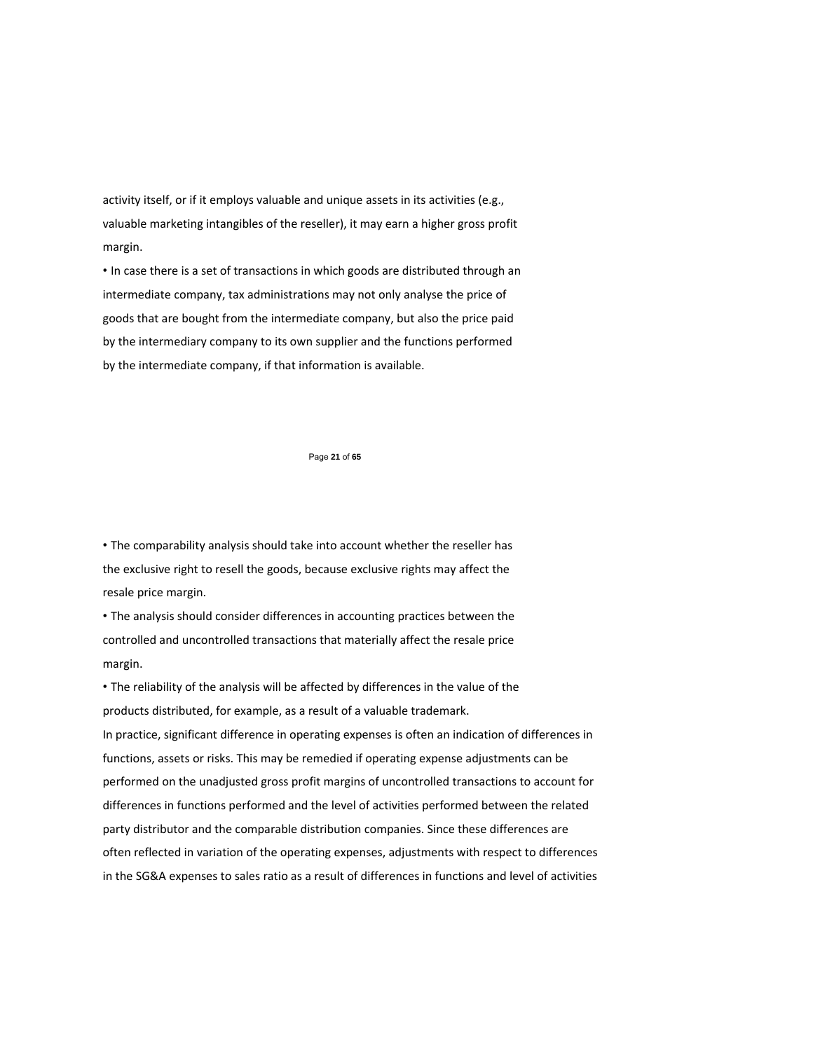activity itself, or if it employs valuable and unique assets in its activities (e.g., valuable marketing intangibles of the reseller), it may earn a higher gross profit margin.

• In case there is a set of transactions in which goods are distributed through an intermediate company, tax administrations may not only analyse the price of goods that are bought from the intermediate company, but also the price paid by the intermediary company to its own supplier and the functions performed by the intermediate company, if that information is available.

#### Page **21** of **65**

• The comparability analysis should take into account whether the reseller has the exclusive right to resell the goods, because exclusive rights may affect the resale price margin.

• The analysis should consider differences in accounting practices between the controlled and uncontrolled transactions that materially affect the resale price margin.

• The reliability of the analysis will be affected by differences in the value of the products distributed, for example, as a result of a valuable trademark.

In practice, significant difference in operating expenses is often an indication of differences in functions, assets or risks. This may be remedied if operating expense adjustments can be performed on the unadjusted gross profit margins of uncontrolled transactions to account for differences in functions performed and the level of activities performed between the related party distributor and the comparable distribution companies. Since these differences are often reflected in variation of the operating expenses, adjustments with respect to differences in the SG&A expenses to sales ratio as a result of differences in functions and level of activities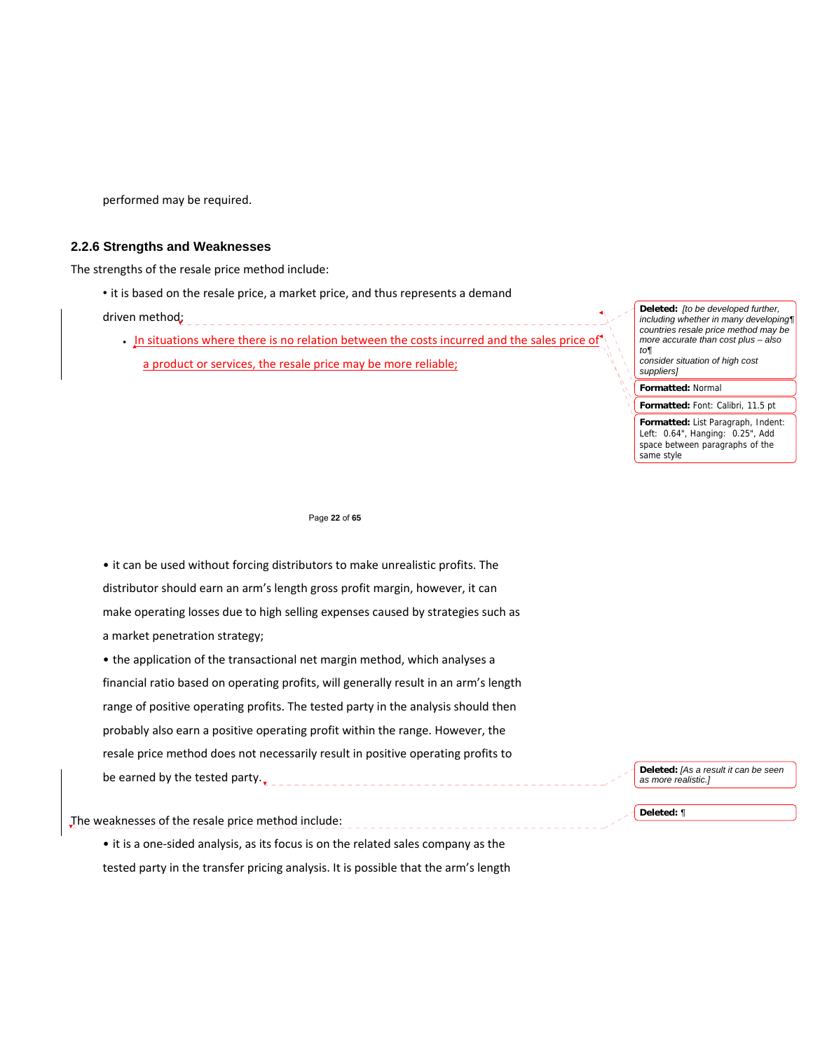performed may be required.

# **2.2.6 Strengths and Weaknesses**

The strengths of the resale price method include:

• it is based on the resale price, a market price, and thus represents a demand

driven method;

 In situations where there is no relation between the costs incurred and the sales price of a product or services, the resale price may be more reliable;

**Deleted:** *[to be developed further, including whether in many developing¶ countries resale price method may be more accurate than cost plus – also to¶ consider situation of high cost suppliers]*

**Formatted:** Normal

**Formatted:** Font: Calibri, 11.5 pt

**Formatted:** List Paragraph, Indent: Left: 0.64", Hanging: 0.25", Add space between paragraphs of the same style

#### Page **22** of **65**

• it can be used without forcing distributors to make unrealistic profits. The distributor should earn an arm's length gross profit margin, however, it can make operating losses due to high selling expenses caused by strategies such as a market penetration strategy;

• the application of the transactional net margin method, which analyses a financial ratio based on operating profits, will generally result in an arm's length range of positive operating profits. The tested party in the analysis should then probably also earn a positive operating profit within the range. However, the resale price method does not necessarily result in positive operating profits to be earned by the tested party. $\frac{1}{2}$ 

# The weaknesses of the resale price method include:

• it is a one-sided analysis, as its focus is on the related sales company as the tested party in the transfer pricing analysis. It is possible that the arm's length

\_\_\_\_\_\_\_\_\_\_\_\_\_\_\_\_\_\_\_\_\_\_\_\_\_\_

**Deleted:** *[As a result it can be seen as more realistic.]*

**Deleted:** *¶*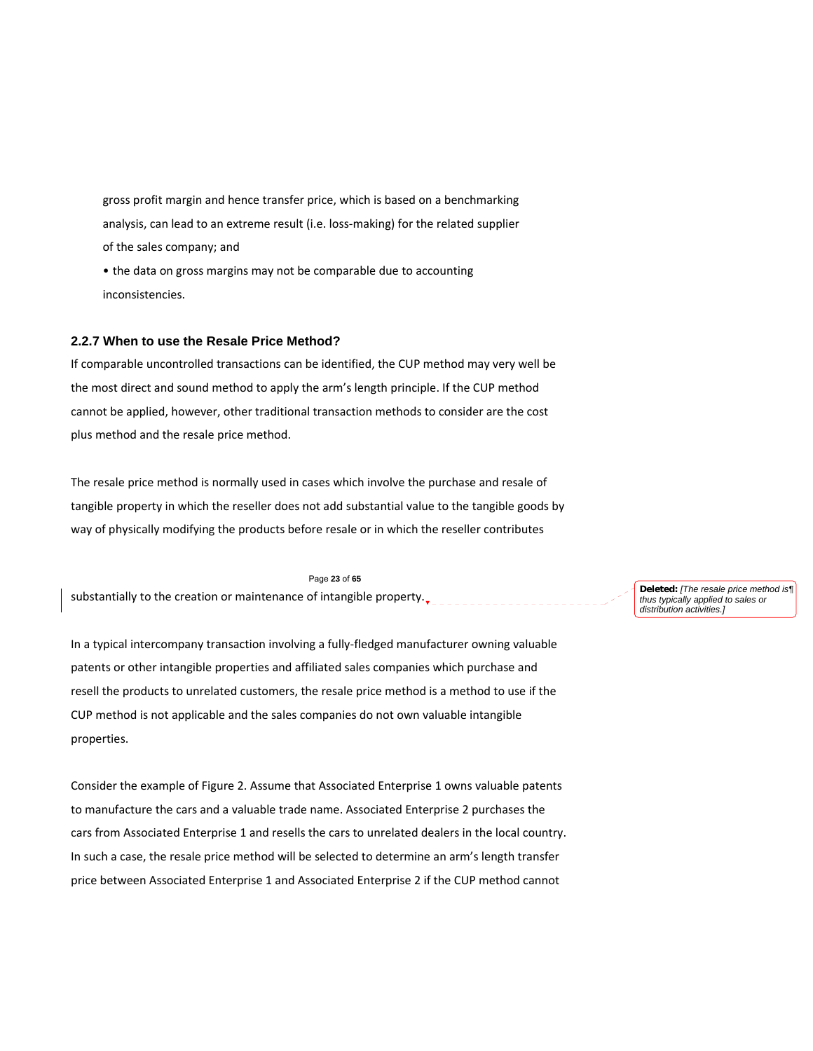gross profit margin and hence transfer price, which is based on a benchmarking analysis, can lead to an extreme result (i.e. loss‐making) for the related supplier of the sales company; and

• the data on gross margins may not be comparable due to accounting inconsistencies.

# **2.2.7 When to use the Resale Price Method?**

If comparable uncontrolled transactions can be identified, the CUP method may very well be the most direct and sound method to apply the arm's length principle. If the CUP method cannot be applied, however, other traditional transaction methods to consider are the cost plus method and the resale price method.

The resale price method is normally used in cases which involve the purchase and resale of tangible property in which the reseller does not add substantial value to the tangible goods by way of physically modifying the products before resale or in which the reseller contributes

Page **23** of **65** 

substantially to the creation or maintenance of intangible property. $\overline{y}$ 

In a typical intercompany transaction involving a fully‐fledged manufacturer owning valuable patents or other intangible properties and affiliated sales companies which purchase and resell the products to unrelated customers, the resale price method is a method to use if the CUP method is not applicable and the sales companies do not own valuable intangible properties.

Consider the example of Figure 2. Assume that Associated Enterprise 1 owns valuable patents to manufacture the cars and a valuable trade name. Associated Enterprise 2 purchases the cars from Associated Enterprise 1 and resells the cars to unrelated dealers in the local country. In such a case, the resale price method will be selected to determine an arm's length transfer price between Associated Enterprise 1 and Associated Enterprise 2 if the CUP method cannot

**Deleted:** *[The resale price method is¶ thus typically applied to sales or distribution activities.]*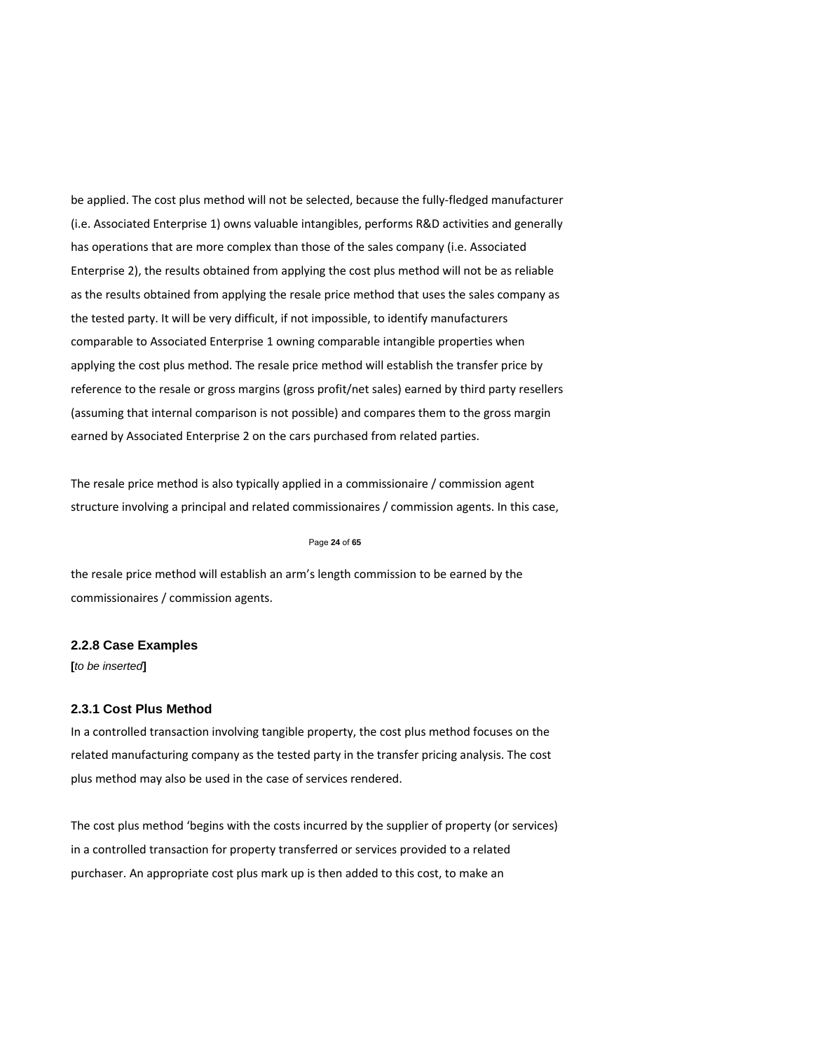be applied. The cost plus method will not be selected, because the fully-fledged manufacturer (i.e. Associated Enterprise 1) owns valuable intangibles, performs R&D activities and generally has operations that are more complex than those of the sales company (i.e. Associated Enterprise 2), the results obtained from applying the cost plus method will not be as reliable as the results obtained from applying the resale price method that uses the sales company as the tested party. It will be very difficult, if not impossible, to identify manufacturers comparable to Associated Enterprise 1 owning comparable intangible properties when applying the cost plus method. The resale price method will establish the transfer price by reference to the resale or gross margins (gross profit/net sales) earned by third party resellers (assuming that internal comparison is not possible) and compares them to the gross margin earned by Associated Enterprise 2 on the cars purchased from related parties.

The resale price method is also typically applied in a commissionaire / commission agent structure involving a principal and related commissionaires / commission agents. In this case,

#### Page **24** of **65**

the resale price method will establish an arm's length commission to be earned by the commissionaires / commission agents.

# **2.2.8 Case Examples**

**[***to be inserted***]** 

# **2.3.1 Cost Plus Method**

In a controlled transaction involving tangible property, the cost plus method focuses on the related manufacturing company as the tested party in the transfer pricing analysis. The cost plus method may also be used in the case of services rendered.

The cost plus method 'begins with the costs incurred by the supplier of property (or services) in a controlled transaction for property transferred or services provided to a related purchaser. An appropriate cost plus mark up is then added to this cost, to make an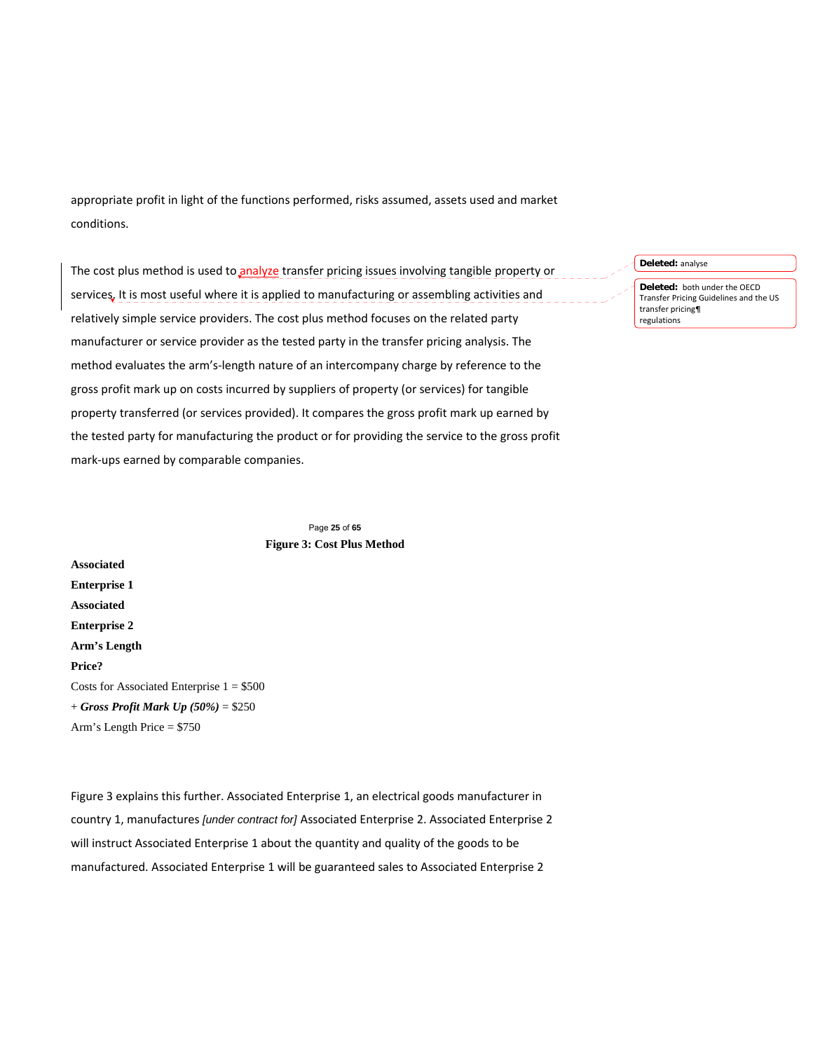appropriate profit in light of the functions performed, risks assumed, assets used and market conditions.

The cost plus method is used to analyze transfer pricing issues involving tangible property or services. It is most useful where it is applied to manufacturing or assembling activities and relatively simple service providers. The cost plus method focuses on the related party manufacturer or service provider as the tested party in the transfer pricing analysis. The method evaluates the arm's‐length nature of an intercompany charge by reference to the gross profit mark up on costs incurred by suppliers of property (or services) for tangible property transferred (or services provided). It compares the gross profit mark up earned by the tested party for manufacturing the product or for providing the service to the gross profit mark‐ups earned by comparable companies.

**Deleted:** analyse **Deleted:** both under the OECD Transfer Pricing Guidelines and the US transfer pricing¶

regulations

Page **25** of **65 Figure 3: Cost Plus Method** 

**Associated Enterprise 1 Associated Enterprise 2 Arm's Length Price?**  Costs for Associated Enterprise  $1 = $500$ + *Gross Profit Mark Up (50%)* = \$250 Arm's Length Price = \$750

Figure 3 explains this further. Associated Enterprise 1, an electrical goods manufacturer in country 1, manufactures *[under contract for]* Associated Enterprise 2. Associated Enterprise 2 will instruct Associated Enterprise 1 about the quantity and quality of the goods to be manufactured. Associated Enterprise 1 will be guaranteed sales to Associated Enterprise 2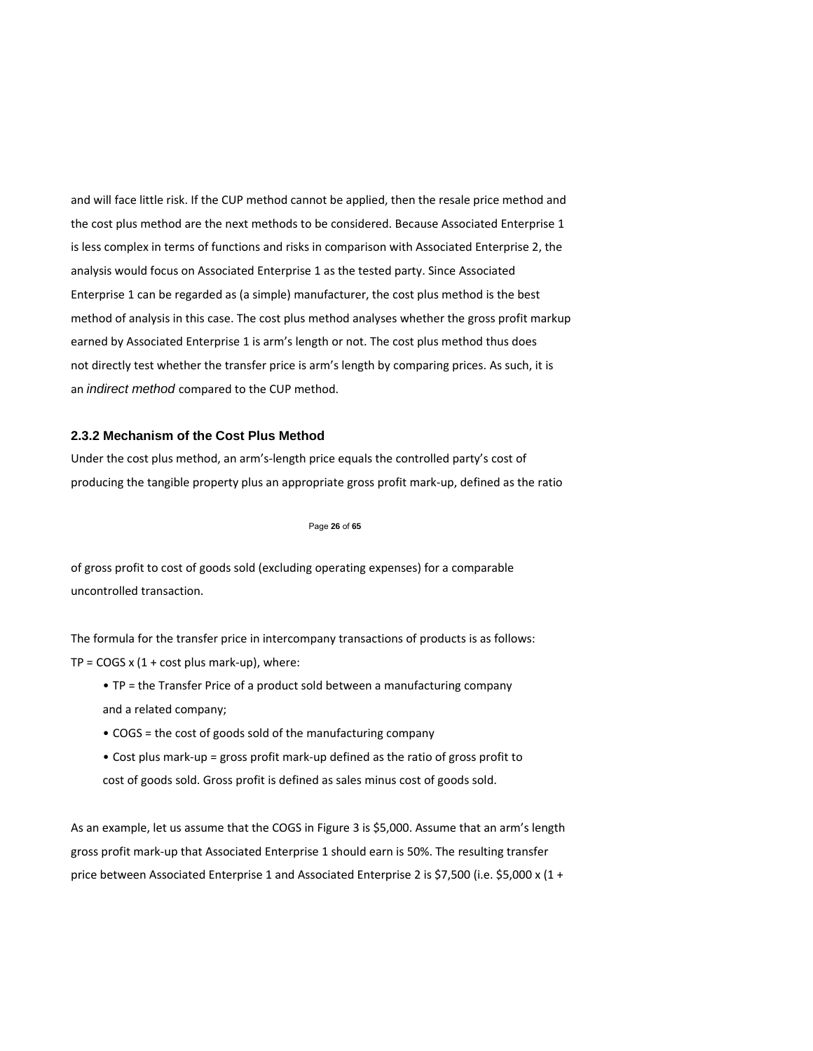and will face little risk. If the CUP method cannot be applied, then the resale price method and the cost plus method are the next methods to be considered. Because Associated Enterprise 1 is less complex in terms of functions and risks in comparison with Associated Enterprise 2, the analysis would focus on Associated Enterprise 1 as the tested party. Since Associated Enterprise 1 can be regarded as (a simple) manufacturer, the cost plus method is the best method of analysis in this case. The cost plus method analyses whether the gross profit markup earned by Associated Enterprise 1 is arm's length or not. The cost plus method thus does not directly test whether the transfer price is arm's length by comparing prices. As such, it is an *indirect method* compared to the CUP method.

# **2.3.2 Mechanism of the Cost Plus Method**

Under the cost plus method, an arm's‐length price equals the controlled party's cost of producing the tangible property plus an appropriate gross profit mark‐up, defined as the ratio

### Page **26** of **65**

of gross profit to cost of goods sold (excluding operating expenses) for a comparable uncontrolled transaction.

The formula for the transfer price in intercompany transactions of products is as follows: TP = COGS  $x$  (1 + cost plus mark-up), where:

- TP = the Transfer Price of a product sold between a manufacturing company and a related company;
- COGS = the cost of goods sold of the manufacturing company
- Cost plus mark‐up = gross profit mark‐up defined as the ratio of gross profit to cost of goods sold. Gross profit is defined as sales minus cost of goods sold.

As an example, let us assume that the COGS in Figure 3 is \$5,000. Assume that an arm's length gross profit mark‐up that Associated Enterprise 1 should earn is 50%. The resulting transfer price between Associated Enterprise 1 and Associated Enterprise 2 is \$7,500 (i.e. \$5,000 x (1 +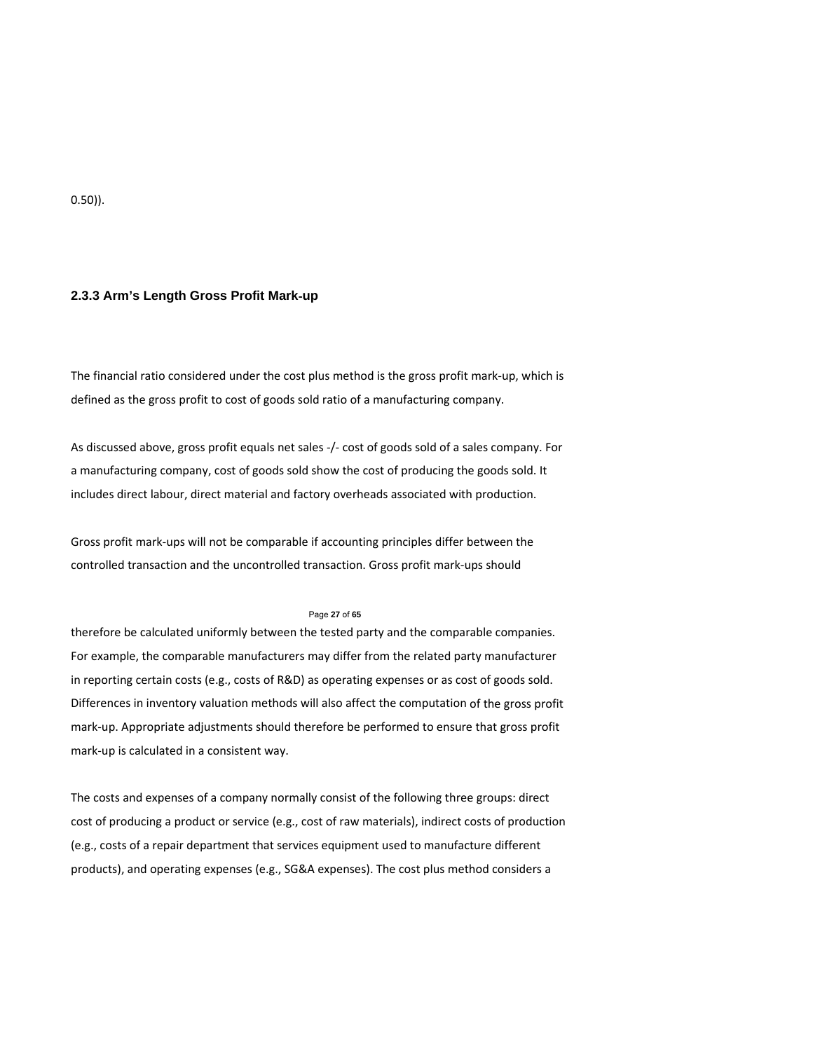0.50)).

## **2.3.3 Arm's Length Gross Profit Mark**‐**up**

The financial ratio considered under the cost plus method is the gross profit mark‐up, which is defined as the gross profit to cost of goods sold ratio of a manufacturing company.

As discussed above, gross profit equals net sales ‐/‐ cost of goods sold of a sales company. For a manufacturing company, cost of goods sold show the cost of producing the goods sold. It includes direct labour, direct material and factory overheads associated with production.

Gross profit mark‐ups will not be comparable if accounting principles differ between the controlled transaction and the uncontrolled transaction. Gross profit mark‐ups should

#### Page **27** of **65**

therefore be calculated uniformly between the tested party and the comparable companies. For example, the comparable manufacturers may differ from the related party manufacturer in reporting certain costs (e.g., costs of R&D) as operating expenses or as cost of goods sold. Differences in inventory valuation methods will also affect the computation of the gross profit mark-up. Appropriate adjustments should therefore be performed to ensure that gross profit mark‐up is calculated in a consistent way.

The costs and expenses of a company normally consist of the following three groups: direct cost of producing a product or service (e.g., cost of raw materials), indirect costs of production (e.g., costs of a repair department that services equipment used to manufacture different products), and operating expenses (e.g., SG&A expenses). The cost plus method considers a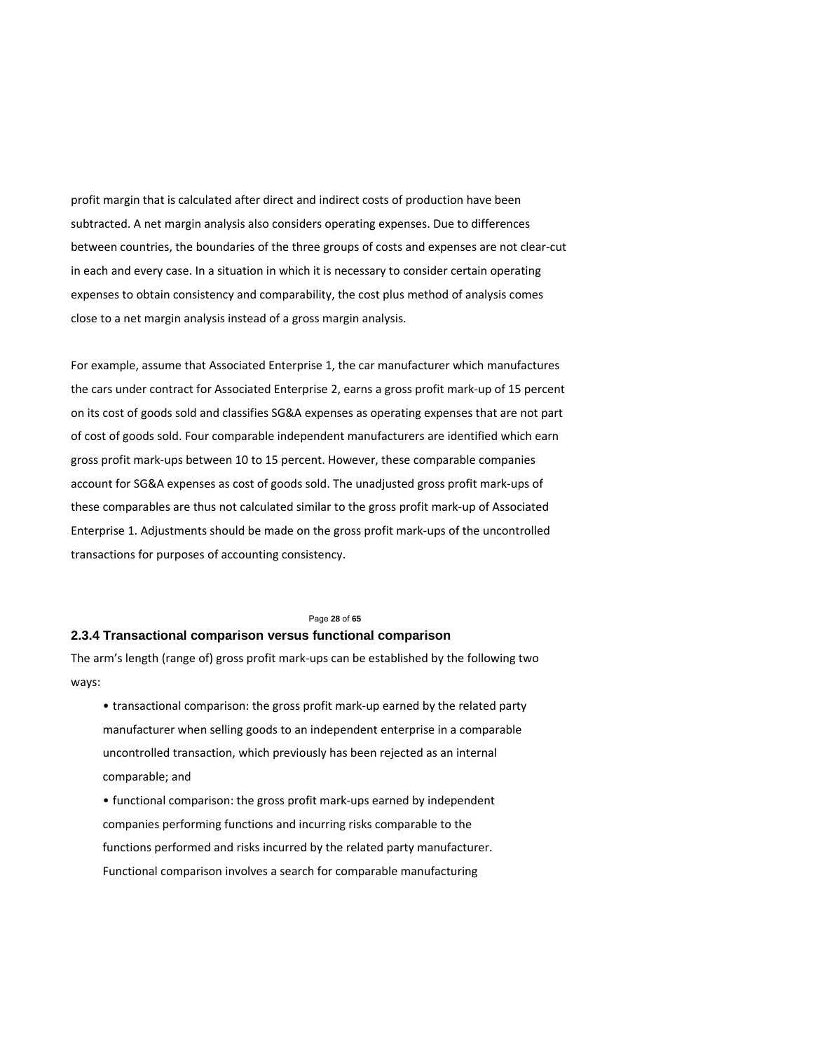profit margin that is calculated after direct and indirect costs of production have been subtracted. A net margin analysis also considers operating expenses. Due to differences between countries, the boundaries of the three groups of costs and expenses are not clear‐cut in each and every case. In a situation in which it is necessary to consider certain operating expenses to obtain consistency and comparability, the cost plus method of analysis comes close to a net margin analysis instead of a gross margin analysis.

For example, assume that Associated Enterprise 1, the car manufacturer which manufactures the cars under contract for Associated Enterprise 2, earns a gross profit mark‐up of 15 percent on its cost of goods sold and classifies SG&A expenses as operating expenses that are not part of cost of goods sold. Four comparable independent manufacturers are identified which earn gross profit mark‐ups between 10 to 15 percent. However, these comparable companies account for SG&A expenses as cost of goods sold. The unadjusted gross profit mark‐ups of these comparables are thus not calculated similar to the gross profit mark‐up of Associated Enterprise 1. Adjustments should be made on the gross profit mark‐ups of the uncontrolled transactions for purposes of accounting consistency.

### Page **28** of **65**

# **2.3.4 Transactional comparison versus functional comparison**

The arm's length (range of) gross profit mark‐ups can be established by the following two ways:

• transactional comparison: the gross profit mark‐up earned by the related party manufacturer when selling goods to an independent enterprise in a comparable uncontrolled transaction, which previously has been rejected as an internal comparable; and

• functional comparison: the gross profit mark‐ups earned by independent companies performing functions and incurring risks comparable to the functions performed and risks incurred by the related party manufacturer. Functional comparison involves a search for comparable manufacturing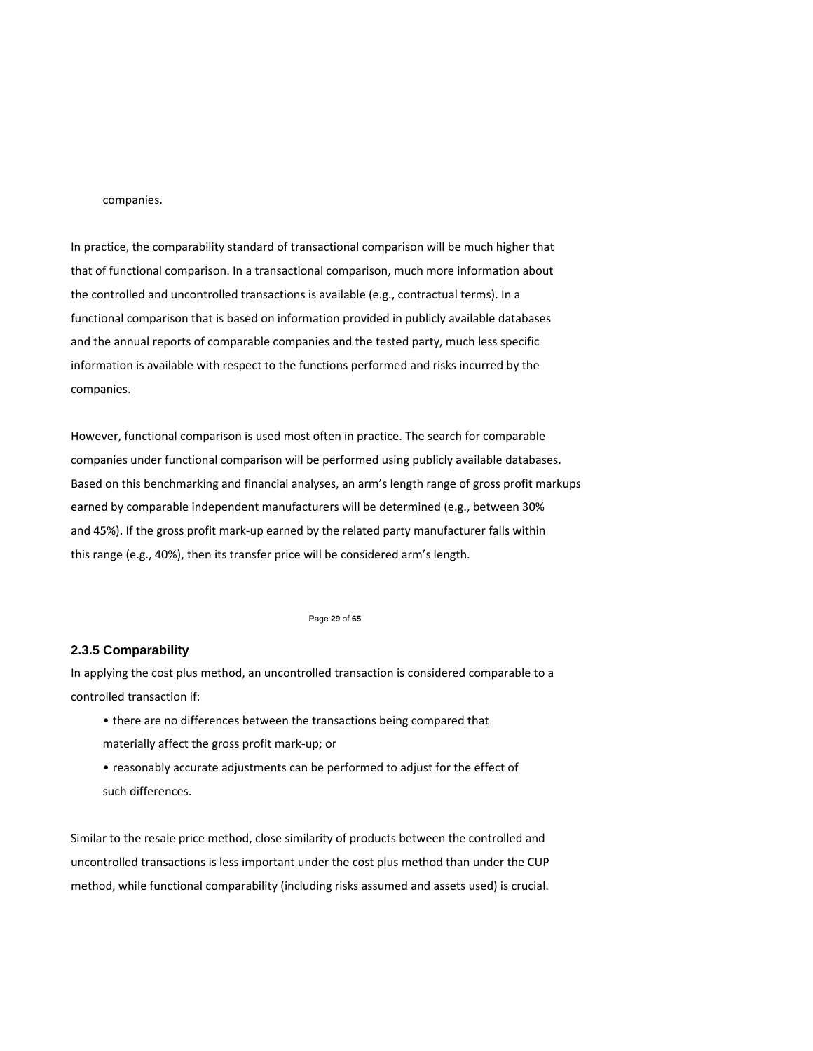### companies.

In practice, the comparability standard of transactional comparison will be much higher that that of functional comparison. In a transactional comparison, much more information about the controlled and uncontrolled transactions is available (e.g., contractual terms). In a functional comparison that is based on information provided in publicly available databases and the annual reports of comparable companies and the tested party, much less specific information is available with respect to the functions performed and risks incurred by the companies.

However, functional comparison is used most often in practice. The search for comparable companies under functional comparison will be performed using publicly available databases. Based on this benchmarking and financial analyses, an arm's length range of gross profit markups earned by comparable independent manufacturers will be determined (e.g., between 30% and 45%). If the gross profit mark‐up earned by the related party manufacturer falls within this range (e.g., 40%), then its transfer price will be considered arm's length.

#### Page **29** of **65**

# **2.3.5 Comparability**

In applying the cost plus method, an uncontrolled transaction is considered comparable to a controlled transaction if:

- there are no differences between the transactions being compared that materially affect the gross profit mark‐up; or
- reasonably accurate adjustments can be performed to adjust for the effect of such differences.

Similar to the resale price method, close similarity of products between the controlled and uncontrolled transactions is less important under the cost plus method than under the CUP method, while functional comparability (including risks assumed and assets used) is crucial.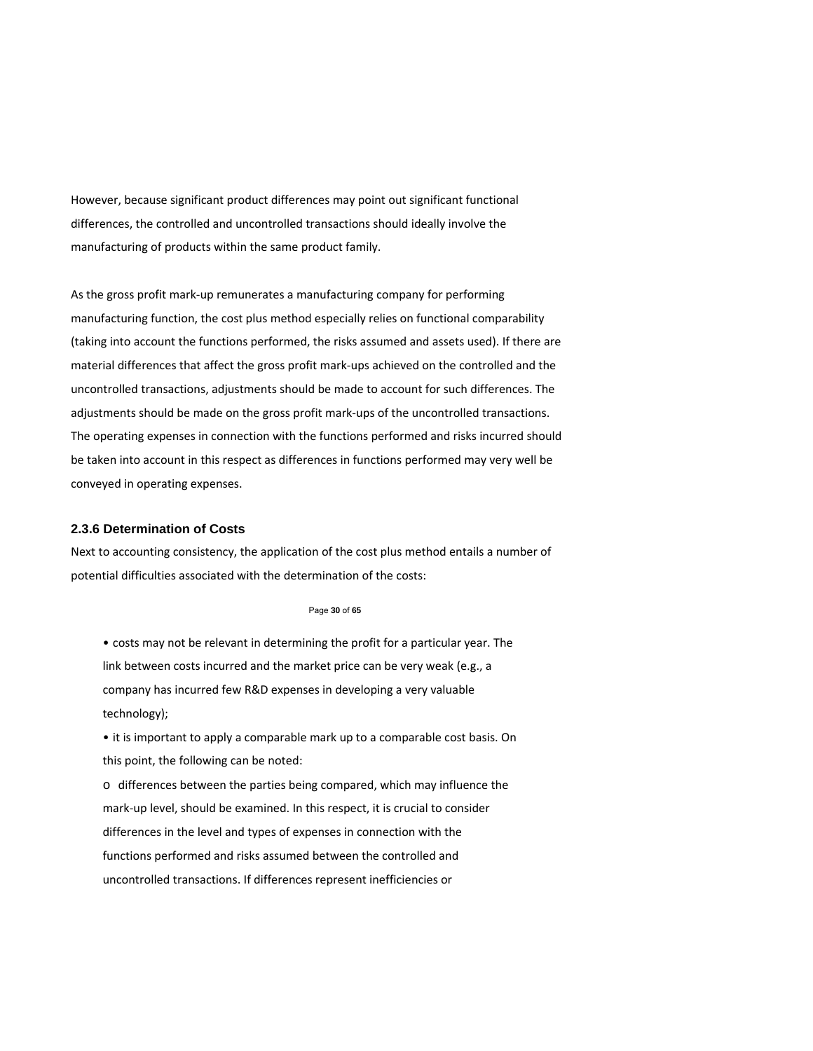However, because significant product differences may point out significant functional differences, the controlled and uncontrolled transactions should ideally involve the manufacturing of products within the same product family.

As the gross profit mark‐up remunerates a manufacturing company for performing manufacturing function, the cost plus method especially relies on functional comparability (taking into account the functions performed, the risks assumed and assets used). If there are material differences that affect the gross profit mark‐ups achieved on the controlled and the uncontrolled transactions, adjustments should be made to account for such differences. The adjustments should be made on the gross profit mark‐ups of the uncontrolled transactions. The operating expenses in connection with the functions performed and risks incurred should be taken into account in this respect as differences in functions performed may very well be conveyed in operating expenses.

## **2.3.6 Determination of Costs**

Next to accounting consistency, the application of the cost plus method entails a number of potential difficulties associated with the determination of the costs:

#### Page **30** of **65**

• costs may not be relevant in determining the profit for a particular year. The link between costs incurred and the market price can be very weak (e.g., a company has incurred few R&D expenses in developing a very valuable technology);

• it is important to apply a comparable mark up to a comparable cost basis. On this point, the following can be noted:

o differences between the parties being compared, which may influence the mark‐up level, should be examined. In this respect, it is crucial to consider differences in the level and types of expenses in connection with the functions performed and risks assumed between the controlled and uncontrolled transactions. If differences represent inefficiencies or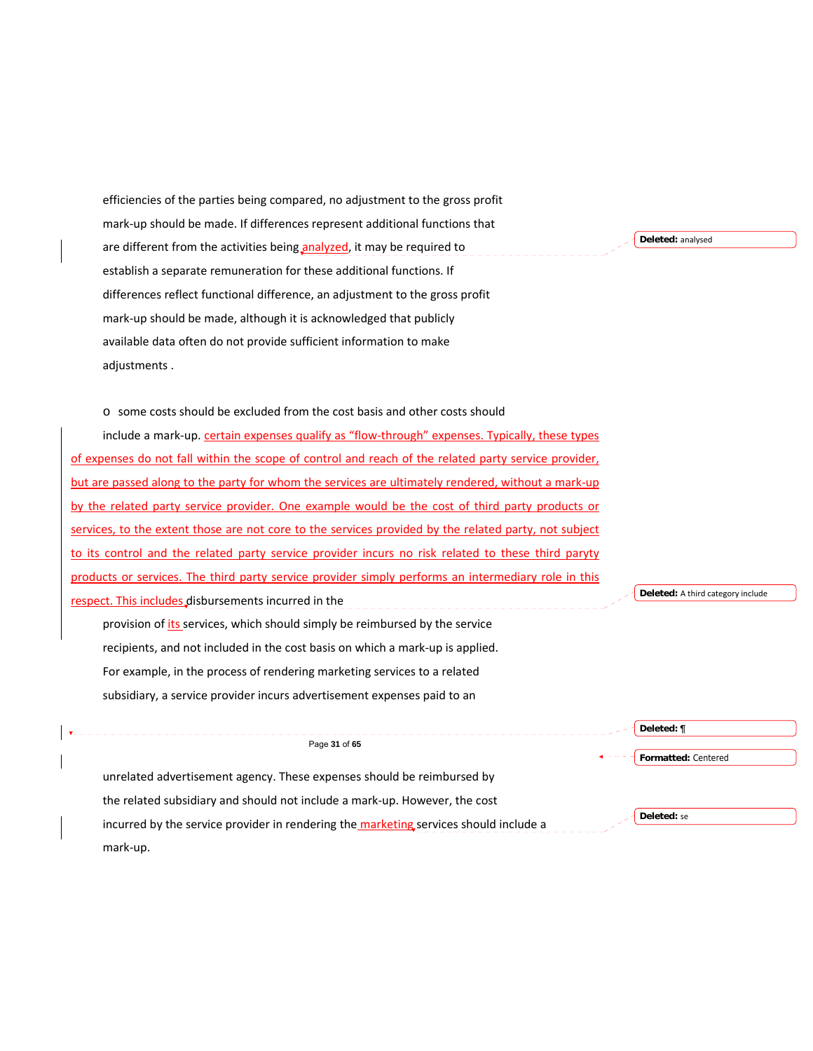| efficiencies of the parties being compared, no adjustment to the gross profit                         |                                   |
|-------------------------------------------------------------------------------------------------------|-----------------------------------|
| mark-up should be made. If differences represent additional functions that                            |                                   |
| are different from the activities being analyzed, it may be required to                               | Deleted: analysed                 |
| establish a separate remuneration for these additional functions. If                                  |                                   |
| differences reflect functional difference, an adjustment to the gross profit                          |                                   |
| mark-up should be made, although it is acknowledged that publicly                                     |                                   |
| available data often do not provide sufficient information to make                                    |                                   |
| adjustments.                                                                                          |                                   |
|                                                                                                       |                                   |
| $\circ$ some costs should be excluded from the cost basis and other costs should                      |                                   |
| include a mark-up. certain expenses qualify as "flow-through" expenses. Typically, these types        |                                   |
| of expenses do not fall within the scope of control and reach of the related party service provider,  |                                   |
| but are passed along to the party for whom the services are ultimately rendered, without a mark-up    |                                   |
| by the related party service provider. One example would be the cost of third party products or       |                                   |
| services, to the extent those are not core to the services provided by the related party, not subject |                                   |
| to its control and the related party service provider incurs no risk related to these third paryty    |                                   |
| products or services. The third party service provider simply performs an intermediary role in this   |                                   |
| respect. This includes disbursements incurred in the                                                  | Deleted: A third category include |
| provision of <i>its</i> services, which should simply be reimbursed by the service                    |                                   |
| recipients, and not included in the cost basis on which a mark-up is applied.                         |                                   |
| For example, in the process of rendering marketing services to a related                              |                                   |
| subsidiary, a service provider incurs advertisement expenses paid to an                               |                                   |
|                                                                                                       | Deleted: ¶                        |
| Page 31 of 65                                                                                         | Formatted: Centered               |
| unrelated advertisement agency. These expenses should be reimbursed by                                |                                   |
| the related subsidiary and should not include a mark-up. However, the cost                            |                                   |
| incurred by the service provider in rendering the marketing services should include a                 | Deleted: se                       |
| mark-up.                                                                                              |                                   |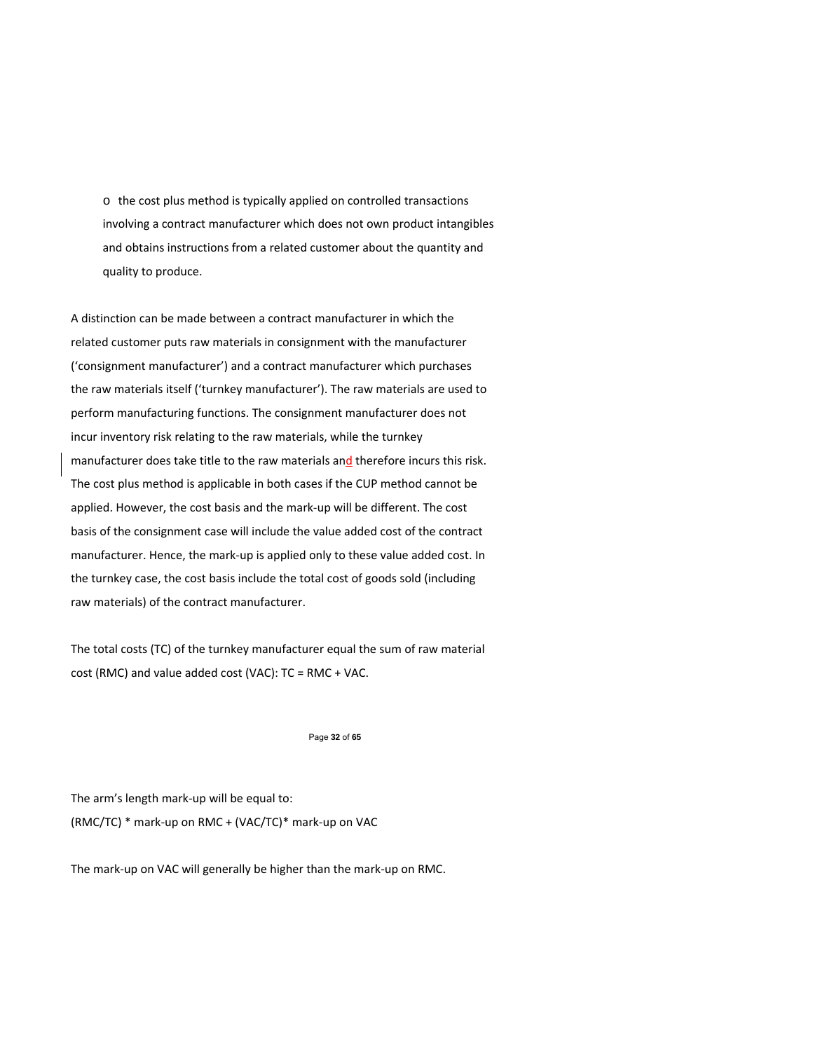o the cost plus method is typically applied on controlled transactions involving a contract manufacturer which does not own product intangibles and obtains instructions from a related customer about the quantity and quality to produce.

A distinction can be made between a contract manufacturer in which the related customer puts raw materials in consignment with the manufacturer ('consignment manufacturer') and a contract manufacturer which purchases the raw materials itself ('turnkey manufacturer'). The raw materials are used to perform manufacturing functions. The consignment manufacturer does not incur inventory risk relating to the raw materials, while the turnkey manufacturer does take title to the raw materials and therefore incurs this risk. The cost plus method is applicable in both cases if the CUP method cannot be applied. However, the cost basis and the mark‐up will be different. The cost basis of the consignment case will include the value added cost of the contract manufacturer. Hence, the mark‐up is applied only to these value added cost. In the turnkey case, the cost basis include the total cost of goods sold (including raw materials) of the contract manufacturer.

The total costs (TC) of the turnkey manufacturer equal the sum of raw material cost (RMC) and value added cost (VAC): TC = RMC + VAC.

#### Page **32** of **65**

The arm's length mark‐up will be equal to: (RMC/TC) \* mark‐up on RMC + (VAC/TC)\* mark‐up on VAC

The mark‐up on VAC will generally be higher than the mark‐up on RMC.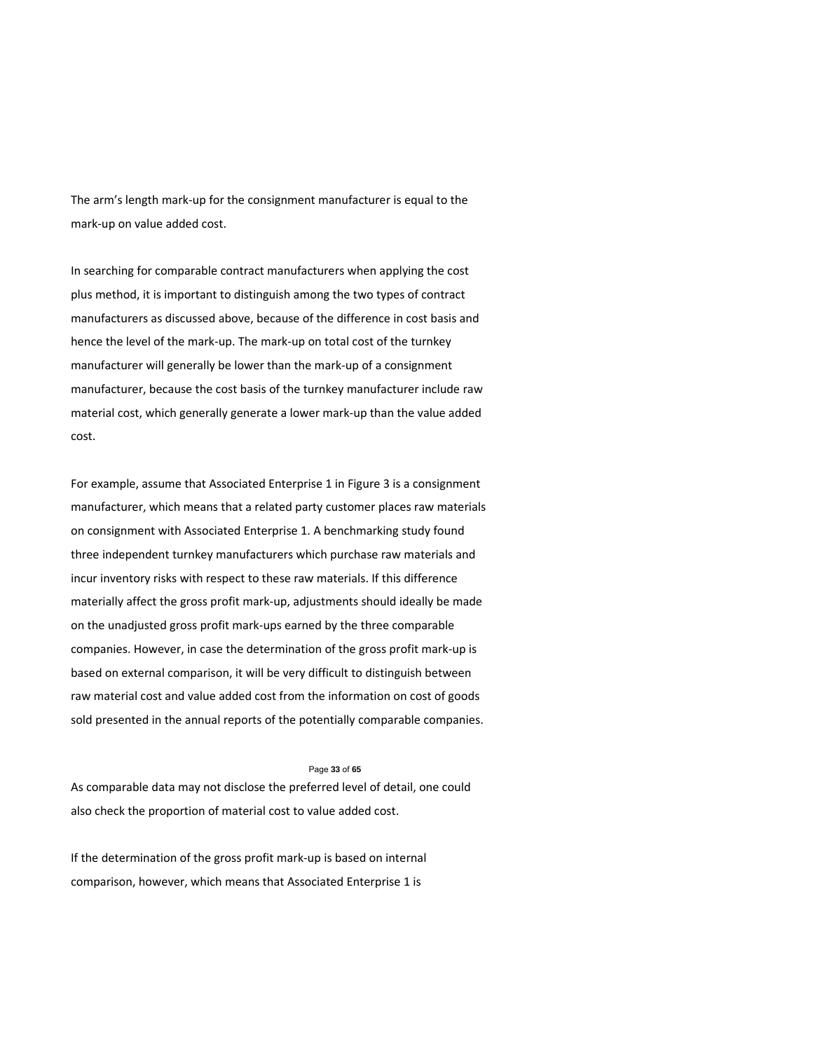The arm's length mark‐up for the consignment manufacturer is equal to the mark‐up on value added cost.

In searching for comparable contract manufacturers when applying the cost plus method, it is important to distinguish among the two types of contract manufacturers as discussed above, because of the difference in cost basis and hence the level of the mark‐up. The mark‐up on total cost of the turnkey manufacturer will generally be lower than the mark‐up of a consignment manufacturer, because the cost basis of the turnkey manufacturer include raw material cost, which generally generate a lower mark‐up than the value added cost.

For example, assume that Associated Enterprise 1 in Figure 3 is a consignment manufacturer, which means that a related party customer places raw materials on consignment with Associated Enterprise 1. A benchmarking study found three independent turnkey manufacturers which purchase raw materials and incur inventory risks with respect to these raw materials. If this difference materially affect the gross profit mark‐up, adjustments should ideally be made on the unadjusted gross profit mark‐ups earned by the three comparable companies. However, in case the determination of the gross profit mark‐up is based on external comparison, it will be very difficult to distinguish between raw material cost and value added cost from the information on cost of goods sold presented in the annual reports of the potentially comparable companies.

#### Page **33** of **65**

As comparable data may not disclose the preferred level of detail, one could also check the proportion of material cost to value added cost.

If the determination of the gross profit mark‐up is based on internal comparison, however, which means that Associated Enterprise 1 is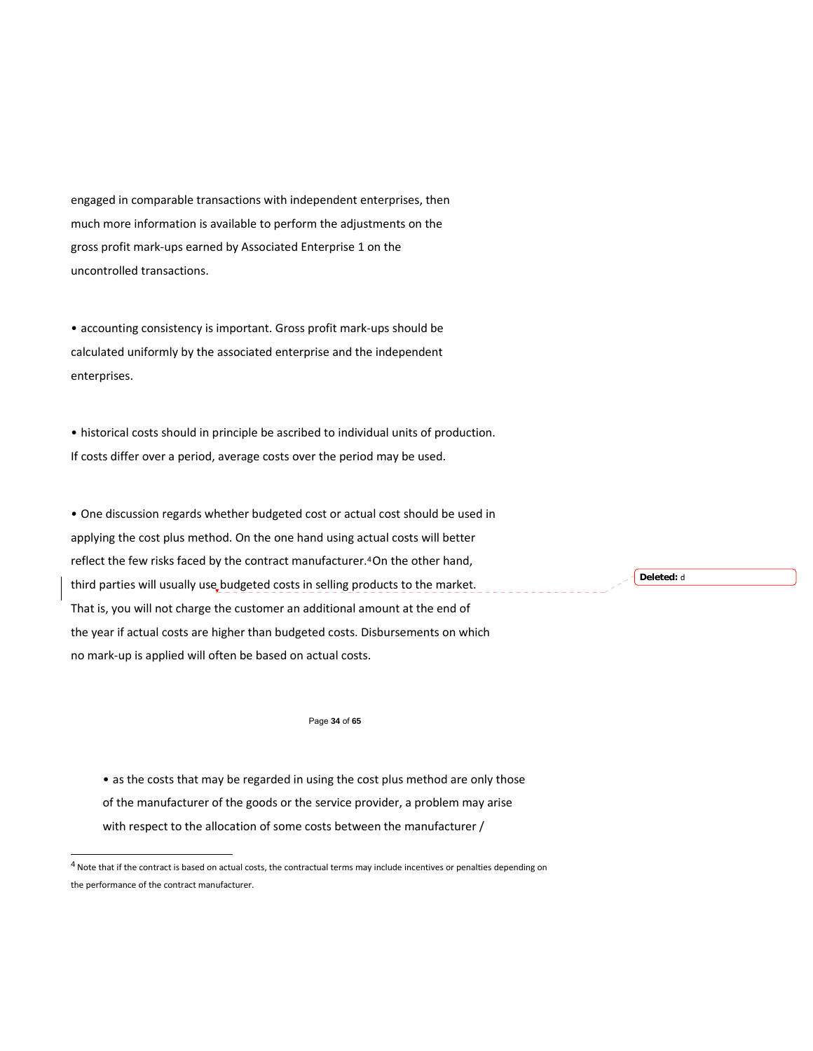engaged in comparable transactions with independent enterprises, then much more information is available to perform the adjustments on the gross profit mark‐ups earned by Associated Enterprise 1 on the uncontrolled transactions.

• accounting consistency is important. Gross profit mark‐ups should be calculated uniformly by the associated enterprise and the independent enterprises.

• historical costs should in principle be ascribed to individual units of production. If costs differ over a period, average costs over the period may be used.

• One discussion regards whether budgeted cost or actual cost should be used in applying the cost plus method. On the one hand using actual costs will better reflect the few risks faced by the contract manufacturer.<sup>4</sup> On the other hand, third parties will usually use budgeted costs in selling products to the market. That is, you will not charge the customer an additional amount at the end of the year if actual costs are higher than budgeted costs. Disbursements on which no mark‐up is applied will often be based on actual costs.

### Page **34** of **65**

• as the costs that may be regarded in using the cost plus method are only those of the manufacturer of the goods or the service provider, a problem may arise with respect to the allocation of some costs between the manufacturer /

l

**Deleted:** d

 $4$  Note that if the contract is based on actual costs, the contractual terms may include incentives or penalties depending on the performance of the contract manufacturer.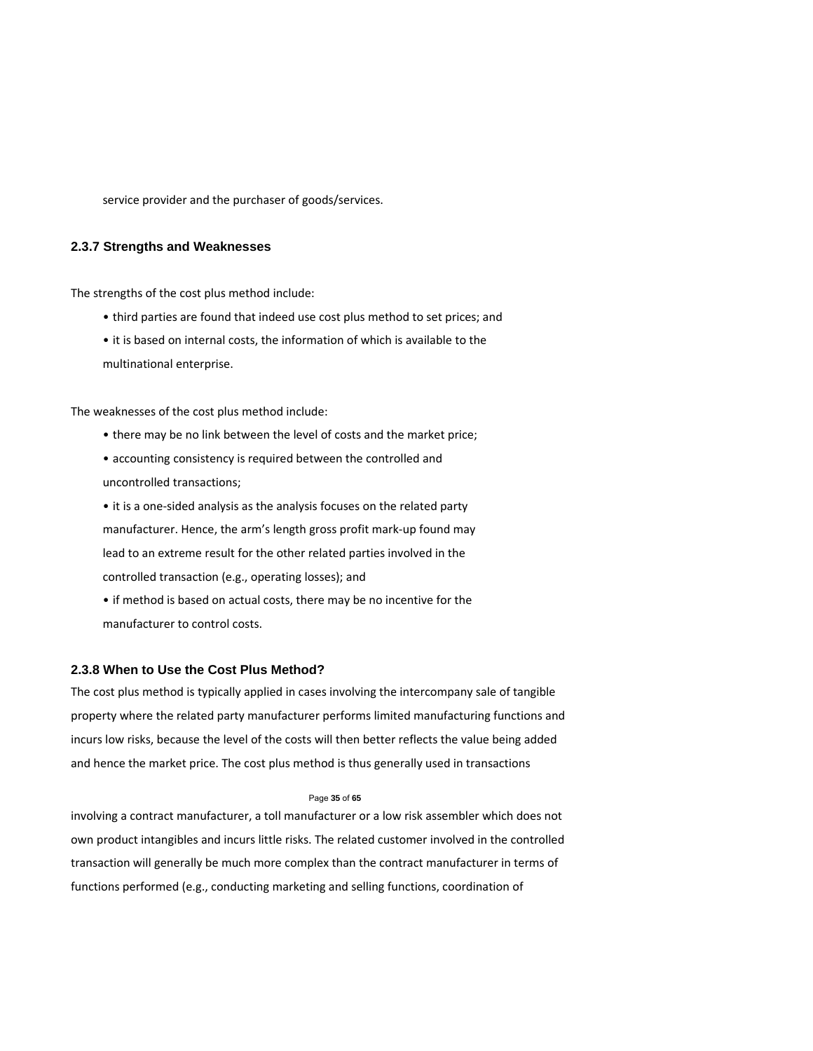service provider and the purchaser of goods/services.

# **2.3.7 Strengths and Weaknesses**

The strengths of the cost plus method include:

- third parties are found that indeed use cost plus method to set prices; and
- it is based on internal costs, the information of which is available to the multinational enterprise.

The weaknesses of the cost plus method include:

- there may be no link between the level of costs and the market price;
- accounting consistency is required between the controlled and uncontrolled transactions;
- it is a one‐sided analysis as the analysis focuses on the related party manufacturer. Hence, the arm's length gross profit mark‐up found may lead to an extreme result for the other related parties involved in the controlled transaction (e.g., operating losses); and
- if method is based on actual costs, there may be no incentive for the manufacturer to control costs.

### **2.3.8 When to Use the Cost Plus Method?**

The cost plus method is typically applied in cases involving the intercompany sale of tangible property where the related party manufacturer performs limited manufacturing functions and incurs low risks, because the level of the costs will then better reflects the value being added and hence the market price. The cost plus method is thus generally used in transactions

#### Page **35** of **65**

involving a contract manufacturer, a toll manufacturer or a low risk assembler which does not own product intangibles and incurs little risks. The related customer involved in the controlled transaction will generally be much more complex than the contract manufacturer in terms of functions performed (e.g., conducting marketing and selling functions, coordination of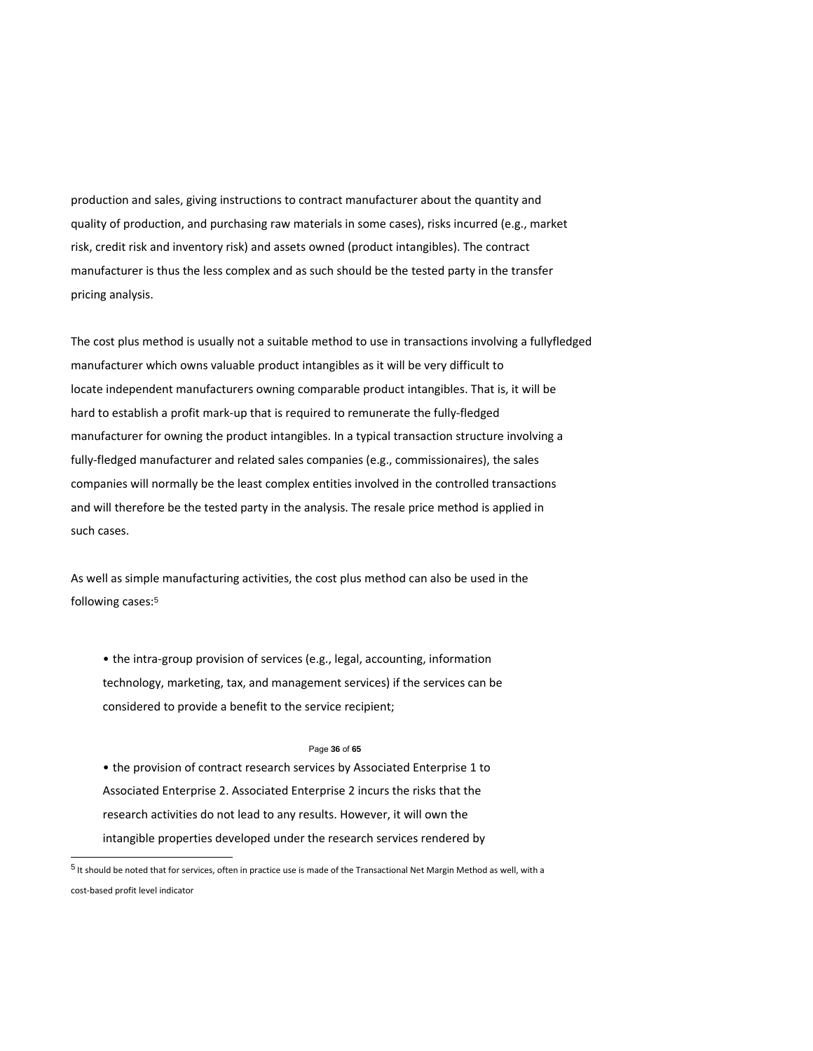production and sales, giving instructions to contract manufacturer about the quantity and quality of production, and purchasing raw materials in some cases), risks incurred (e.g., market risk, credit risk and inventory risk) and assets owned (product intangibles). The contract manufacturer is thus the less complex and as such should be the tested party in the transfer pricing analysis.

The cost plus method is usually not a suitable method to use in transactions involving a fullyfledged manufacturer which owns valuable product intangibles as it will be very difficult to locate independent manufacturers owning comparable product intangibles. That is, it will be hard to establish a profit mark‐up that is required to remunerate the fully‐fledged manufacturer for owning the product intangibles. In a typical transaction structure involving a fully-fledged manufacturer and related sales companies (e.g., commissionaires), the sales companies will normally be the least complex entities involved in the controlled transactions and will therefore be the tested party in the analysis. The resale price method is applied in such cases.

As well as simple manufacturing activities, the cost plus method can also be used in the following cases:<sup>5</sup>

• the intra‐group provision of services (e.g., legal, accounting, information technology, marketing, tax, and management services) if the services can be considered to provide a benefit to the service recipient;

#### Page **36** of **65**

• the provision of contract research services by Associated Enterprise 1 to Associated Enterprise 2. Associated Enterprise 2 incurs the risks that the research activities do not lead to any results. However, it will own the intangible properties developed under the research services rendered by

l

 $^5$  It should be noted that for services, often in practice use is made of the Transactional Net Margin Method as well, with a cost‐based profit level indicator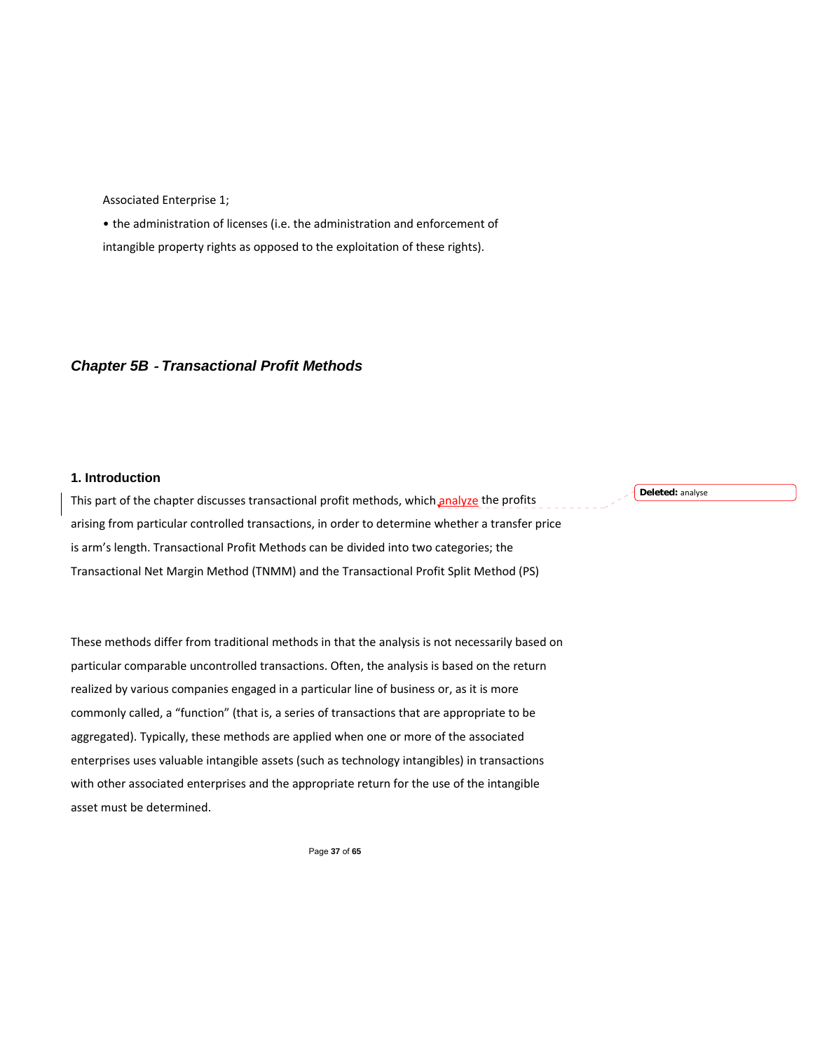Associated Enterprise 1;

• the administration of licenses (i.e. the administration and enforcement of intangible property rights as opposed to the exploitation of these rights).

# *Chapter 5B* ‐ *Transactional Profit Methods*

# **1. Introduction**

This part of the chapter discusses transactional profit methods, which analyze the profits arising from particular controlled transactions, in order to determine whether a transfer price is arm's length. Transactional Profit Methods can be divided into two categories; the Transactional Net Margin Method (TNMM) and the Transactional Profit Split Method (PS)

These methods differ from traditional methods in that the analysis is not necessarily based on particular comparable uncontrolled transactions. Often, the analysis is based on the return realized by various companies engaged in a particular line of business or, as it is more commonly called, a "function" (that is, a series of transactions that are appropriate to be aggregated). Typically, these methods are applied when one or more of the associated enterprises uses valuable intangible assets (such as technology intangibles) in transactions with other associated enterprises and the appropriate return for the use of the intangible asset must be determined.

Page **37** of **65** 

**Deleted:** analyse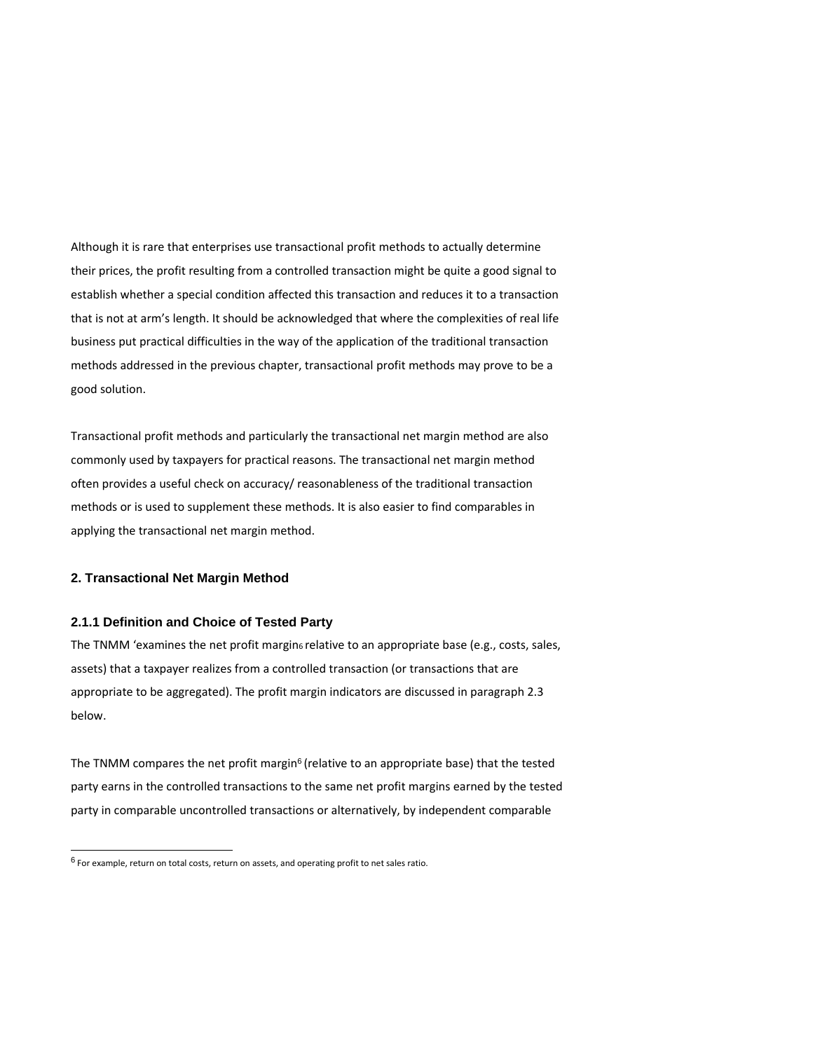Although it is rare that enterprises use transactional profit methods to actually determine their prices, the profit resulting from a controlled transaction might be quite a good signal to establish whether a special condition affected this transaction and reduces it to a transaction that is not at arm's length. It should be acknowledged that where the complexities of real life business put practical difficulties in the way of the application of the traditional transaction methods addressed in the previous chapter, transactional profit methods may prove to be a good solution.

Transactional profit methods and particularly the transactional net margin method are also commonly used by taxpayers for practical reasons. The transactional net margin method often provides a useful check on accuracy/ reasonableness of the traditional transaction methods or is used to supplement these methods. It is also easier to find comparables in applying the transactional net margin method.

# **2. Transactional Net Margin Method**

l

## **2.1.1 Definition and Choice of Tested Party**

The TNMM 'examines the net profit margin<sub>6</sub> relative to an appropriate base (e.g., costs, sales, assets) that a taxpayer realizes from a controlled transaction (or transactions that are appropriate to be aggregated). The profit margin indicators are discussed in paragraph 2.3 below.

The TNMM compares the net profit margin<sup>6</sup> (relative to an appropriate base) that the tested party earns in the controlled transactions to the same net profit margins earned by the tested party in comparable uncontrolled transactions or alternatively, by independent comparable

 $<sup>6</sup>$  For example, return on total costs, return on assets, and operating profit to net sales ratio.</sup>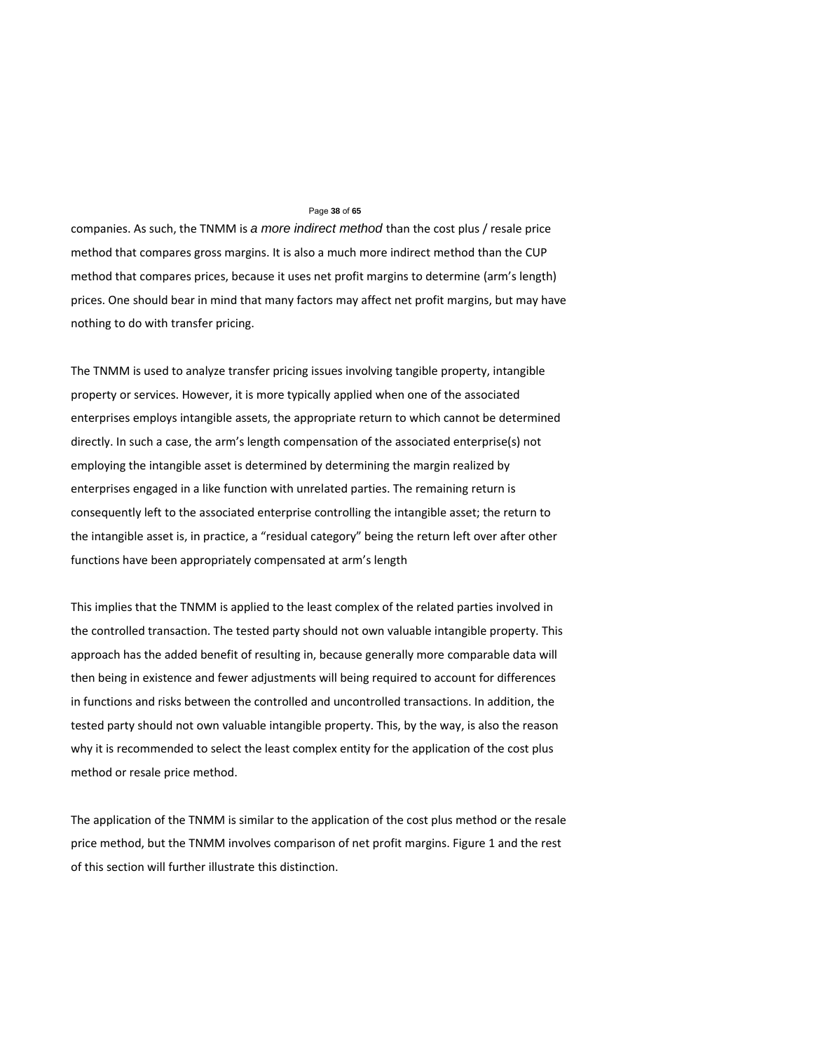### Page **38** of **65**

companies. As such, the TNMM is *a more indirect method* than the cost plus / resale price method that compares gross margins. It is also a much more indirect method than the CUP method that compares prices, because it uses net profit margins to determine (arm's length) prices. One should bear in mind that many factors may affect net profit margins, but may have nothing to do with transfer pricing.

The TNMM is used to analyze transfer pricing issues involving tangible property, intangible property or services. However, it is more typically applied when one of the associated enterprises employs intangible assets, the appropriate return to which cannot be determined directly. In such a case, the arm's length compensation of the associated enterprise(s) not employing the intangible asset is determined by determining the margin realized by enterprises engaged in a like function with unrelated parties. The remaining return is consequently left to the associated enterprise controlling the intangible asset; the return to the intangible asset is, in practice, a "residual category" being the return left over after other functions have been appropriately compensated at arm's length

This implies that the TNMM is applied to the least complex of the related parties involved in the controlled transaction. The tested party should not own valuable intangible property. This approach has the added benefit of resulting in, because generally more comparable data will then being in existence and fewer adjustments will being required to account for differences in functions and risks between the controlled and uncontrolled transactions. In addition, the tested party should not own valuable intangible property. This, by the way, is also the reason why it is recommended to select the least complex entity for the application of the cost plus method or resale price method.

The application of the TNMM is similar to the application of the cost plus method or the resale price method, but the TNMM involves comparison of net profit margins. Figure 1 and the rest of this section will further illustrate this distinction.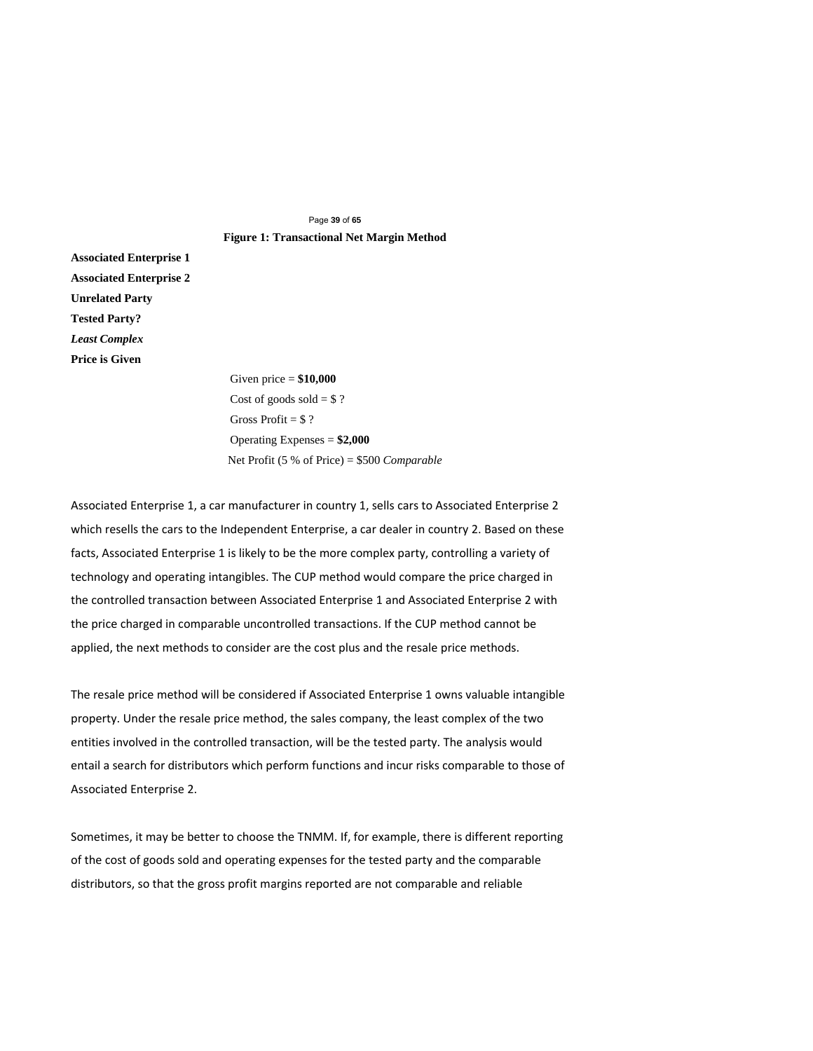# Page **39** of **65 Figure 1: Transactional Net Margin Method**

**Associated Enterprise 1 Associated Enterprise 2 Unrelated Party Tested Party?**  *Least Complex*  **Price is Given** 

> Given price = **\$10,000**  Cost of goods sold  $= $ ?$ Gross Profit  $= $ ?$ Operating Expenses = **\$2,000**  Net Profit (5 % of Price) = \$500 *Comparable*

Associated Enterprise 1, a car manufacturer in country 1, sells cars to Associated Enterprise 2 which resells the cars to the Independent Enterprise, a car dealer in country 2. Based on these facts, Associated Enterprise 1 is likely to be the more complex party, controlling a variety of technology and operating intangibles. The CUP method would compare the price charged in the controlled transaction between Associated Enterprise 1 and Associated Enterprise 2 with the price charged in comparable uncontrolled transactions. If the CUP method cannot be applied, the next methods to consider are the cost plus and the resale price methods.

The resale price method will be considered if Associated Enterprise 1 owns valuable intangible property. Under the resale price method, the sales company, the least complex of the two entities involved in the controlled transaction, will be the tested party. The analysis would entail a search for distributors which perform functions and incur risks comparable to those of Associated Enterprise 2.

Sometimes, it may be better to choose the TNMM. If, for example, there is different reporting of the cost of goods sold and operating expenses for the tested party and the comparable distributors, so that the gross profit margins reported are not comparable and reliable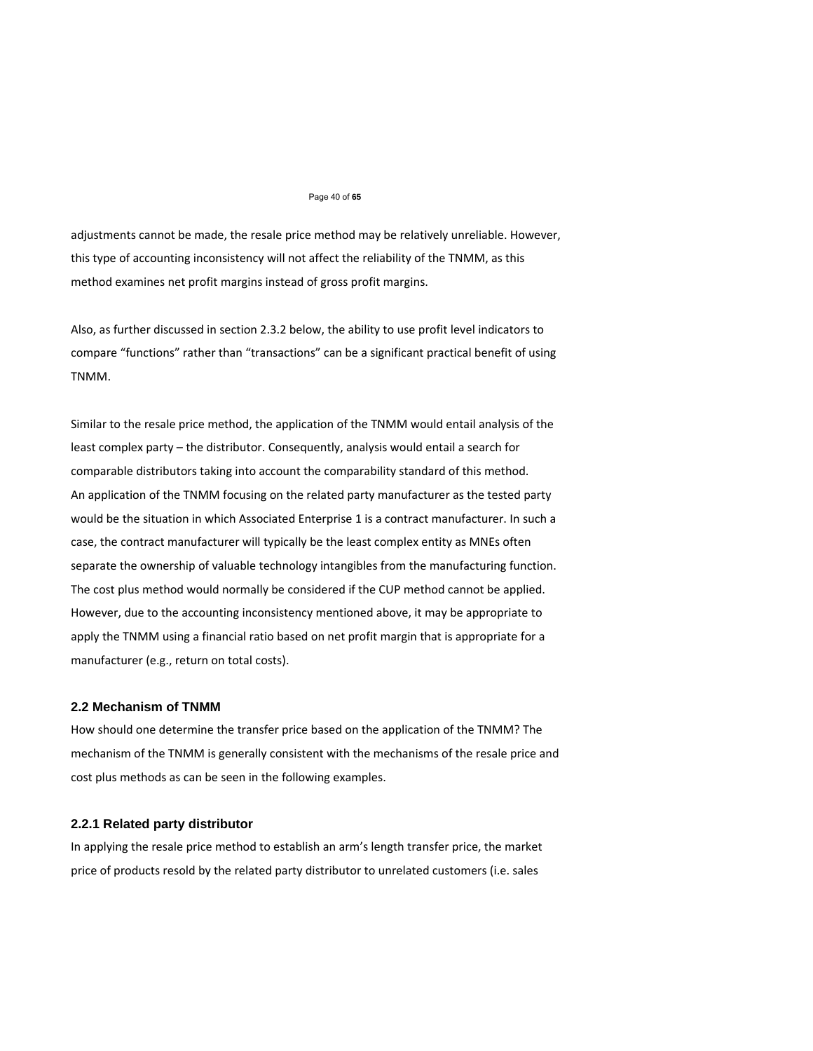#### Page 40 of **65**

adjustments cannot be made, the resale price method may be relatively unreliable. However, this type of accounting inconsistency will not affect the reliability of the TNMM, as this method examines net profit margins instead of gross profit margins.

Also, as further discussed in section 2.3.2 below, the ability to use profit level indicators to compare "functions" rather than "transactions" can be a significant practical benefit of using TNMM.

Similar to the resale price method, the application of the TNMM would entail analysis of the least complex party – the distributor. Consequently, analysis would entail a search for comparable distributors taking into account the comparability standard of this method. An application of the TNMM focusing on the related party manufacturer as the tested party would be the situation in which Associated Enterprise 1 is a contract manufacturer. In such a case, the contract manufacturer will typically be the least complex entity as MNEs often separate the ownership of valuable technology intangibles from the manufacturing function. The cost plus method would normally be considered if the CUP method cannot be applied. However, due to the accounting inconsistency mentioned above, it may be appropriate to apply the TNMM using a financial ratio based on net profit margin that is appropriate for a manufacturer (e.g., return on total costs).

### **2.2 Mechanism of TNMM**

How should one determine the transfer price based on the application of the TNMM? The mechanism of the TNMM is generally consistent with the mechanisms of the resale price and cost plus methods as can be seen in the following examples.

# **2.2.1 Related party distributor**

In applying the resale price method to establish an arm's length transfer price, the market price of products resold by the related party distributor to unrelated customers (i.e. sales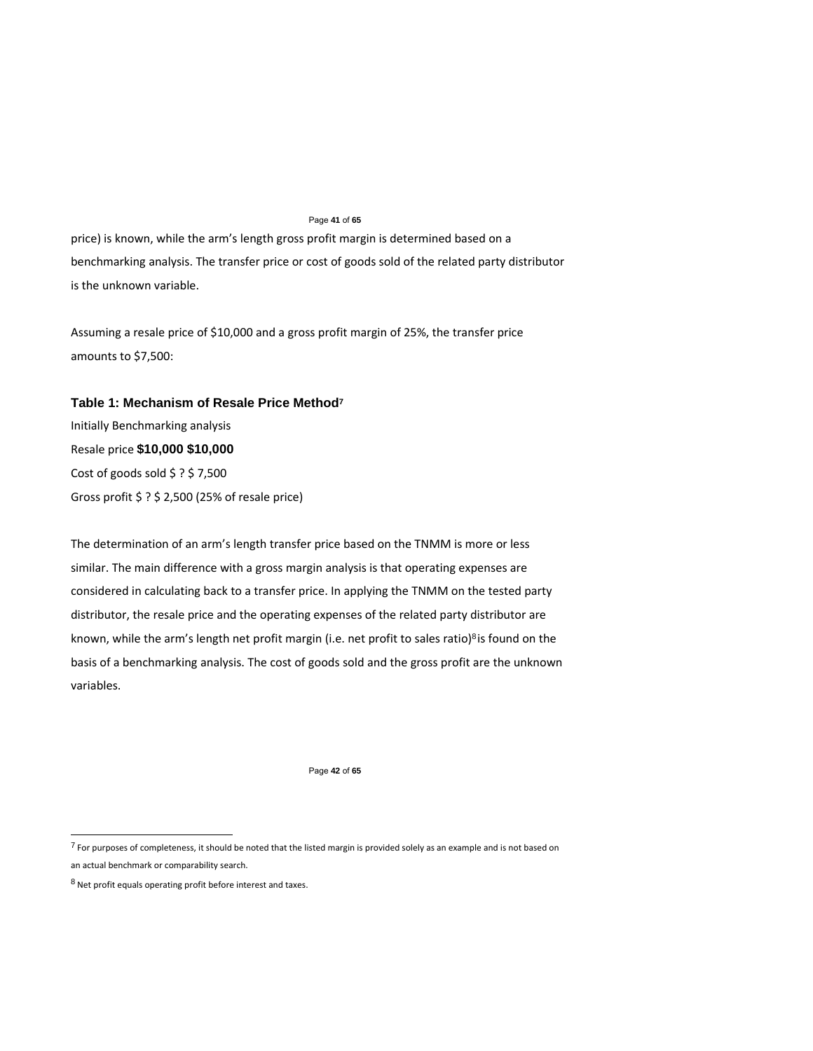### Page **41** of **65**

price) is known, while the arm's length gross profit margin is determined based on a benchmarking analysis. The transfer price or cost of goods sold of the related party distributor is the unknown variable.

Assuming a resale price of \$10,000 and a gross profit margin of 25%, the transfer price amounts to \$7,500:

# **Table 1: Mechanism of Resale Price Method<sup>7</sup>**

Initially Benchmarking analysis Resale price **\$10,000 \$10,000**  Cost of goods sold \$ ? \$ 7,500 Gross profit \$ ? \$ 2,500 (25% of resale price)

The determination of an arm's length transfer price based on the TNMM is more or less similar. The main difference with a gross margin analysis is that operating expenses are considered in calculating back to a transfer price. In applying the TNMM on the tested party distributor, the resale price and the operating expenses of the related party distributor are known, while the arm's length net profit margin (i.e. net profit to sales ratio)<sup>8</sup> is found on the basis of a benchmarking analysis. The cost of goods sold and the gross profit are the unknown variables.

Page **42** of **65** 

 $^7$  For purposes of completeness, it should be noted that the listed margin is provided solely as an example and is not based on an actual benchmark or comparability search.

 $8$  Net profit equals operating profit before interest and taxes.

l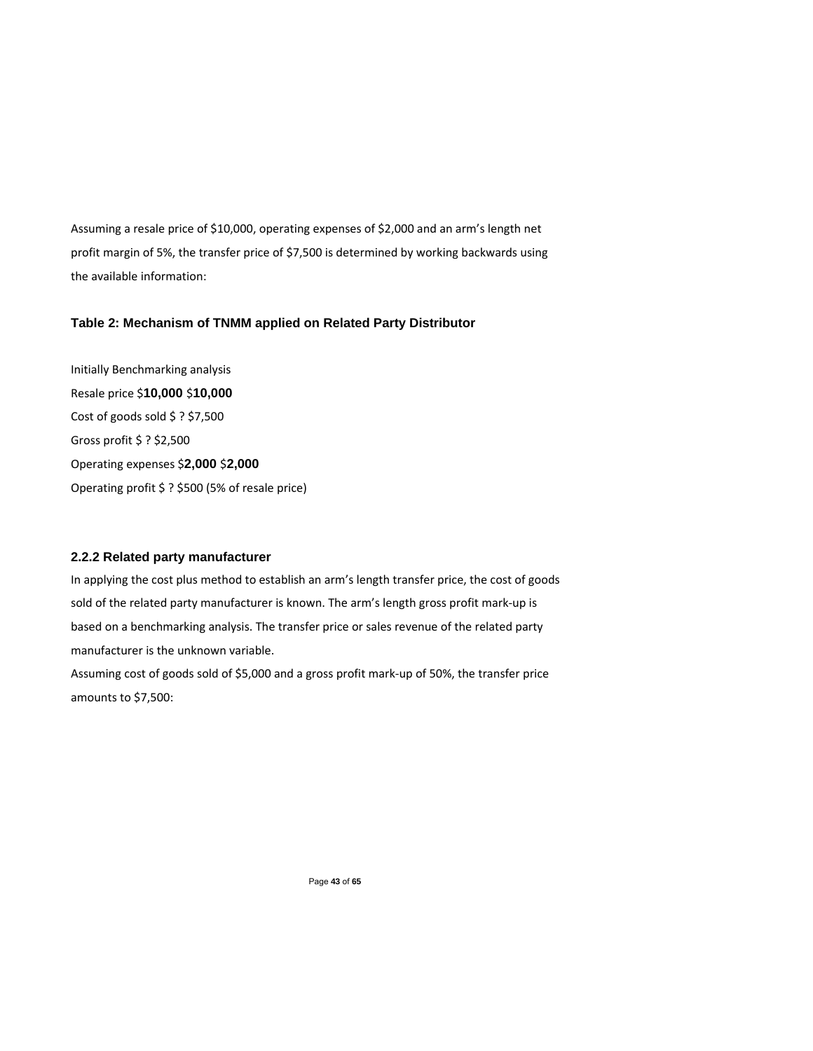Assuming a resale price of \$10,000, operating expenses of \$2,000 and an arm's length net profit margin of 5%, the transfer price of \$7,500 is determined by working backwards using the available information:

# **Table 2: Mechanism of TNMM applied on Related Party Distributor**

Initially Benchmarking analysis Resale price \$**10,000** \$**10,000**  Cost of goods sold \$ ? \$7,500 Gross profit \$ ? \$2,500 Operating expenses \$**2,000** \$**2,000**  Operating profit \$ ? \$500 (5% of resale price)

# **2.2.2 Related party manufacturer**

In applying the cost plus method to establish an arm's length transfer price, the cost of goods sold of the related party manufacturer is known. The arm's length gross profit mark‐up is based on a benchmarking analysis. The transfer price or sales revenue of the related party manufacturer is the unknown variable. Assuming cost of goods sold of \$5,000 and a gross profit mark‐up of 50%, the transfer price

amounts to \$7,500:

Page **43** of **65**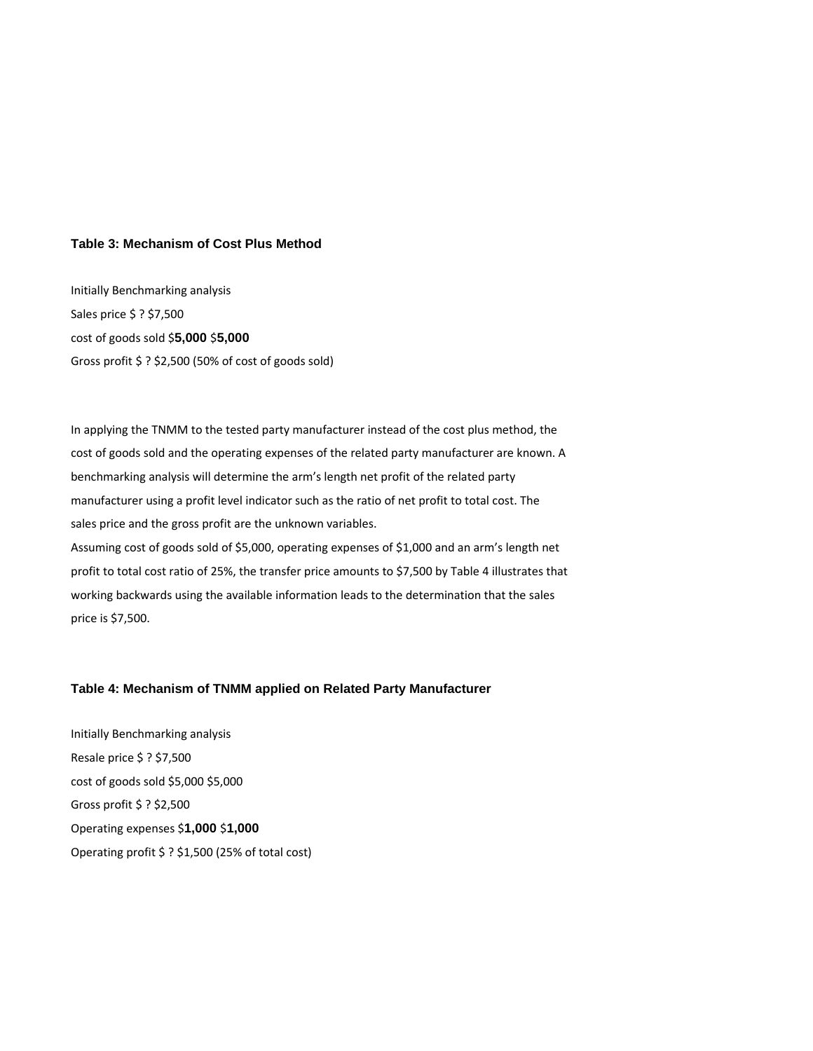# **Table 3: Mechanism of Cost Plus Method**

Initially Benchmarking analysis Sales price \$ ? \$7,500 cost of goods sold \$**5,000** \$**5,000**  Gross profit \$ ? \$2,500 (50% of cost of goods sold)

In applying the TNMM to the tested party manufacturer instead of the cost plus method, the cost of goods sold and the operating expenses of the related party manufacturer are known. A benchmarking analysis will determine the arm's length net profit of the related party manufacturer using a profit level indicator such as the ratio of net profit to total cost. The sales price and the gross profit are the unknown variables. Assuming cost of goods sold of \$5,000, operating expenses of \$1,000 and an arm's length net profit to total cost ratio of 25%, the transfer price amounts to \$7,500 by Table 4 illustrates that working backwards using the available information leads to the determination that the sales price is \$7,500.

# **Table 4: Mechanism of TNMM applied on Related Party Manufacturer**

Initially Benchmarking analysis Resale price \$ ? \$7,500 cost of goods sold \$5,000 \$5,000 Gross profit \$ ? \$2,500 Operating expenses \$**1,000** \$**1,000**  Operating profit \$ ? \$1,500 (25% of total cost)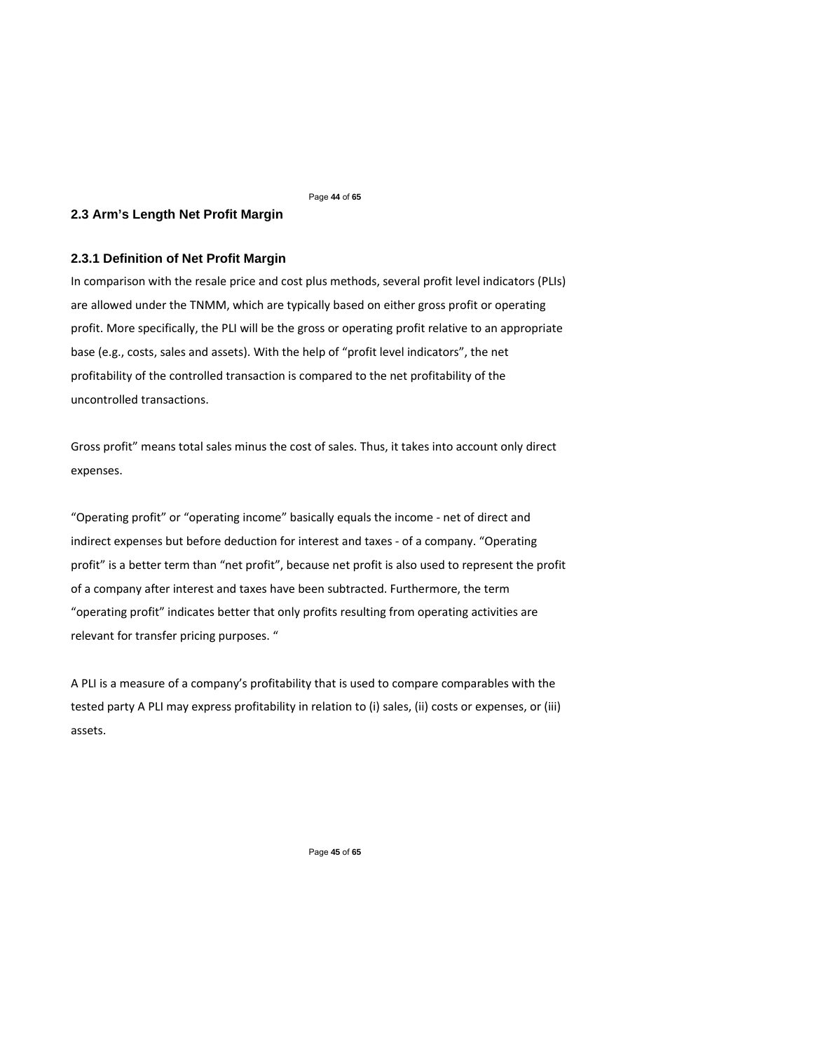### Page **44** of **65**

# **2.3 Arm's Length Net Profit Margin**

# **2.3.1 Definition of Net Profit Margin**

In comparison with the resale price and cost plus methods, several profit level indicators (PLIs) are allowed under the TNMM, which are typically based on either gross profit or operating profit. More specifically, the PLI will be the gross or operating profit relative to an appropriate base (e.g., costs, sales and assets). With the help of "profit level indicators", the net profitability of the controlled transaction is compared to the net profitability of the uncontrolled transactions.

Gross profit" means total sales minus the cost of sales. Thus, it takes into account only direct expenses.

"Operating profit" or "operating income" basically equals the income ‐ net of direct and indirect expenses but before deduction for interest and taxes ‐ of a company. "Operating profit" is a better term than "net profit", because net profit is also used to represent the profit of a company after interest and taxes have been subtracted. Furthermore, the term "operating profit" indicates better that only profits resulting from operating activities are relevant for transfer pricing purposes. "

A PLI is a measure of a company's profitability that is used to compare comparables with the tested party A PLI may express profitability in relation to (i) sales, (ii) costs or expenses, or (iii) assets.

Page **45** of **65**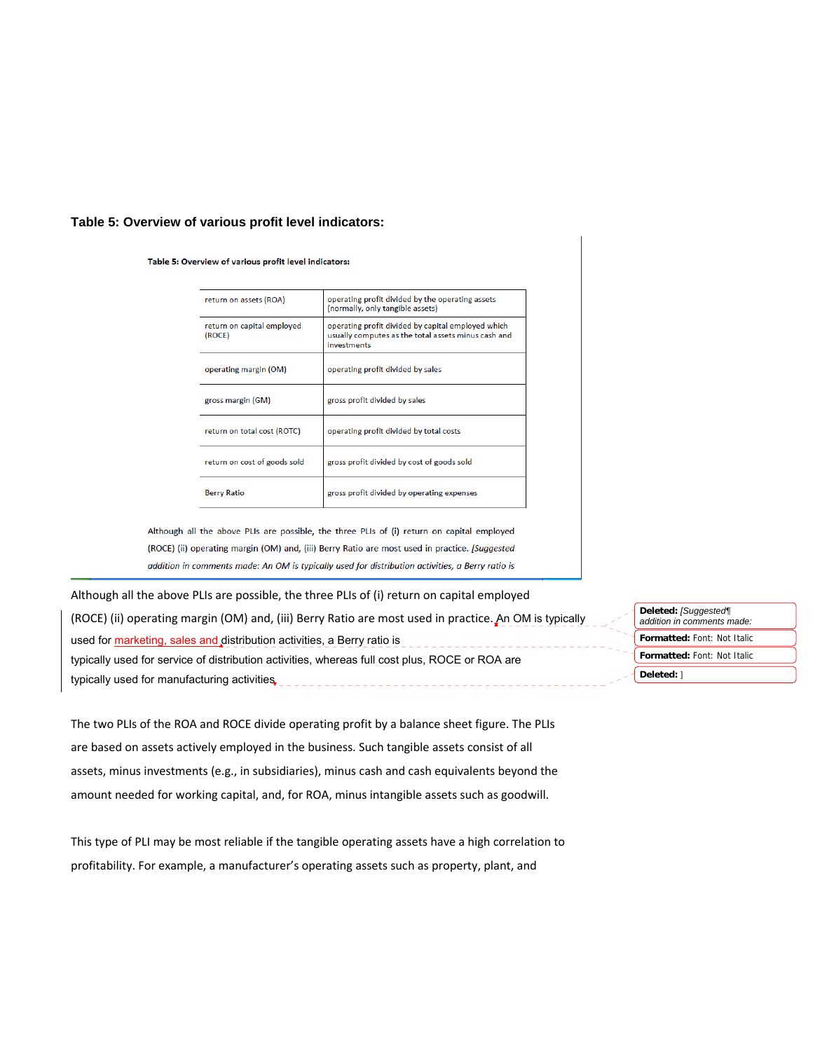# **Table 5: Overview of various profit level indicators:**

Table 5: Overview of various profit level indicators:

| return on assets (ROA)               | operating profit divided by the operating assets<br>(normally, only tangible assets)                                            |
|--------------------------------------|---------------------------------------------------------------------------------------------------------------------------------|
| return on capital employed<br>(ROCE) | operating profit divided by capital employed which<br>usually computes as the total assets minus cash and<br><b>investments</b> |
| operating margin (OM)                | operating profit divided by sales                                                                                               |
| gross margin (GM)                    | gross profit divided by sales                                                                                                   |
| return on total cost (ROTC)          | operating profit divided by total costs                                                                                         |
| return on cost of goods sold         | gross profit divided by cost of goods sold                                                                                      |
| <b>Berry Ratio</b>                   | gross profit divided by operating expenses                                                                                      |

Although all the above PLIs are possible, the three PLIs of (i) return on capital employed (ROCE) (ii) operating margin (OM) and, (iii) Berry Ratio are most used in practice. [Suggested addition in comments made: An OM is typically used for distribution activities, a Berry ratio is

Although all the above PLIs are possible, the three PLIs of (i) return on capital employed (ROCE) (ii) operating margin (OM) and, (iii) Berry Ratio are most used in practice. An OM is typically used for marketing, sales and distribution activities, a Berry ratio is typically used for service of distribution activities, whereas full cost plus, ROCE or ROA are typically used for manufacturing activities <u>. . . . . . . . . . . . . . . .</u>

**Formatted:** Font: Not Italic **Formatted:** Font: Not Italic **Deleted:** *[Suggested¶ addition in comments made:*  **Deleted:** ]

The two PLIs of the ROA and ROCE divide operating profit by a balance sheet figure. The PLIs are based on assets actively employed in the business. Such tangible assets consist of all assets, minus investments (e.g., in subsidiaries), minus cash and cash equivalents beyond the amount needed for working capital, and, for ROA, minus intangible assets such as goodwill.

This type of PLI may be most reliable if the tangible operating assets have a high correlation to profitability. For example, a manufacturer's operating assets such as property, plant, and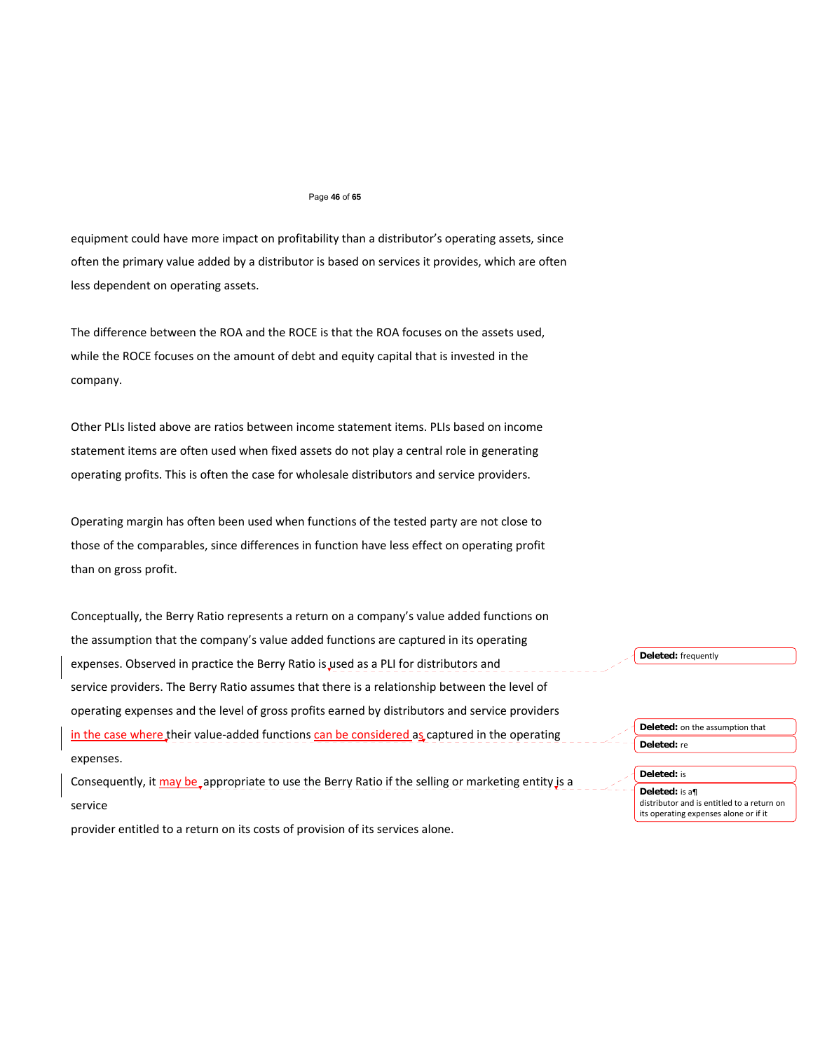#### Page **46** of **65**

equipment could have more impact on profitability than a distributor's operating assets, since often the primary value added by a distributor is based on services it provides, which are often less dependent on operating assets.

The difference between the ROA and the ROCE is that the ROA focuses on the assets used, while the ROCE focuses on the amount of debt and equity capital that is invested in the company.

Other PLIs listed above are ratios between income statement items. PLIs based on income statement items are often used when fixed assets do not play a central role in generating operating profits. This is often the case for wholesale distributors and service providers.

Operating margin has often been used when functions of the tested party are not close to those of the comparables, since differences in function have less effect on operating profit than on gross profit.

Conceptually, the Berry Ratio represents a return on a company's value added functions on the assumption that the company's value added functions are captured in its operating expenses. Observed in practice the Berry Ratio is used as a PLI for distributors and service providers. The Berry Ratio assumes that there is a relationship between the level of operating expenses and the level of gross profits earned by distributors and service providers in the case where their value-added functions can be considered as captured in the operating expenses.

Consequently, it may be appropriate to use the Berry Ratio if the selling or marketing entity is a service

provider entitled to a return on its costs of provision of its services alone.

**Deleted:** frequently

**Deleted:** on the assumption that **Deleted:** re

#### **Deleted:** is

**Deleted:** is a¶ distributor and is entitled to a return on its operating expenses alone or if it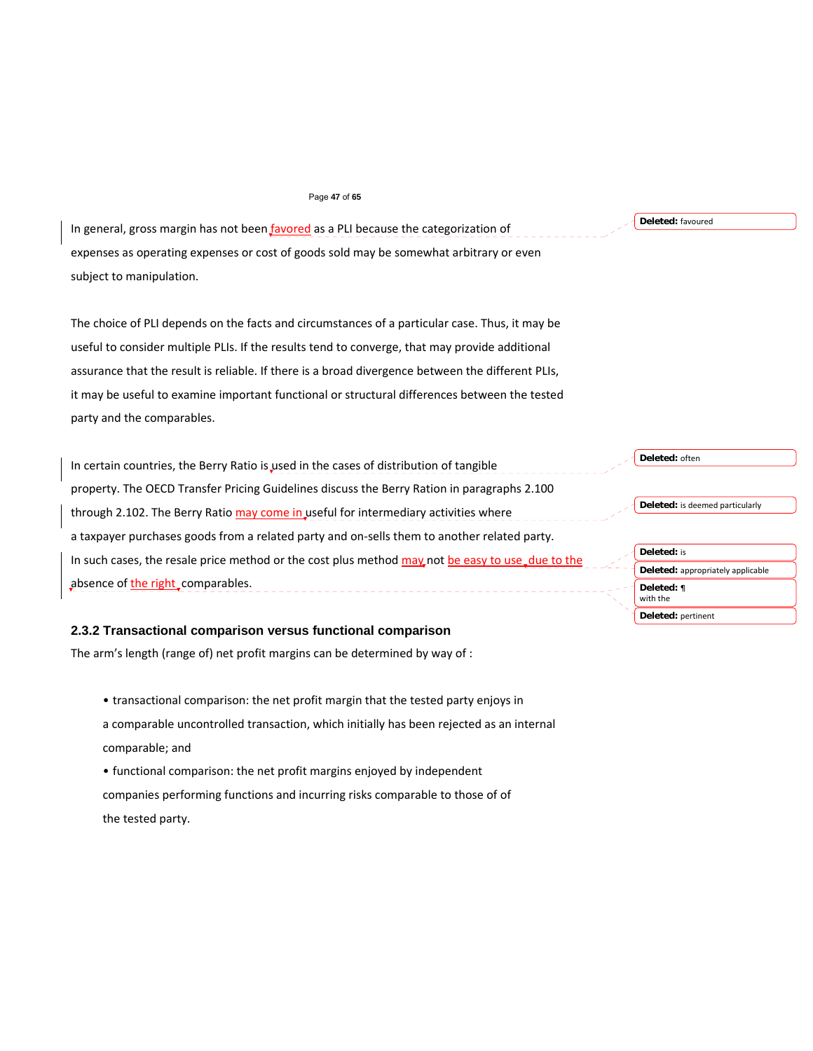#### Page **47** of **65**

In general, gross margin has not been favored as a PLI because the categorization of expenses as operating expenses or cost of goods sold may be somewhat arbitrary or even subject to manipulation.

The choice of PLI depends on the facts and circumstances of a particular case. Thus, it may be useful to consider multiple PLIs. If the results tend to converge, that may provide additional assurance that the result is reliable. If there is a broad divergence between the different PLIs, it may be useful to examine important functional or structural differences between the tested party and the comparables.

In certain countries, the Berry Ratio is used in the cases of distribution of tangible property. The OECD Transfer Pricing Guidelines discuss the Berry Ration in paragraphs 2.100 through 2.102. The Berry Ratio may come in useful for intermediary activities where a taxpayer purchases goods from a related party and on‐sells them to another related party. In such cases, the resale price method or the cost plus method may not be easy to use due to the absence of the right comparables. \_\_\_\_\_\_\_\_\_\_\_\_\_\_\_\_\_\_\_\_

# **2.3.2 Transactional comparison versus functional comparison**

The arm's length (range of) net profit margins can be determined by way of :

- transactional comparison: the net profit margin that the tested party enjoys in
- a comparable uncontrolled transaction, which initially has been rejected as an internal comparable; and
- functional comparison: the net profit margins enjoyed by independent companies performing functions and incurring risks comparable to those of of the tested party.

#### **Deleted:** often

**Deleted:** is deemed particularly

| <b>Deleted:</b> is                |
|-----------------------------------|
| Deleted: appropriately applicable |
| Deleted: ¶<br>with the            |
| Deleted: pertinent                |
|                                   |

**Deleted:** favoured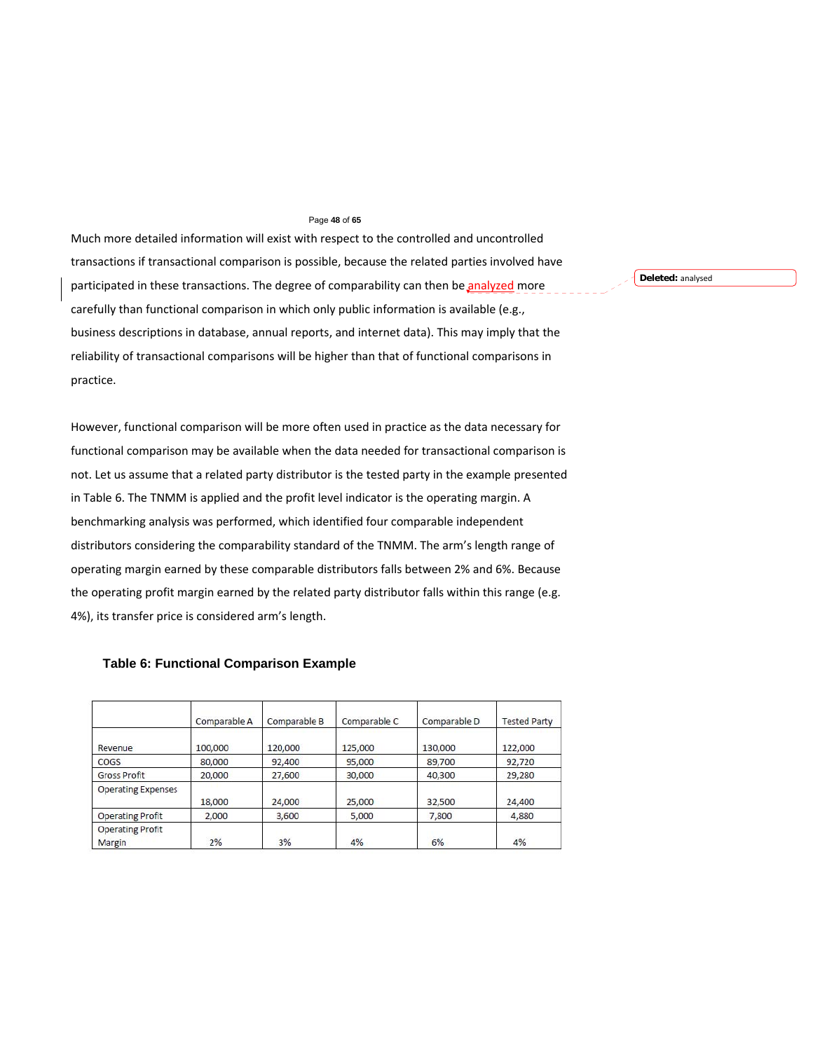#### Page **48** of **65**

Much more detailed information will exist with respect to the controlled and uncontrolled transactions if transactional comparison is possible, because the related parties involved have participated in these transactions. The degree of comparability can then be analyzed more carefully than functional comparison in which only public information is available (e.g., business descriptions in database, annual reports, and internet data). This may imply that the reliability of transactional comparisons will be higher than that of functional comparisons in practice.

However, functional comparison will be more often used in practice as the data necessary for functional comparison may be available when the data needed for transactional comparison is not. Let us assume that a related party distributor is the tested party in the example presented in Table 6. The TNMM is applied and the profit level indicator is the operating margin. A benchmarking analysis was performed, which identified four comparable independent distributors considering the comparability standard of the TNMM. The arm's length range of operating margin earned by these comparable distributors falls between 2% and 6%. Because the operating profit margin earned by the related party distributor falls within this range (e.g. 4%), its transfer price is considered arm's length.

|                                   | Comparable A | Comparable B | Comparable C | Comparable D | <b>Tested Party</b> |
|-----------------------------------|--------------|--------------|--------------|--------------|---------------------|
| Revenue                           | 100,000      | 120,000      | 125,000      | 130,000      | 122,000             |
| COGS                              | 80,000       | 92,400       | 95,000       | 89,700       | 92,720              |
| <b>Gross Profit</b>               | 20,000       | 27,600       | 30,000       | 40,300       | 29,280              |
| <b>Operating Expenses</b>         | 18.000       | 24,000       | 25,000       | 32,500       | 24,400              |
| <b>Operating Profit</b>           | 2,000        | 3,600        | 5,000        | 7,800        | 4,880               |
| <b>Operating Profit</b><br>Margin | 2%           | 3%           | 4%           | 6%           | 4%                  |

**Table 6: Functional Comparison Example** 

**Deleted:** analysed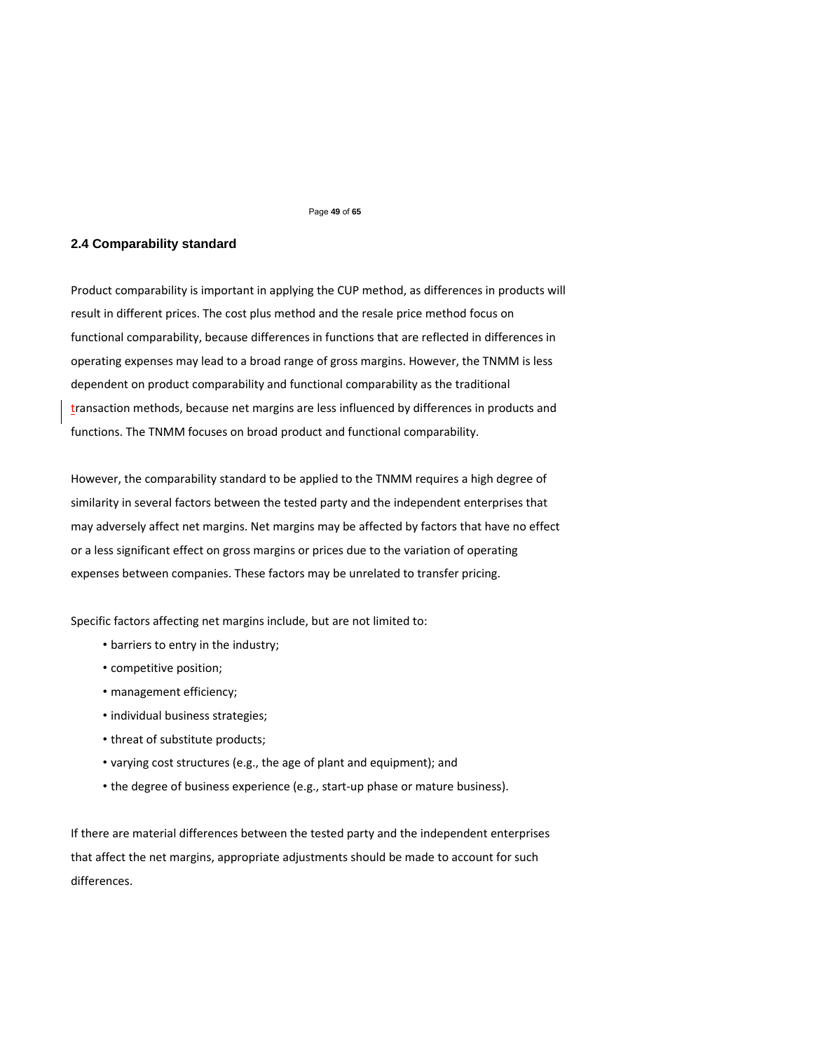Page **49** of **65** 

## **2.4 Comparability standard**

Product comparability is important in applying the CUP method, as differences in products will result in different prices. The cost plus method and the resale price method focus on functional comparability, because differences in functions that are reflected in differences in operating expenses may lead to a broad range of gross margins. However, the TNMM is less dependent on product comparability and functional comparability as the traditional transaction methods, because net margins are less influenced by differences in products and functions. The TNMM focuses on broad product and functional comparability.

However, the comparability standard to be applied to the TNMM requires a high degree of similarity in several factors between the tested party and the independent enterprises that may adversely affect net margins. Net margins may be affected by factors that have no effect or a less significant effect on gross margins or prices due to the variation of operating expenses between companies. These factors may be unrelated to transfer pricing.

Specific factors affecting net margins include, but are not limited to:

- barriers to entry in the industry;
- competitive position;
- management efficiency;
- individual business strategies;
- threat of substitute products;
- varying cost structures (e.g., the age of plant and equipment); and
- the degree of business experience (e.g., start-up phase or mature business).

If there are material differences between the tested party and the independent enterprises that affect the net margins, appropriate adjustments should be made to account for such differences.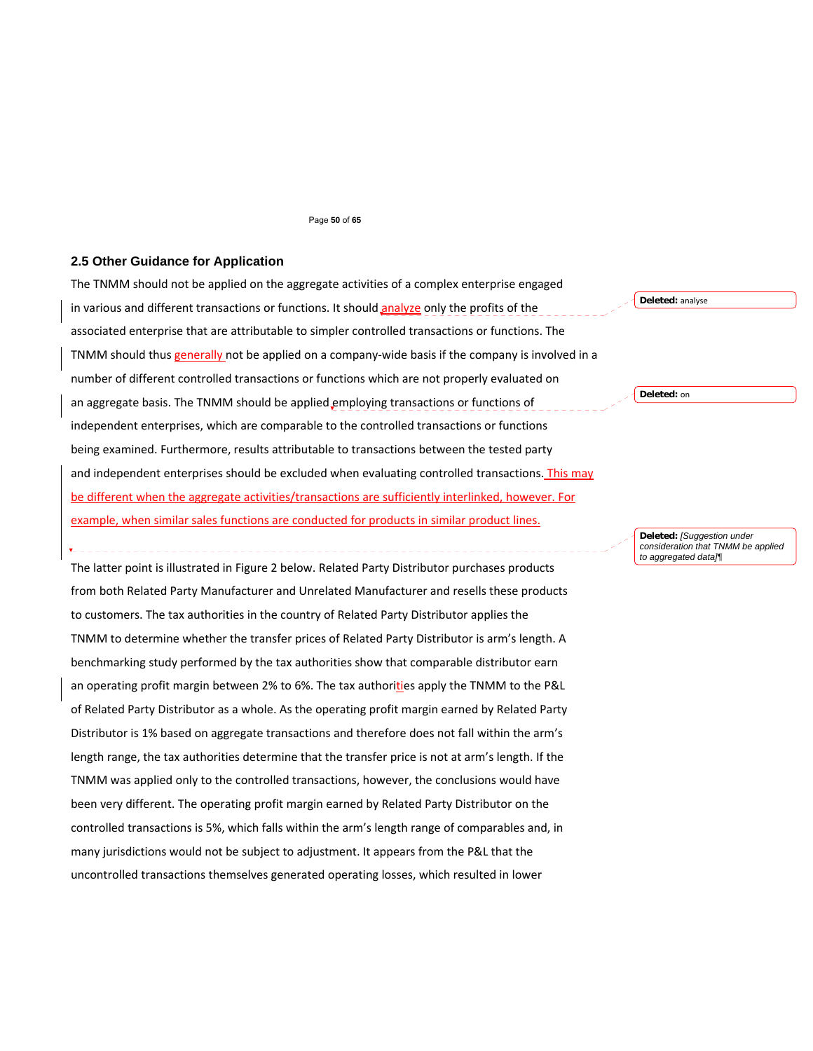#### Page **50** of **65**

# **2.5 Other Guidance for Application**

The TNMM should not be applied on the aggregate activities of a complex enterprise engaged in various and different transactions or functions. It should analyze only the profits of the associated enterprise that are attributable to simpler controlled transactions or functions. The TNMM should thus generally not be applied on a company-wide basis if the company is involved in a number of different controlled transactions or functions which are not properly evaluated on an aggregate basis. The TNMM should be applied employing transactions or functions of independent enterprises, which are comparable to the controlled transactions or functions being examined. Furthermore, results attributable to transactions between the tested party and independent enterprises should be excluded when evaluating controlled transactions. This may be different when the aggregate activities/transactions are sufficiently interlinked, however. For example, when similar sales functions are conducted for products in similar product lines. **Deleted:** analyse **Deleted:** on

> **Deleted:** *[Suggestion under consideration that TNMM be applied to aggregated data]¶*

The latter point is illustrated in Figure 2 below. Related Party Distributor purchases products from both Related Party Manufacturer and Unrelated Manufacturer and resells these products to customers. The tax authorities in the country of Related Party Distributor applies the TNMM to determine whether the transfer prices of Related Party Distributor is arm's length. A benchmarking study performed by the tax authorities show that comparable distributor earn an operating profit margin between 2% to 6%. The tax authorities apply the TNMM to the P&L of Related Party Distributor as a whole. As the operating profit margin earned by Related Party Distributor is 1% based on aggregate transactions and therefore does not fall within the arm's length range, the tax authorities determine that the transfer price is not at arm's length. If the TNMM was applied only to the controlled transactions, however, the conclusions would have been very different. The operating profit margin earned by Related Party Distributor on the controlled transactions is 5%, which falls within the arm's length range of comparables and, in many jurisdictions would not be subject to adjustment. It appears from the P&L that the uncontrolled transactions themselves generated operating losses, which resulted in lower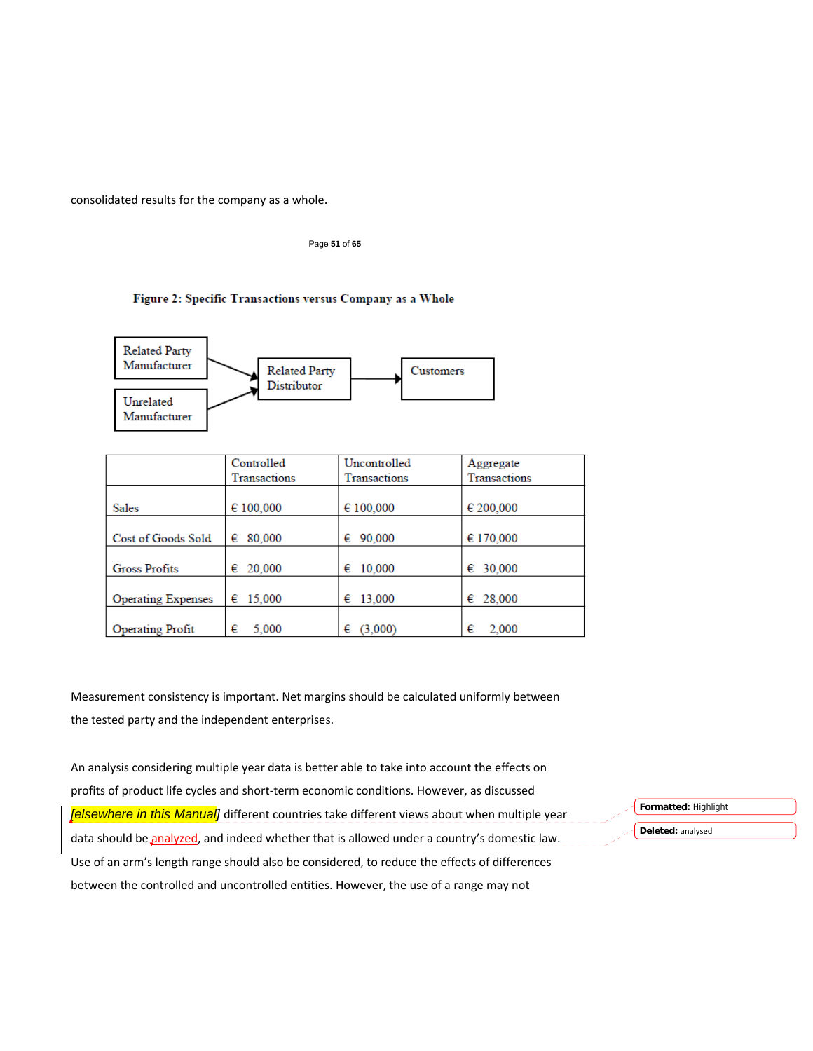consolidated results for the company as a whole.

Page **51** of **65** 

# Figure 2: Specific Transactions versus Company as a Whole



|                           | Controlled          | Uncontrolled | Aggregate           |
|---------------------------|---------------------|--------------|---------------------|
|                           | <b>Transactions</b> | Transactions | <b>Transactions</b> |
|                           |                     |              |                     |
| <b>Sales</b>              | € 100,000           | € 100,000    | € 200,000           |
|                           |                     |              |                     |
| Cost of Goods Sold        | 80,000<br>€         | 90,000<br>€  | € 170,000           |
|                           |                     |              |                     |
| <b>Gross Profits</b>      | 20,000<br>€         | 10,000<br>€  | 30,000<br>€         |
|                           |                     |              |                     |
| <b>Operating Expenses</b> | 15,000<br>€         | 13,000<br>€  | 28,000<br>€         |
|                           |                     |              |                     |
| <b>Operating Profit</b>   | €<br>5.000          | (3.000)<br>€ | 2,000<br>€          |

Measurement consistency is important. Net margins should be calculated uniformly between the tested party and the independent enterprises.

An analysis considering multiple year data is better able to take into account the effects on profits of product life cycles and short‐term economic conditions. However, as discussed *[elsewhere in this Manual]* different countries take different views about when multiple year data should be analyzed, and indeed whether that is allowed under a country's domestic law. Use of an arm's length range should also be considered, to reduce the effects of differences between the controlled and uncontrolled entities. However, the use of a range may not

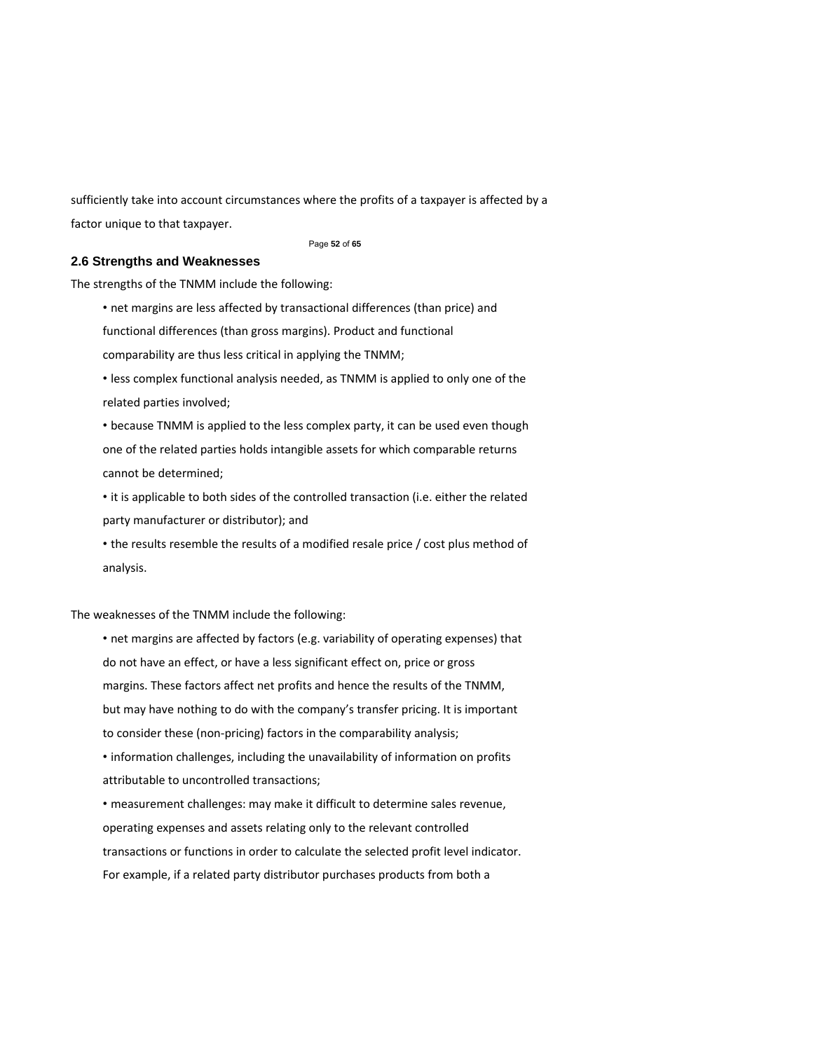sufficiently take into account circumstances where the profits of a taxpayer is affected by a factor unique to that taxpayer.

#### Page **52** of **65**

# **2.6 Strengths and Weaknesses**

The strengths of the TNMM include the following:

• net margins are less affected by transactional differences (than price) and

functional differences (than gross margins). Product and functional

comparability are thus less critical in applying the TNMM;

• less complex functional analysis needed, as TNMM is applied to only one of the related parties involved;

• because TNMM is applied to the less complex party, it can be used even though one of the related parties holds intangible assets for which comparable returns cannot be determined;

• it is applicable to both sides of the controlled transaction (i.e. either the related party manufacturer or distributor); and

• the results resemble the results of a modified resale price / cost plus method of analysis.

The weaknesses of the TNMM include the following:

• net margins are affected by factors (e.g. variability of operating expenses) that do not have an effect, or have a less significant effect on, price or gross margins. These factors affect net profits and hence the results of the TNMM, but may have nothing to do with the company's transfer pricing. It is important to consider these (non‐pricing) factors in the comparability analysis;

• information challenges, including the unavailability of information on profits attributable to uncontrolled transactions;

• measurement challenges: may make it difficult to determine sales revenue, operating expenses and assets relating only to the relevant controlled transactions or functions in order to calculate the selected profit level indicator. For example, if a related party distributor purchases products from both a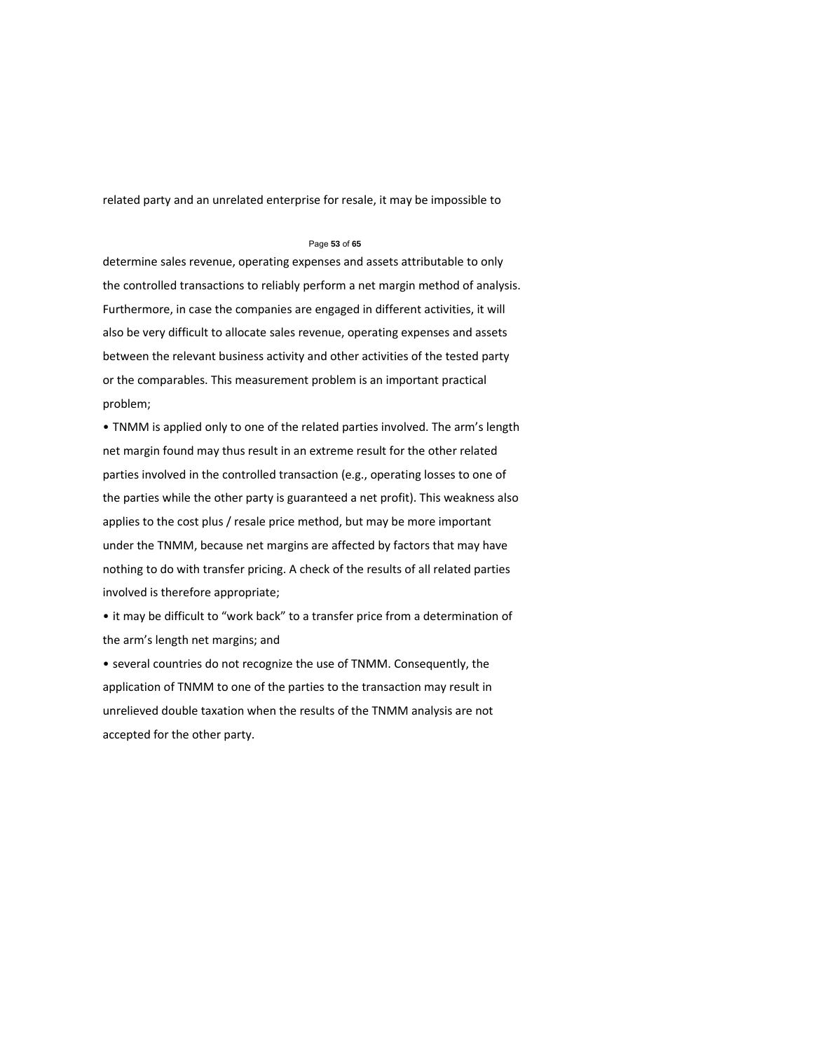related party and an unrelated enterprise for resale, it may be impossible to

#### Page **53** of **65**

determine sales revenue, operating expenses and assets attributable to only the controlled transactions to reliably perform a net margin method of analysis. Furthermore, in case the companies are engaged in different activities, it will also be very difficult to allocate sales revenue, operating expenses and assets between the relevant business activity and other activities of the tested party or the comparables. This measurement problem is an important practical problem;

• TNMM is applied only to one of the related parties involved. The arm's length net margin found may thus result in an extreme result for the other related parties involved in the controlled transaction (e.g., operating losses to one of the parties while the other party is guaranteed a net profit). This weakness also applies to the cost plus / resale price method, but may be more important under the TNMM, because net margins are affected by factors that may have nothing to do with transfer pricing. A check of the results of all related parties involved is therefore appropriate;

• it may be difficult to "work back" to a transfer price from a determination of the arm's length net margins; and

• several countries do not recognize the use of TNMM. Consequently, the application of TNMM to one of the parties to the transaction may result in unrelieved double taxation when the results of the TNMM analysis are not accepted for the other party.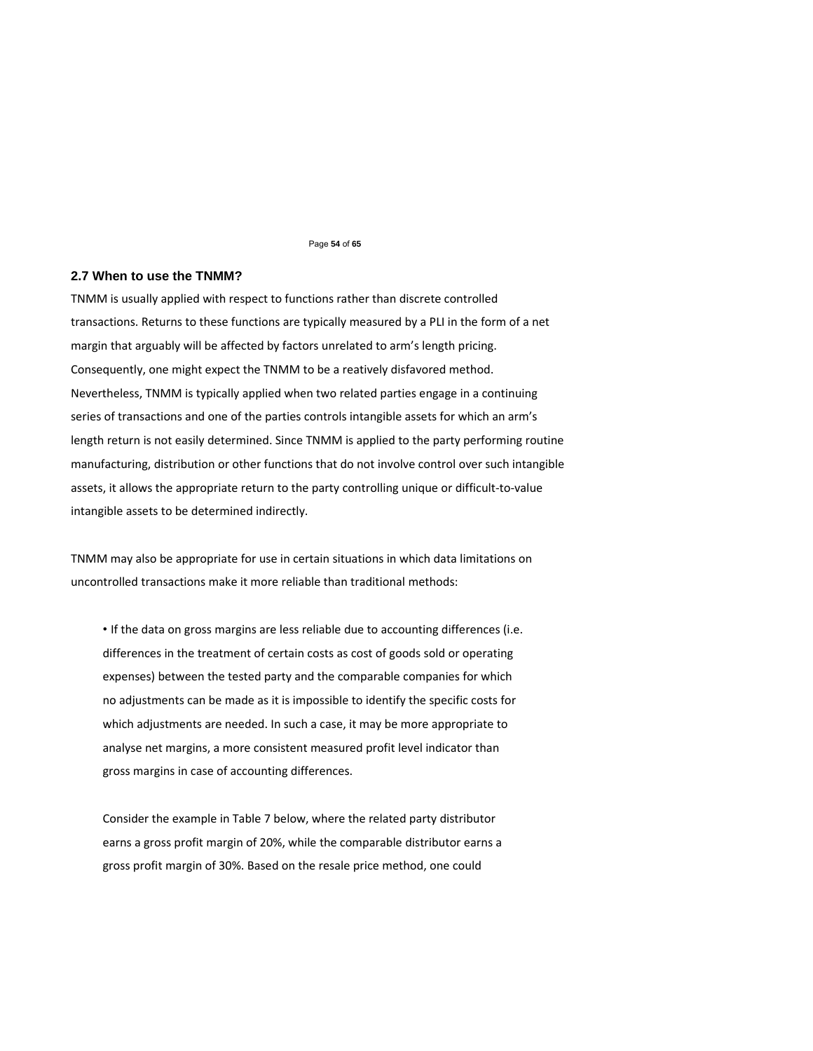#### Page **54** of **65**

### **2.7 When to use the TNMM?**

TNMM is usually applied with respect to functions rather than discrete controlled transactions. Returns to these functions are typically measured by a PLI in the form of a net margin that arguably will be affected by factors unrelated to arm's length pricing. Consequently, one might expect the TNMM to be a reatively disfavored method. Nevertheless, TNMM is typically applied when two related parties engage in a continuing series of transactions and one of the parties controls intangible assets for which an arm's length return is not easily determined. Since TNMM is applied to the party performing routine manufacturing, distribution or other functions that do not involve control over such intangible assets, it allows the appropriate return to the party controlling unique or difficult-to-value intangible assets to be determined indirectly.

TNMM may also be appropriate for use in certain situations in which data limitations on uncontrolled transactions make it more reliable than traditional methods:

• If the data on gross margins are less reliable due to accounting differences (i.e. differences in the treatment of certain costs as cost of goods sold or operating expenses) between the tested party and the comparable companies for which no adjustments can be made as it is impossible to identify the specific costs for which adjustments are needed. In such a case, it may be more appropriate to analyse net margins, a more consistent measured profit level indicator than gross margins in case of accounting differences.

Consider the example in Table 7 below, where the related party distributor earns a gross profit margin of 20%, while the comparable distributor earns a gross profit margin of 30%. Based on the resale price method, one could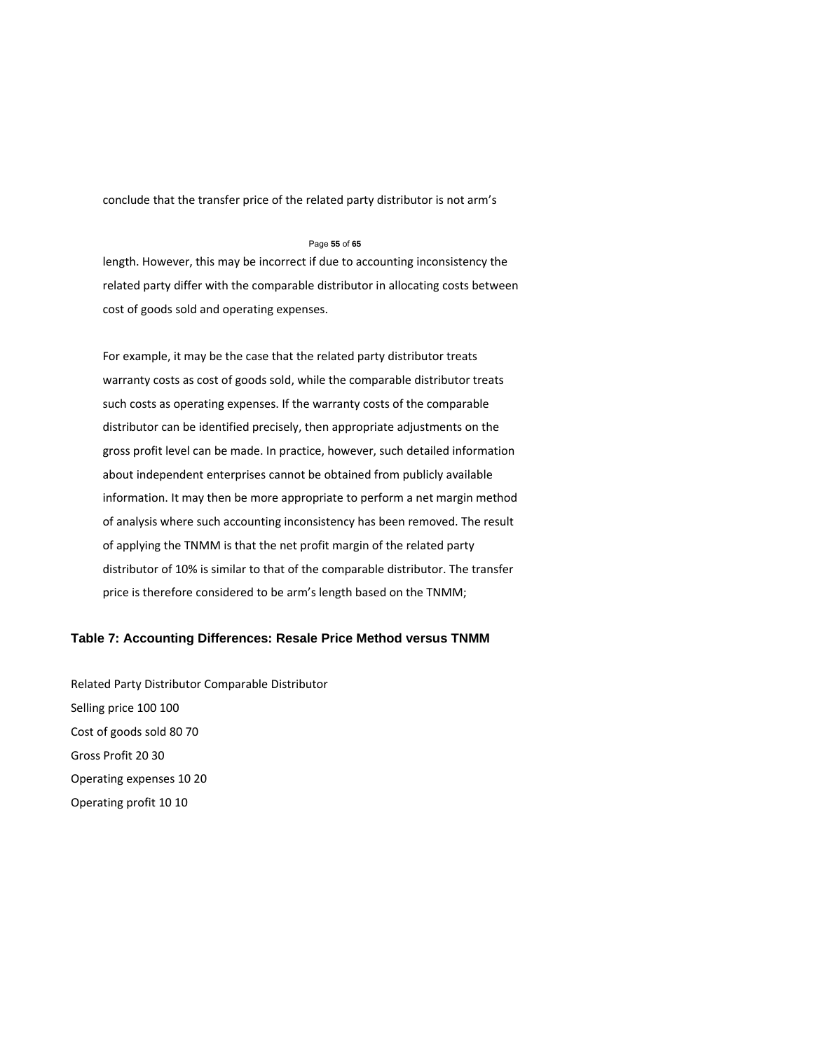conclude that the transfer price of the related party distributor is not arm's

### Page **55** of **65**

length. However, this may be incorrect if due to accounting inconsistency the related party differ with the comparable distributor in allocating costs between cost of goods sold and operating expenses.

For example, it may be the case that the related party distributor treats warranty costs as cost of goods sold, while the comparable distributor treats such costs as operating expenses. If the warranty costs of the comparable distributor can be identified precisely, then appropriate adjustments on the gross profit level can be made. In practice, however, such detailed information about independent enterprises cannot be obtained from publicly available information. It may then be more appropriate to perform a net margin method of analysis where such accounting inconsistency has been removed. The result of applying the TNMM is that the net profit margin of the related party distributor of 10% is similar to that of the comparable distributor. The transfer price is therefore considered to be arm's length based on the TNMM;

# **Table 7: Accounting Differences: Resale Price Method versus TNMM**

Related Party Distributor Comparable Distributor Selling price 100 100 Cost of goods sold 80 70 Gross Profit 20 30 Operating expenses 10 20 Operating profit 10 10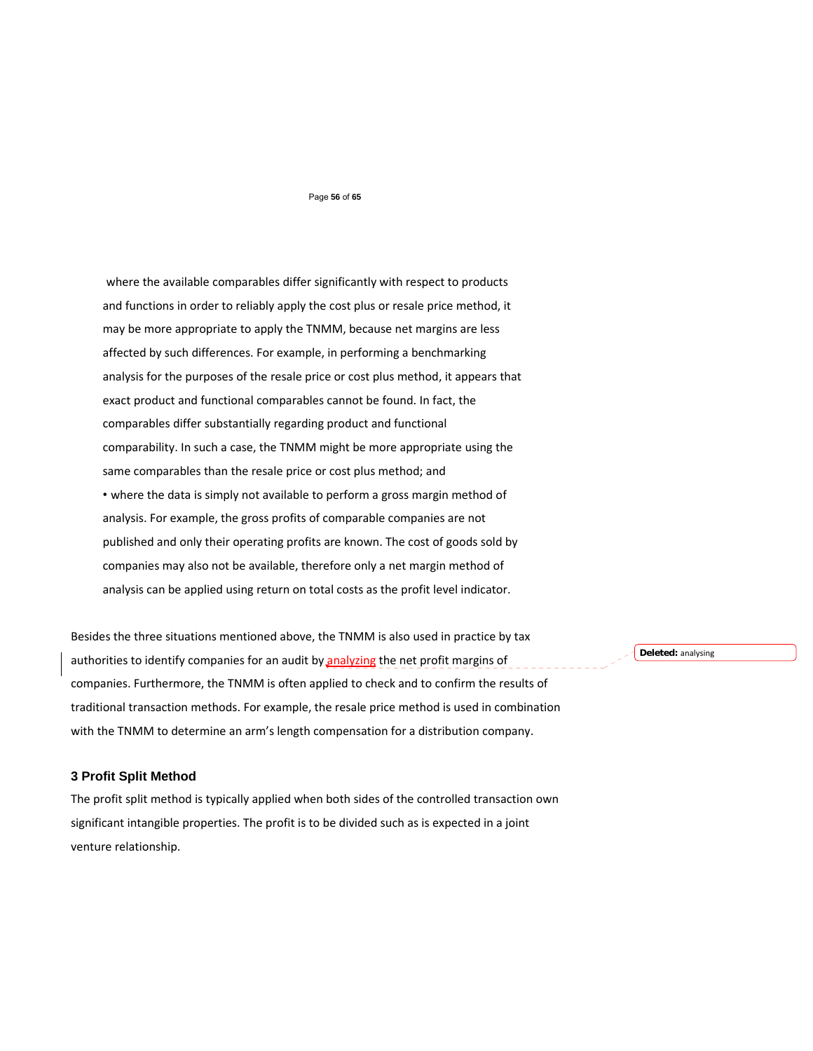#### Page **56** of **65**

where the available comparables differ significantly with respect to products and functions in order to reliably apply the cost plus or resale price method, it may be more appropriate to apply the TNMM, because net margins are less affected by such differences. For example, in performing a benchmarking analysis for the purposes of the resale price or cost plus method, it appears that exact product and functional comparables cannot be found. In fact, the comparables differ substantially regarding product and functional comparability. In such a case, the TNMM might be more appropriate using the same comparables than the resale price or cost plus method; and • where the data is simply not available to perform a gross margin method of analysis. For example, the gross profits of comparable companies are not published and only their operating profits are known. The cost of goods sold by companies may also not be available, therefore only a net margin method of analysis can be applied using return on total costs as the profit level indicator.

Besides the three situations mentioned above, the TNMM is also used in practice by tax authorities to identify companies for an audit by analyzing the net profit margins of companies. Furthermore, the TNMM is often applied to check and to confirm the results of traditional transaction methods. For example, the resale price method is used in combination with the TNMM to determine an arm's length compensation for a distribution company.

**Deleted:** analysing

### **3 Profit Split Method**

The profit split method is typically applied when both sides of the controlled transaction own significant intangible properties. The profit is to be divided such as is expected in a joint venture relationship.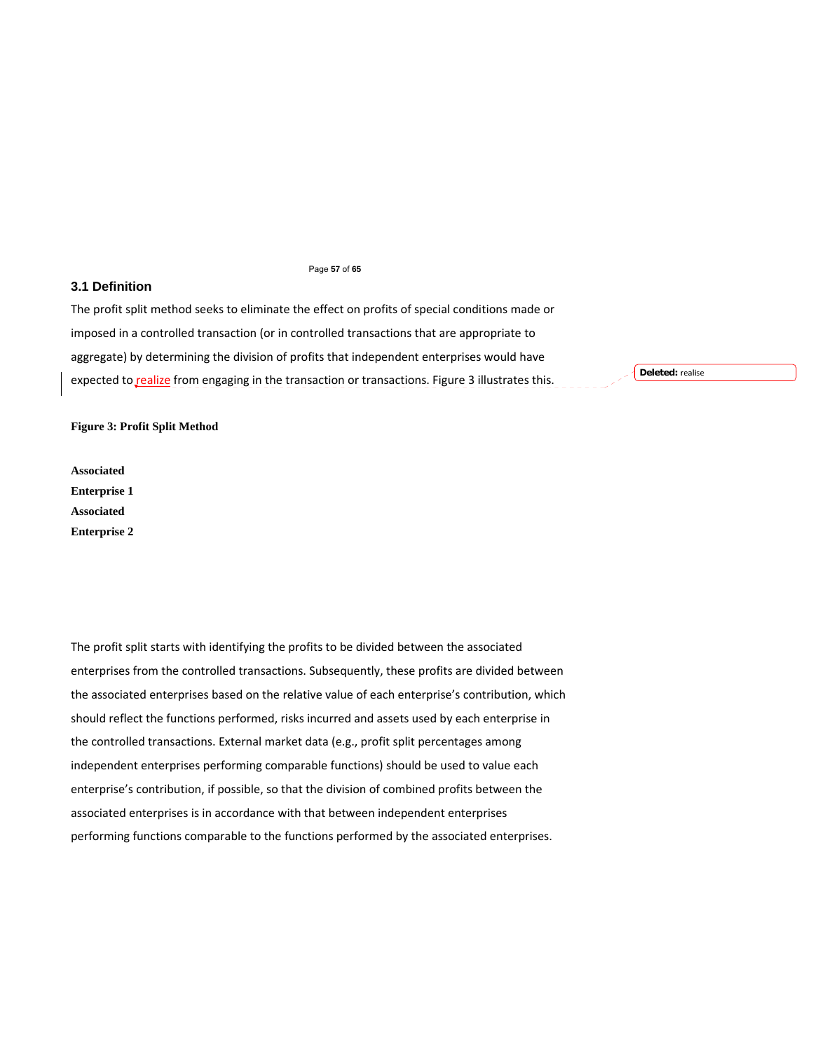#### Page **57** of **65**

# **3.1 Definition**

The profit split method seeks to eliminate the effect on profits of special conditions made or imposed in a controlled transaction (or in controlled transactions that are appropriate to aggregate) by determining the division of profits that independent enterprises would have expected to realize from engaging in the transaction or transactions. Figure 3 illustrates this.

**Deleted:** realise

## **Figure 3: Profit Split Method**

**Associated Enterprise 1 Associated Enterprise 2** 

The profit split starts with identifying the profits to be divided between the associated enterprises from the controlled transactions. Subsequently, these profits are divided between the associated enterprises based on the relative value of each enterprise's contribution, which should reflect the functions performed, risks incurred and assets used by each enterprise in the controlled transactions. External market data (e.g., profit split percentages among independent enterprises performing comparable functions) should be used to value each enterprise's contribution, if possible, so that the division of combined profits between the associated enterprises is in accordance with that between independent enterprises performing functions comparable to the functions performed by the associated enterprises.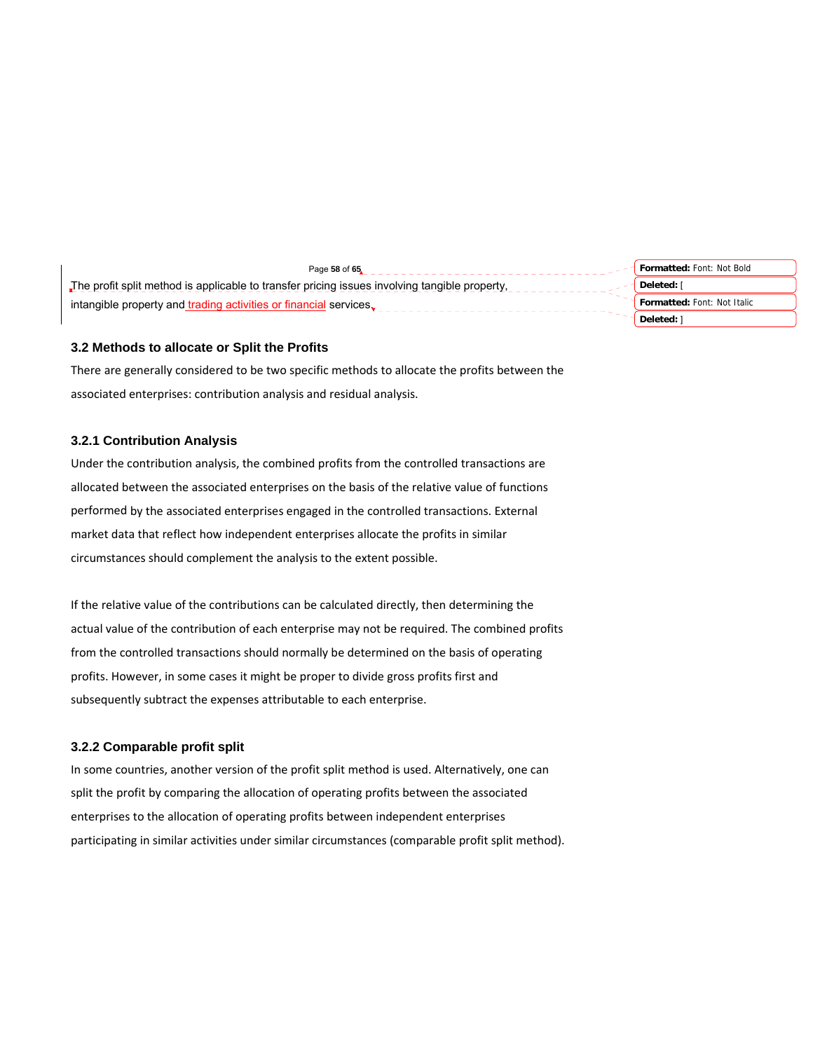| Page 58 of 65                                                                                 | Formatted: Font: Not Bold          |
|-----------------------------------------------------------------------------------------------|------------------------------------|
| The profit split method is applicable to transfer pricing issues involving tangible property. | Deleted: I                         |
| intangible property and trading activities or financial services.                             | <b>Formatted: Font: Not Italic</b> |
|                                                                                               | Deleted:                           |

# **3.2 Methods to allocate or Split the Profits**

There are generally considered to be two specific methods to allocate the profits between the associated enterprises: contribution analysis and residual analysis.

# **3.2.1 Contribution Analysis**

Under the contribution analysis, the combined profits from the controlled transactions are allocated between the associated enterprises on the basis of the relative value of functions performed by the associated enterprises engaged in the controlled transactions. External market data that reflect how independent enterprises allocate the profits in similar circumstances should complement the analysis to the extent possible.

If the relative value of the contributions can be calculated directly, then determining the actual value of the contribution of each enterprise may not be required. The combined profits from the controlled transactions should normally be determined on the basis of operating profits. However, in some cases it might be proper to divide gross profits first and subsequently subtract the expenses attributable to each enterprise.

# **3.2.2 Comparable profit split**

In some countries, another version of the profit split method is used. Alternatively, one can split the profit by comparing the allocation of operating profits between the associated enterprises to the allocation of operating profits between independent enterprises participating in similar activities under similar circumstances (comparable profit split method).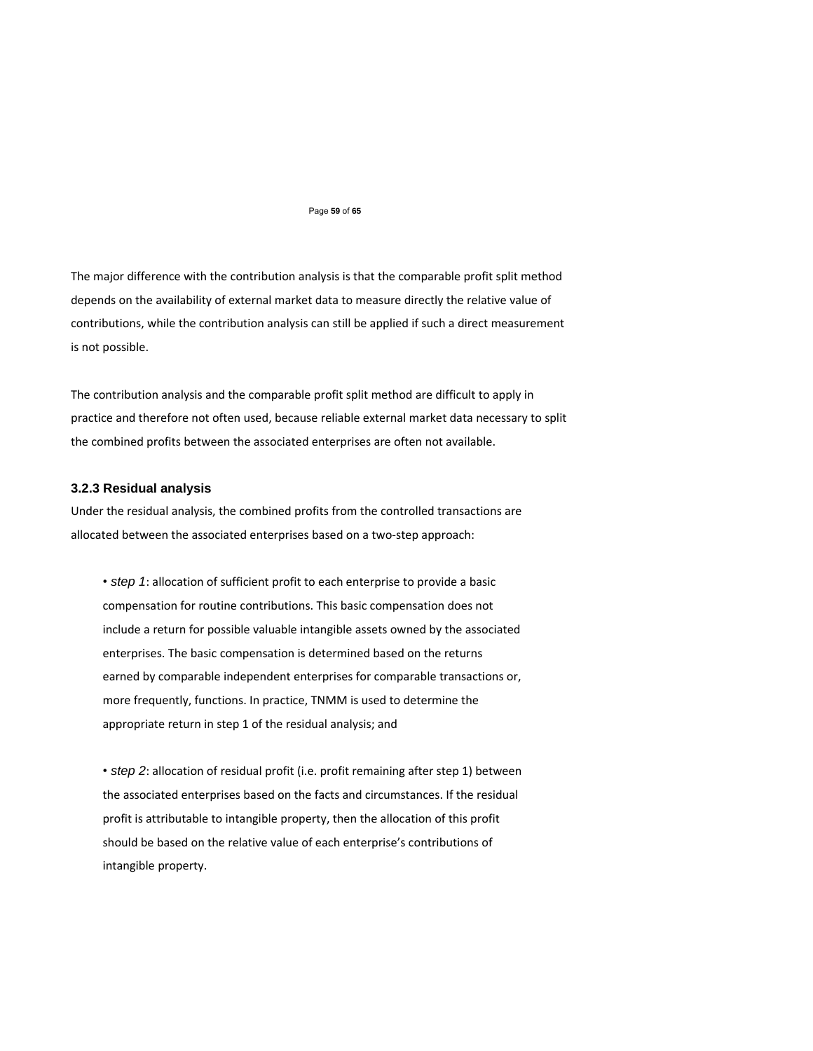#### Page **59** of **65**

The major difference with the contribution analysis is that the comparable profit split method depends on the availability of external market data to measure directly the relative value of contributions, while the contribution analysis can still be applied if such a direct measurement is not possible.

The contribution analysis and the comparable profit split method are difficult to apply in practice and therefore not often used, because reliable external market data necessary to split the combined profits between the associated enterprises are often not available.

# **3.2.3 Residual analysis**

Under the residual analysis, the combined profits from the controlled transactions are allocated between the associated enterprises based on a two‐step approach:

• *step 1*: allocation of sufficient profit to each enterprise to provide a basic compensation for routine contributions. This basic compensation does not include a return for possible valuable intangible assets owned by the associated enterprises. The basic compensation is determined based on the returns earned by comparable independent enterprises for comparable transactions or, more frequently, functions. In practice, TNMM is used to determine the appropriate return in step 1 of the residual analysis; and

• *step 2*: allocation of residual profit (i.e. profit remaining after step 1) between the associated enterprises based on the facts and circumstances. If the residual profit is attributable to intangible property, then the allocation of this profit should be based on the relative value of each enterprise's contributions of intangible property.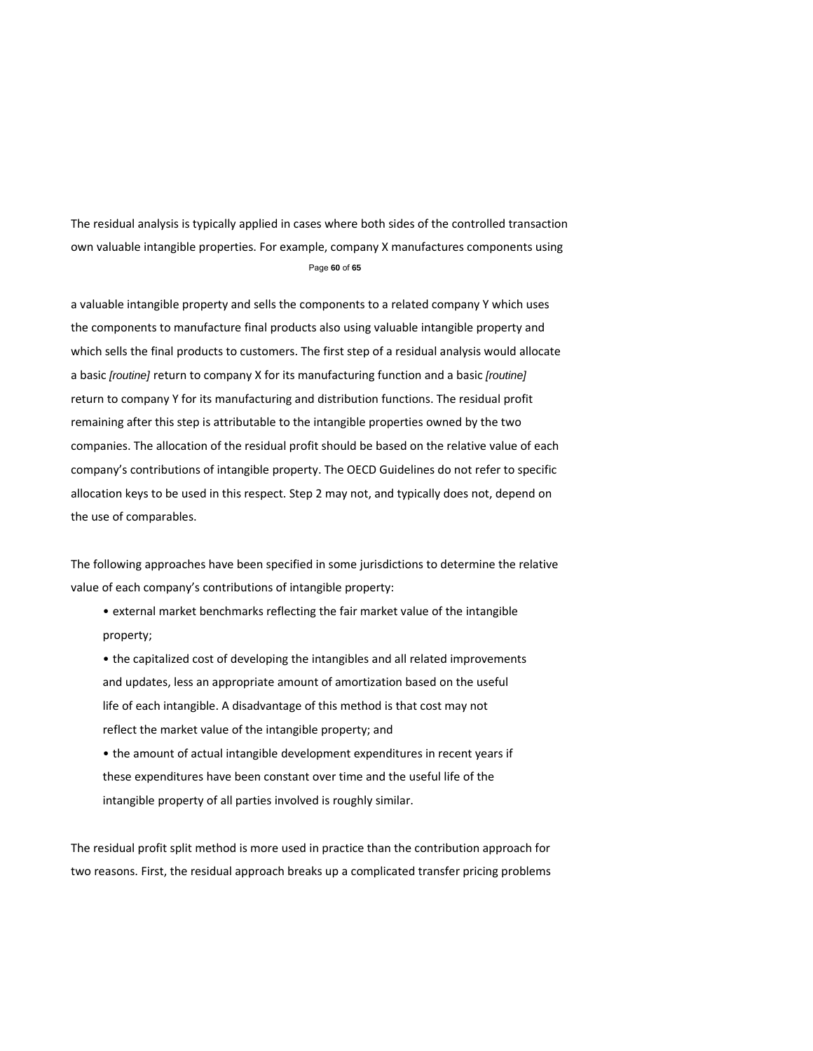The residual analysis is typically applied in cases where both sides of the controlled transaction own valuable intangible properties. For example, company X manufactures components using Page **60** of **65** 

a valuable intangible property and sells the components to a related company Y which uses the components to manufacture final products also using valuable intangible property and which sells the final products to customers. The first step of a residual analysis would allocate a basic *[routine]* return to company X for its manufacturing function and a basic *[routine]*  return to company Y for its manufacturing and distribution functions. The residual profit remaining after this step is attributable to the intangible properties owned by the two companies. The allocation of the residual profit should be based on the relative value of each company's contributions of intangible property. The OECD Guidelines do not refer to specific allocation keys to be used in this respect. Step 2 may not, and typically does not, depend on the use of comparables.

The following approaches have been specified in some jurisdictions to determine the relative value of each company's contributions of intangible property:

- external market benchmarks reflecting the fair market value of the intangible property;
- the capitalized cost of developing the intangibles and all related improvements and updates, less an appropriate amount of amortization based on the useful life of each intangible. A disadvantage of this method is that cost may not reflect the market value of the intangible property; and
- the amount of actual intangible development expenditures in recent years if these expenditures have been constant over time and the useful life of the intangible property of all parties involved is roughly similar.

The residual profit split method is more used in practice than the contribution approach for two reasons. First, the residual approach breaks up a complicated transfer pricing problems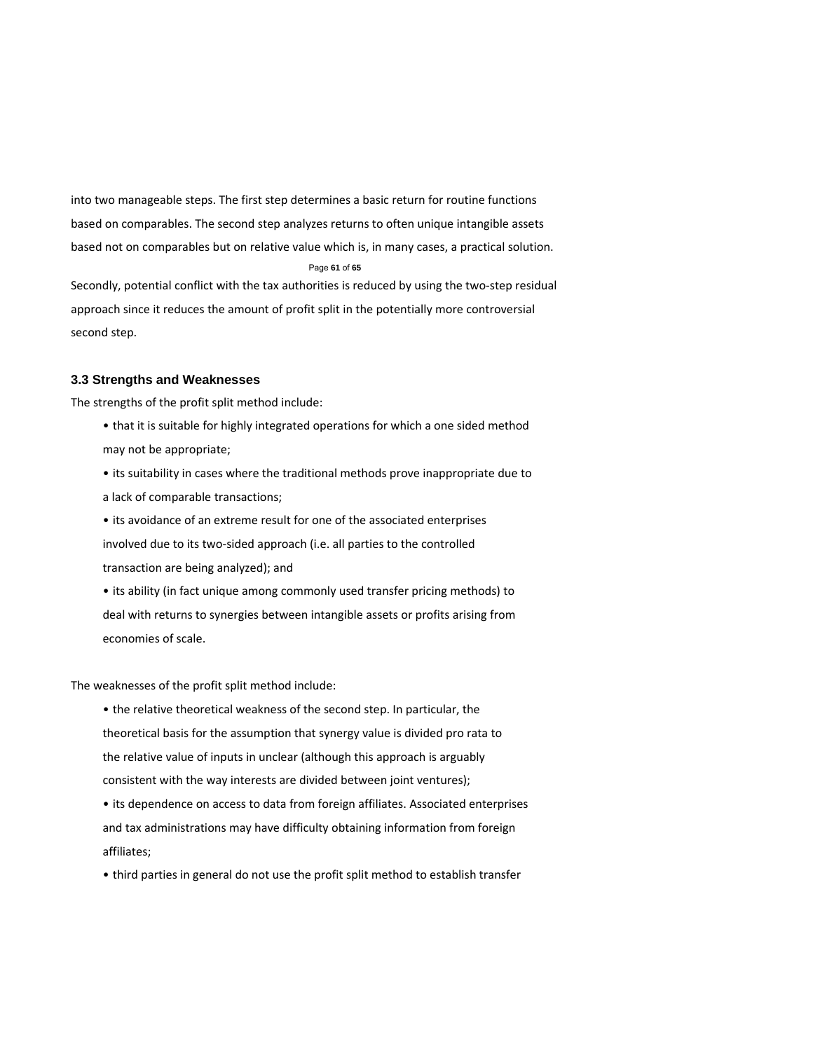into two manageable steps. The first step determines a basic return for routine functions based on comparables. The second step analyzes returns to often unique intangible assets based not on comparables but on relative value which is, in many cases, a practical solution. Page **61** of **65**  Secondly, potential conflict with the tax authorities is reduced by using the two‐step residual approach since it reduces the amount of profit split in the potentially more controversial second step.

# **3.3 Strengths and Weaknesses**

The strengths of the profit split method include:

- that it is suitable for highly integrated operations for which a one sided method may not be appropriate;
- its suitability in cases where the traditional methods prove inappropriate due to a lack of comparable transactions;
- its avoidance of an extreme result for one of the associated enterprises involved due to its two‐sided approach (i.e. all parties to the controlled transaction are being analyzed); and
- its ability (in fact unique among commonly used transfer pricing methods) to deal with returns to synergies between intangible assets or profits arising from economies of scale.

The weaknesses of the profit split method include:

- the relative theoretical weakness of the second step. In particular, the theoretical basis for the assumption that synergy value is divided pro rata to the relative value of inputs in unclear (although this approach is arguably consistent with the way interests are divided between joint ventures);
- its dependence on access to data from foreign affiliates. Associated enterprises and tax administrations may have difficulty obtaining information from foreign affiliates;
- third parties in general do not use the profit split method to establish transfer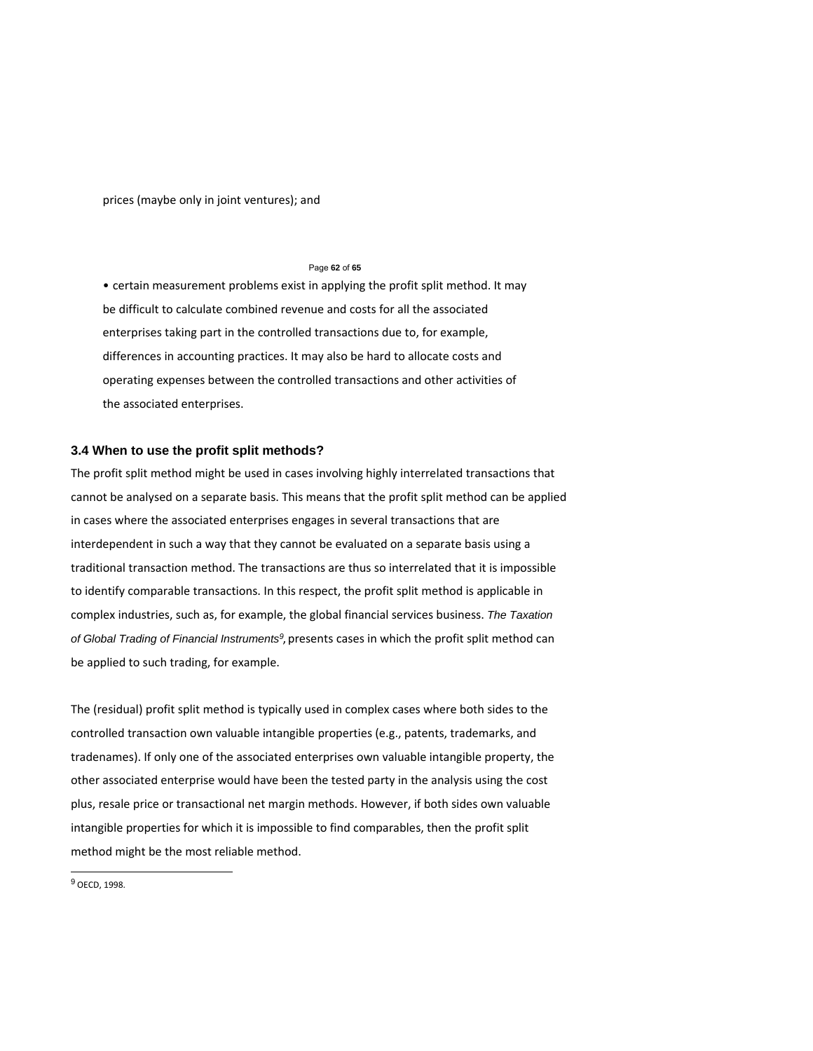prices (maybe only in joint ventures); and

#### Page **62** of **65**

• certain measurement problems exist in applying the profit split method. It may be difficult to calculate combined revenue and costs for all the associated enterprises taking part in the controlled transactions due to, for example, differences in accounting practices. It may also be hard to allocate costs and operating expenses between the controlled transactions and other activities of the associated enterprises.

### **3.4 When to use the profit split methods?**

The profit split method might be used in cases involving highly interrelated transactions that cannot be analysed on a separate basis. This means that the profit split method can be applied in cases where the associated enterprises engages in several transactions that are interdependent in such a way that they cannot be evaluated on a separate basis using a traditional transaction method. The transactions are thus so interrelated that it is impossible to identify comparable transactions. In this respect, the profit split method is applicable in complex industries, such as, for example, the global financial services business. *The Taxation of Global Trading of Financial Instruments<sup>9</sup>*, presents cases in which the profit split method can be applied to such trading, for example.

The (residual) profit split method is typically used in complex cases where both sides to the controlled transaction own valuable intangible properties (e.g., patents, trademarks, and tradenames). If only one of the associated enterprises own valuable intangible property, the other associated enterprise would have been the tested party in the analysis using the cost plus, resale price or transactional net margin methods. However, if both sides own valuable intangible properties for which it is impossible to find comparables, then the profit split method might be the most reliable method.

 $\overline{a}$ 

<sup>9</sup> OECD, 1998.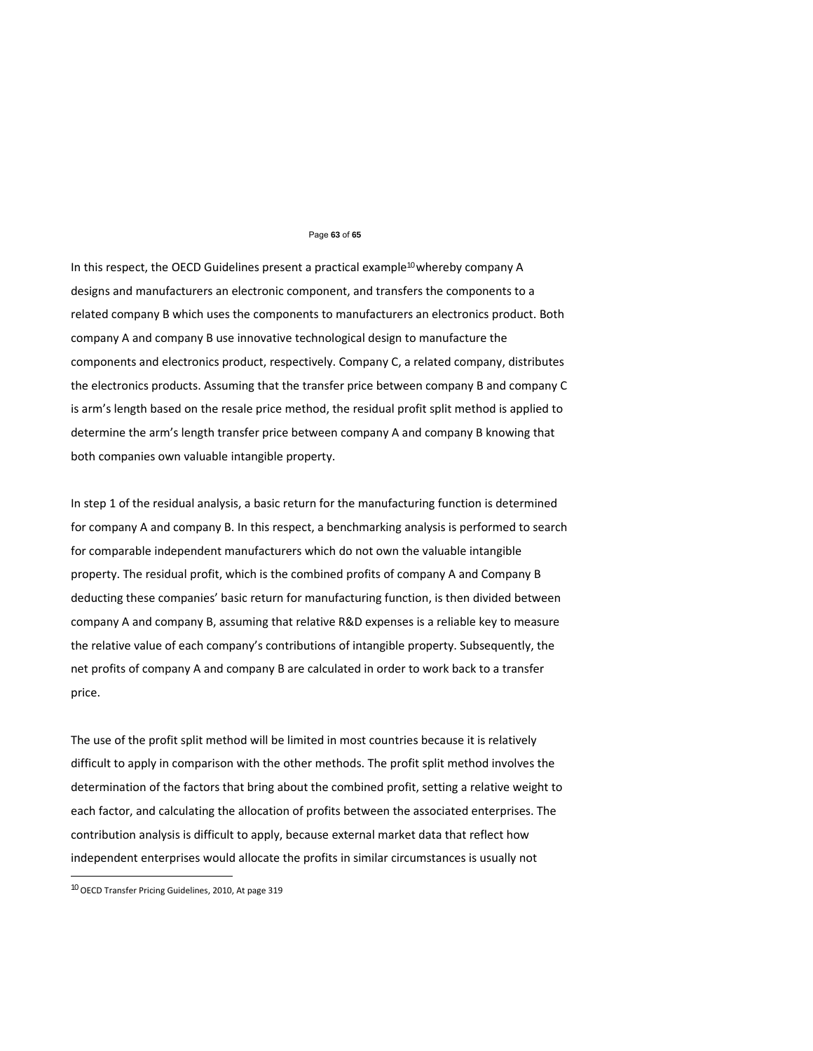#### Page **63** of **65**

In this respect, the OECD Guidelines present a practical example<sup>10</sup> whereby company A designs and manufacturers an electronic component, and transfers the components to a related company B which uses the components to manufacturers an electronics product. Both company A and company B use innovative technological design to manufacture the components and electronics product, respectively. Company C, a related company, distributes the electronics products. Assuming that the transfer price between company B and company C is arm's length based on the resale price method, the residual profit split method is applied to determine the arm's length transfer price between company A and company B knowing that both companies own valuable intangible property.

In step 1 of the residual analysis, a basic return for the manufacturing function is determined for company A and company B. In this respect, a benchmarking analysis is performed to search for comparable independent manufacturers which do not own the valuable intangible property. The residual profit, which is the combined profits of company A and Company B deducting these companies' basic return for manufacturing function, is then divided between company A and company B, assuming that relative R&D expenses is a reliable key to measure the relative value of each company's contributions of intangible property. Subsequently, the net profits of company A and company B are calculated in order to work back to a transfer price.

The use of the profit split method will be limited in most countries because it is relatively difficult to apply in comparison with the other methods. The profit split method involves the determination of the factors that bring about the combined profit, setting a relative weight to each factor, and calculating the allocation of profits between the associated enterprises. The contribution analysis is difficult to apply, because external market data that reflect how independent enterprises would allocate the profits in similar circumstances is usually not

l

<sup>10</sup> OECD Transfer Pricing Guidelines, 2010, At page 319